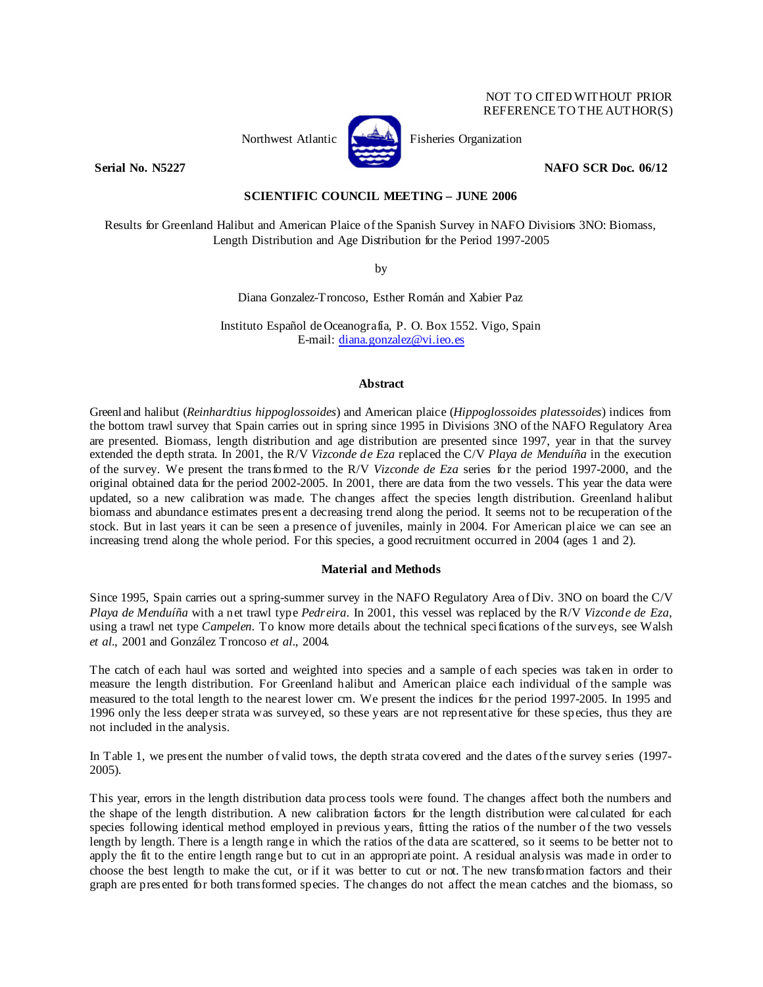# NOT TO CITED WITHOUT PRIOR REFERENCE TO THE AUTHOR(S)



Northwest Atlantic **Kernet** Fisheries Organization

**Serial No. N5227 NAFO SCR Doc. 06/12** 

**SCIENTIFIC COUNCIL MEETING – JUNE 2006** 

Results for Greenland Halibut and American Plaice of the Spanish Survey in NAFO Divisions 3NO: Biomass, Length Distribution and Age Distribution for the Period 1997-2005

by

Diana Gonzalez-Troncoso, Esther Román and Xabier Paz

Instituto Español de Oceanografía, P. O. Box 1552. Vigo, Spain E-mail: diana.gonzalez@vi.ieo.es

# **Abstract**

Greenland halibut (*Reinhardtius hippoglossoides*) and American plaice (*Hippoglossoides platessoides*) indices from the bottom trawl survey that Spain carries out in spring since 1995 in Divisions 3NO of the NAFO Regulatory Area are presented. Biomass, length distribution and age distribution are presented since 1997, year in that the survey extended the depth strata. In 2001, the R/V *Vizconde de Eza* replaced the C/V *Playa de Menduíña* in the execution of the survey. We present the transformed to the R/V *Vizconde de Eza* series for the period 1997-2000, and the original obtained data for the period 2002-2005. In 2001, there are data from the two vessels. This year the data were updated, so a new calibration was made. The changes affect the species length distribution. Greenland halibut biomass and abundance estimates present a decreasing trend along the period. It seems not to be recuperation of the stock. But in last years it can be seen a presence of juveniles, mainly in 2004. For American plaice we can see an increasing trend along the whole period. For this species, a good recruitment occurred in 2004 (ages 1 and 2).

# **Material and Methods**

Since 1995, Spain carries out a spring-summer survey in the NAFO Regulatory Area of Div. 3NO on board the C/V *Playa de Menduíña* with a net trawl type *Pedreira*. In 2001, this vessel was replaced by the R/V *Vizconde de Eza*, using a trawl net type *Campelen*. To know more details about the technical specifications of the surveys, see Walsh *et al.*, 2001 and González Troncoso *et al.*, 2004.

The catch of each haul was sorted and weighted into species and a sample of each species was taken in order to measure the length distribution. For Greenland halibut and American plaice each individual of the sample was measured to the total length to the nearest lower cm. We present the indices for the period 1997-2005. In 1995 and 1996 only the less deeper strata was surveyed, so these years are not representative for these species, thus they are not included in the analysis.

In Table 1, we present the number of valid tows, the depth strata covered and the dates of the survey series (1997- 2005).

This year, errors in the length distribution data process tools were found. The changes affect both the numbers and the shape of the length distribution. A new calibration factors for the length distribution were calculated for each species following identical method employed in previous years, fitting the ratios of the number of the two vessels length by length. There is a length range in which the ratios of the data are scattered, so it seems to be better not to apply the fit to the entire length range but to cut in an appropriate point. A residual analysis was made in order to choose the best length to make the cut, or if it was better to cut or not. The new transformation factors and their graph are presented for both transformed species. The changes do not affect the mean catches and the biomass, so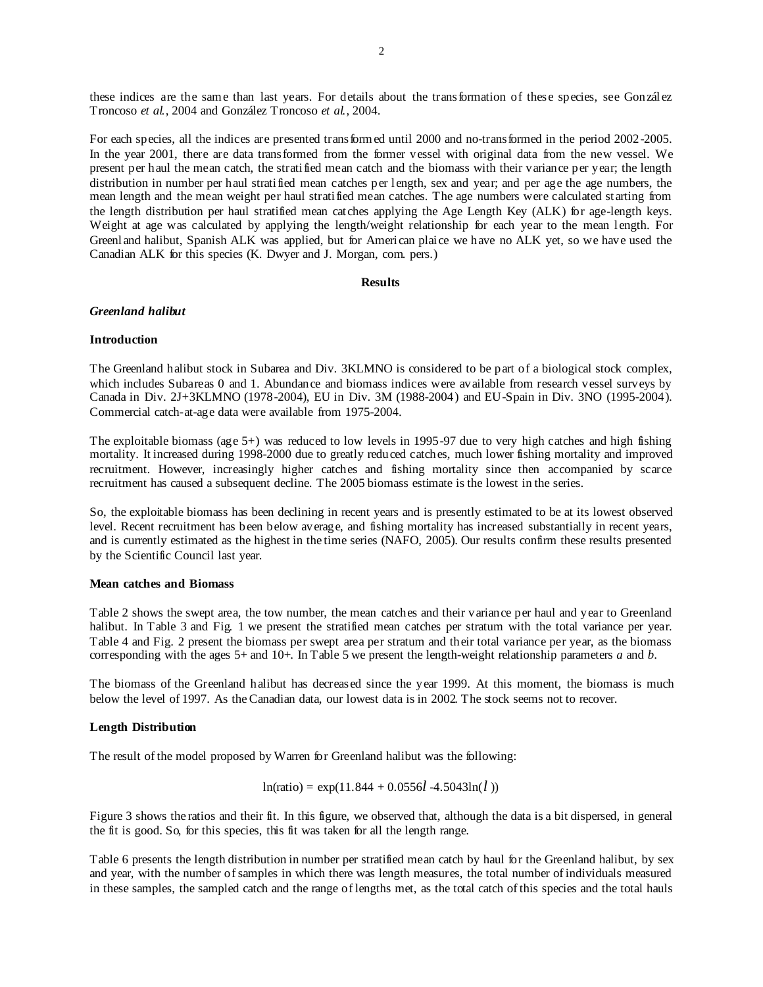these indices are the same than last years. For details about the transformation of these species, see González Troncoso *et al.*, 2004 and González Troncoso *et al.*, 2004.

For each species, all the indices are presented transformed until 2000 and no-transformed in the period 2002-2005. In the year 2001, there are data transformed from the former vessel with original data from the new vessel. We present per haul the mean catch, the stratified mean catch and the biomass with their variance per year; the length distribution in number per haul stratified mean catches per length, sex and year; and per age the age numbers, the mean length and the mean weight per haul stratified mean catches. The age numbers were calculated starting from the length distribution per haul stratified mean catches applying the Age Length Key (ALK) for age-length keys. Weight at age was calculated by applying the length/weight relationship for each year to the mean length. For Greenland halibut, Spanish ALK was applied, but for American plaice we have no ALK yet, so we have used the Canadian ALK for this species (K. Dwyer and J. Morgan, com. pers.)

#### **Results**

## *Greenland halibut*

#### **Introduction**

The Greenland halibut stock in Subarea and Div. 3KLMNO is considered to be part of a biological stock complex, which includes Subareas 0 and 1. Abundance and biomass indices were available from research vessel surveys by Canada in Div. 2J+3KLMNO (1978-2004), EU in Div. 3M (1988-2004) and EU-Spain in Div. 3NO (1995-2004). Commercial catch-at-age data were available from 1975-2004.

The exploitable biomass (age 5+) was reduced to low levels in 1995-97 due to very high catches and high fishing mortality. It increased during 1998-2000 due to greatly reduced catches, much lower fishing mortality and improved recruitment. However, increasingly higher catches and fishing mortality since then accompanied by scarce recruitment has caused a subsequent decline. The 2005 biomass estimate is the lowest in the series.

So, the exploitable biomass has been declining in recent years and is presently estimated to be at its lowest observed level. Recent recruitment has been below average, and fishing mortality has increased substantially in recent years, and is currently estimated as the highest in the time series (NAFO, 2005). Our results confirm these results presented by the Scientific Council last year.

# **Mean catches and Biomass**

Table 2 shows the swept area, the tow number, the mean catches and their variance per haul and year to Greenland halibut. In Table 3 and Fig. 1 we present the stratified mean catches per stratum with the total variance per year. Table 4 and Fig. 2 present the biomass per swept area per stratum and their total variance per year, as the biomass corresponding with the ages 5+ and 10+. In Table 5 we present the length-weight relationship parameters *a* and *b*.

The biomass of the Greenland halibut has decreased since the year 1999. At this moment, the biomass is much below the level of 1997. As the Canadian data, our lowest data is in 2002. The stock seems not to recover.

# **Length Distribution**

The result of the model proposed by Warren for Greenland halibut was the following:

$$
ln(ratio) = exp(11.844 + 0.0556l - 4.5043ln(l))
$$

Figure 3 shows the ratios and their fit. In this figure, we observed that, although the data is a bit dispersed, in general the fit is good. So, for this species, this fit was taken for all the length range.

Table 6 presents the length distribution in number per stratified mean catch by haul for the Greenland halibut, by sex and year, with the number of samples in which there was length measures, the total number of individuals measured in these samples, the sampled catch and the range of lengths met, as the total catch of this species and the total hauls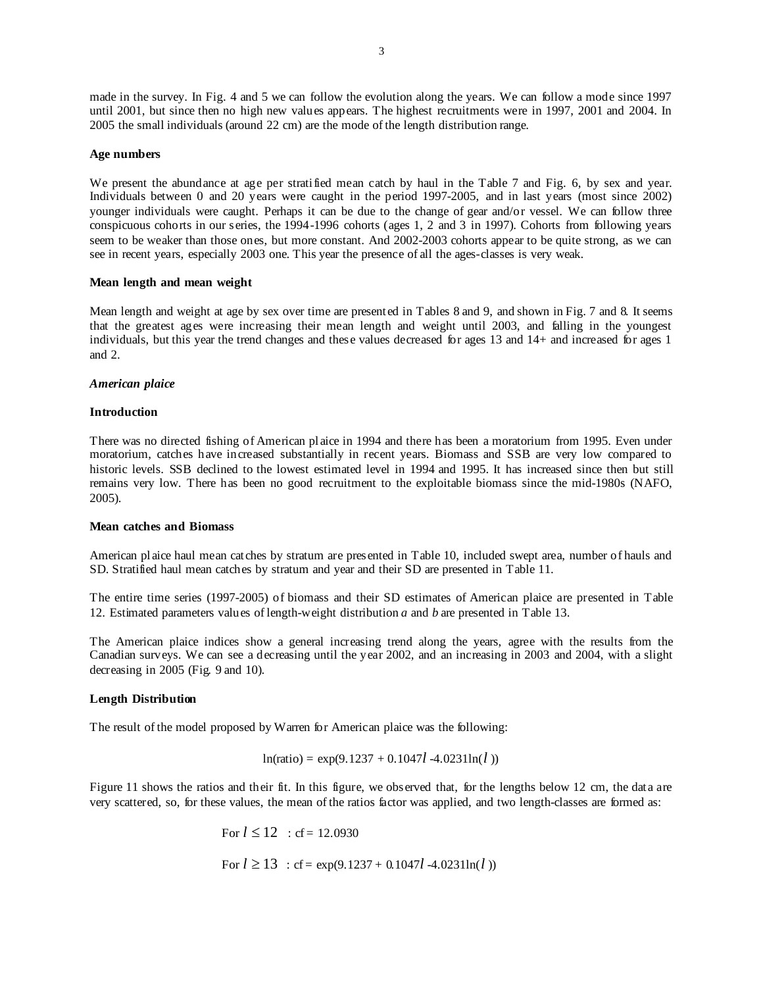made in the survey. In Fig. 4 and 5 we can follow the evolution along the years. We can follow a mode since 1997 until 2001, but since then no high new values appears. The highest recruitments were in 1997, 2001 and 2004. In 2005 the small individuals (around 22 cm) are the mode of the length distribution range.

#### **Age numbers**

We present the abundance at age per stratified mean catch by haul in the Table 7 and Fig. 6, by sex and year. Individuals between 0 and 20 years were caught in the period 1997-2005, and in last years (most since 2002) younger individuals were caught. Perhaps it can be due to the change of gear and/or vessel. We can follow three conspicuous cohorts in our series, the 1994-1996 cohorts (ages 1, 2 and 3 in 1997). Cohorts from following years seem to be weaker than those ones, but more constant. And 2002-2003 cohorts appear to be quite strong, as we can see in recent years, especially 2003 one. This year the presence of all the ages-classes is very weak.

## **Mean length and mean weight**

Mean length and weight at age by sex over time are presented in Tables 8 and 9, and shown in Fig. 7 and 8. It seems that the greatest ages were increasing their mean length and weight until 2003, and falling in the youngest individuals, but this year the trend changes and these values decreased for ages 13 and 14+ and increased for ages 1 and 2.

## *American plaice*

## **Introduction**

There was no directed fishing of American plaice in 1994 and there has been a moratorium from 1995. Even under moratorium, catches have increased substantially in recent years. Biomass and SSB are very low compared to historic levels. SSB declined to the lowest estimated level in 1994 and 1995. It has increased since then but still remains very low. There has been no good recruitment to the exploitable biomass since the mid-1980s (NAFO, 2005).

#### **Mean catches and Biomass**

American plaice haul mean catches by stratum are presented in Table 10, included swept area, number of hauls and SD. Stratified haul mean catches by stratum and year and their SD are presented in Table 11.

The entire time series (1997-2005) of biomass and their SD estimates of American plaice are presented in Table 12. Estimated parameters values of length-weight distribution *a* and *b* are presented in Table 13.

The American plaice indices show a general increasing trend along the years, agree with the results from the Canadian surveys. We can see a decreasing until the year 2002, and an increasing in 2003 and 2004, with a slight decreasing in 2005 (Fig. 9 and 10).

# **Length Distribution**

The result of the model proposed by Warren for American plaice was the following:

$$
ln(ratio) = exp(9.1237 + 0.1047l - 4.0231ln(l))
$$

Figure 11 shows the ratios and their fit. In this figure, we observed that, for the lengths below 12 cm, the data are very scattered, so, for these values, the mean of the ratios factor was applied, and two length-classes are formed as:

> For  $l \le 12$  : cf = 12.0930 For  $l \ge 13$ : cf = exp(9.1237 + 0.1047*l* -4.0231ln(*l*))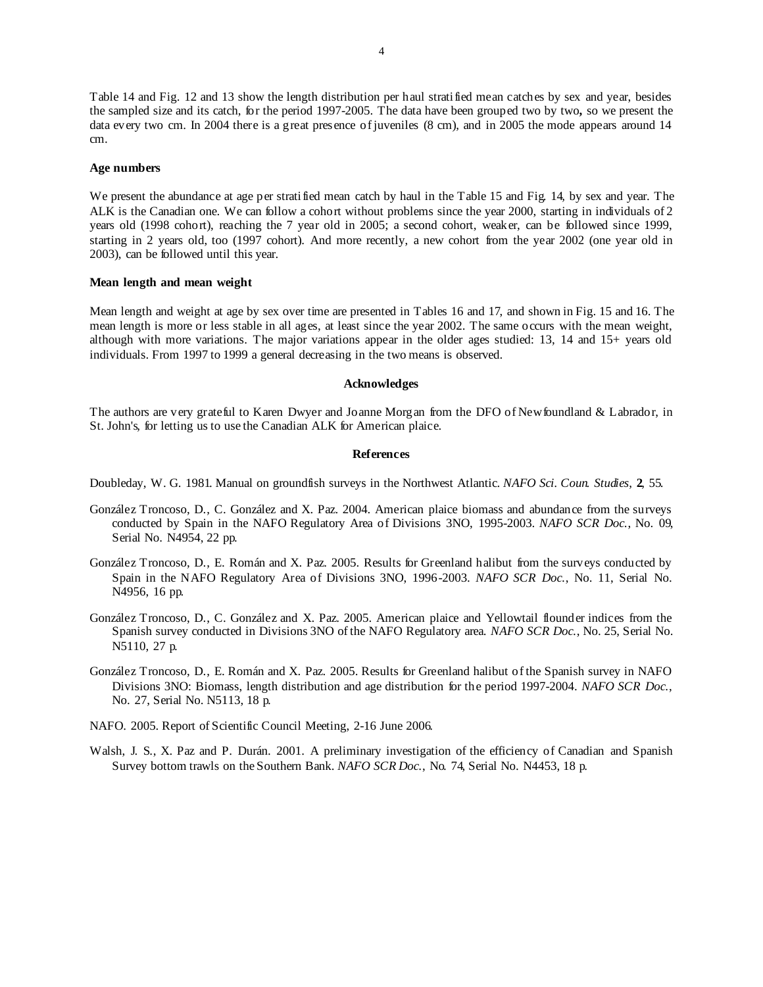Table 14 and Fig. 12 and 13 show the length distribution per haul stratified mean catches by sex and year, besides the sampled size and its catch, for the period 1997-2005. The data have been grouped two by two**,** so we present the data every two cm. In 2004 there is a great presence of juveniles (8 cm), and in 2005 the mode appears around 14 cm.

#### **Age numbers**

We present the abundance at age per stratified mean catch by haul in the Table 15 and Fig. 14, by sex and year. The ALK is the Canadian one. We can follow a cohort without problems since the year 2000, starting in individuals of 2 years old (1998 cohort), reaching the 7 year old in 2005; a second cohort, weaker, can be followed since 1999, starting in 2 years old, too (1997 cohort). And more recently, a new cohort from the year 2002 (one year old in 2003), can be followed until this year.

#### **Mean length and mean weight**

Mean length and weight at age by sex over time are presented in Tables 16 and 17, and shown in Fig. 15 and 16. The mean length is more or less stable in all ages, at least since the year 2002. The same occurs with the mean weight, although with more variations. The major variations appear in the older ages studied: 13, 14 and 15+ years old individuals. From 1997 to 1999 a general decreasing in the two means is observed.

#### **Acknowledges**

The authors are very grateful to Karen Dwyer and Joanne Morgan from the DFO of Newfoundland & Labrador, in St. John's, for letting us to use the Canadian ALK for American plaice.

# **References**

Doubleday, W. G. 1981. Manual on groundfish surveys in the Northwest Atlantic. *NAFO Sci. Coun. Studies*, **2**, 55.

- González Troncoso, D., C. González and X. Paz. 2004. American plaice biomass and abundance from the surveys conducted by Spain in the NAFO Regulatory Area of Divisions 3NO, 1995-2003. *NAFO SCR Doc*., No. 09, Serial No. N4954, 22 pp.
- González Troncoso, D., E. Román and X. Paz. 2005. Results for Greenland halibut from the surveys conducted by Spain in the NAFO Regulatory Area of Divisions 3NO, 1996-2003. *NAFO SCR Doc*., No. 11, Serial No. N4956, 16 pp.
- González Troncoso, D., C. González and X. Paz. 2005. American plaice and Yellowtail flounder indices from the Spanish survey conducted in Divisions 3NO of the NAFO Regulatory area. *NAFO SCR Doc*., No. 25, Serial No. N5110, 27 p.
- González Troncoso, D., E. Román and X. Paz. 2005. Results for Greenland halibut of the Spanish survey in NAFO Divisions 3NO: Biomass, length distribution and age distribution for the period 1997-2004. *NAFO SCR Doc*., No. 27, Serial No. N5113, 18 p.
- NAFO. 2005. Report of Scientific Council Meeting, 2-16 June 2006.
- Walsh, J. S., X. Paz and P. Durán. 2001. A preliminary investigation of the efficiency of Canadian and Spanish Survey bottom trawls on the Southern Bank. *NAFO SCR Doc*., No. 74, Serial No. N4453, 18 p.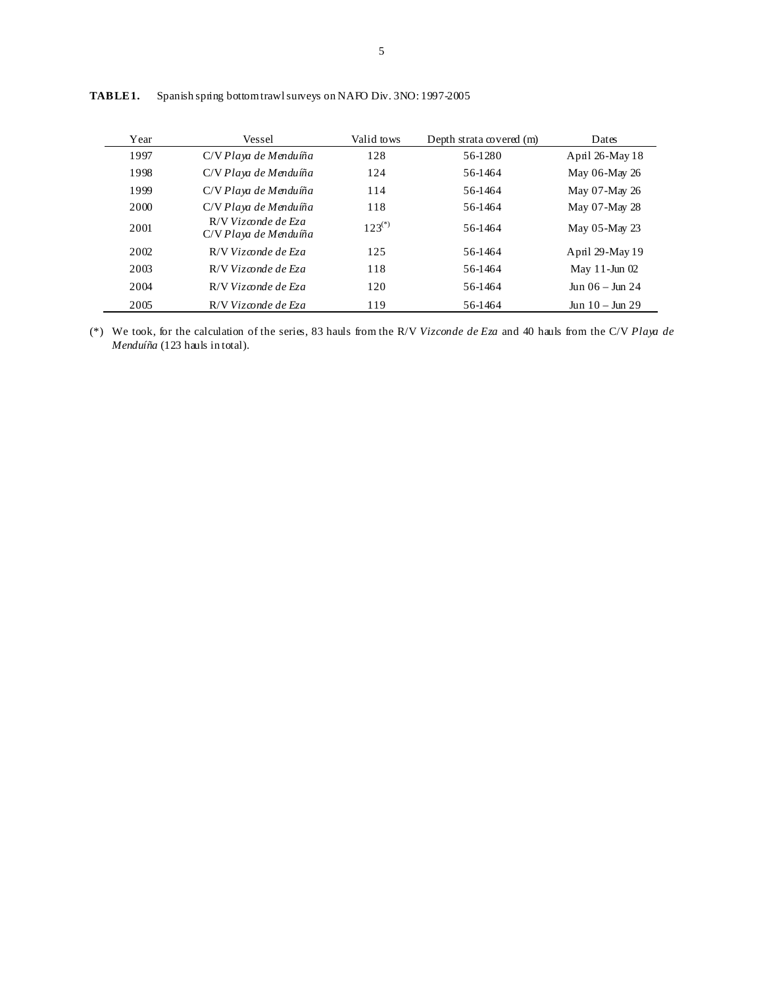| Year | Vessel                                       | Valid tows  | Depth strata covered (m) | Dates                   |
|------|----------------------------------------------|-------------|--------------------------|-------------------------|
| 1997 | C/V Playa de Menduíña                        | 128         | 56-1280                  | April 26-May 18         |
| 1998 | C/V Playa de Menduíña                        | 124         | 56-1464                  | May 06-May 26           |
| 1999 | C/V Playa de Menduíña                        | 114         | 56-1464                  | May 07-May 26           |
| 2000 | C/V Playa de Menduíña                        | 118         | 56-1464                  | May 07-May 28           |
| 2001 | R/V Vizconde de Eza<br>C/V Playa de Menduíña | $123^{(*)}$ | 56-1464                  | May $05$ -May 23        |
| 2002 | R/V Vizconde de Eza                          | 125         | 56-1464                  | April 29-May 19         |
| 2003 | R/V Vizconde de Eza                          | 118         | 56-1464                  | May $11$ -Jun $02$      |
| 2004 | R/V Vizconde de Eza                          | 120         | 56-1464                  | $\ln n$ 06 – $\ln n$ 24 |
| 2005 | R/V Vizconde de Eza                          | 119         | 56-1464                  | $Jun 10 - Jun 29$       |

**TABLE 1.** Spanish spring bottom trawl surveys on NAFO Div. 3NO: 1997-2005

(\*) We took, for the calculation of the series, 83 hauls from the R/V *Vizconde de Eza* and 40 hauls from the C/V *Playa de Menduíña* (123 hauls in total).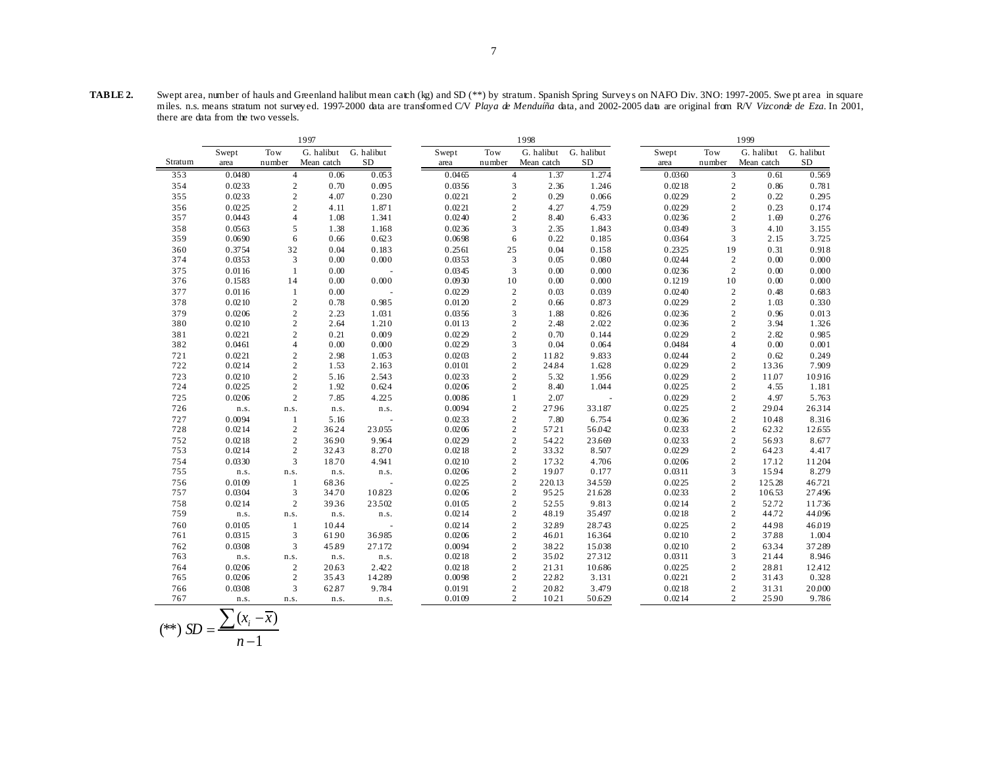**TABLE 2.** Swept area, number of hauls and Greenland halibut mean catch (kg) and SD (\*\*) by stratum. Spanish Spring Survey s on NAFO Div. 3NO: 1997-2005. Swe pt area in square miles. n.s. means stratum not survey ed. 1997-2000 data are transformed C/V *Playa de Menduíña* data, and 2002-2005 data are original from R/V *Vizconde de Eza*. In 2001, there are data from the two vessels.

|         | 1997   |                |            |                          |        | 1998             |            |            |  |        |                | 1999       |            |  |  |
|---------|--------|----------------|------------|--------------------------|--------|------------------|------------|------------|--|--------|----------------|------------|------------|--|--|
|         | Swept  | Tow            | G. halibut | G. halibut               | Swept  | Tow              | G. halibut | G. halibut |  | Swept  | Tow            | G. halibut | G. halibut |  |  |
| Stratum | area   | number         | Mean catch | SD                       | area   | number           | Mean catch | <b>SD</b>  |  | area   | number         | Mean catch | $\rm SD$   |  |  |
| 353     | 0.0480 | $\overline{4}$ | 0.06       | 0.053                    | 0.0465 | $\overline{4}$   | 1.37       | 1.274      |  | 0.0360 | 3              | 0.61       | 0.569      |  |  |
| 354     | 0.0233 | $\sqrt{2}$     | 0.70       | 0.095                    | 0.0356 | 3                | 2.36       | 1.246      |  | 0.0218 | $\sqrt{2}$     | 0.86       | 0.781      |  |  |
| 355     | 0.0233 | $\sqrt{2}$     | 4.07       | 0.230                    | 0.0221 | $\sqrt{2}$       | 0.29       | 0.066      |  | 0.0229 | $\sqrt{2}$     | 0.22       | 0.295      |  |  |
| 356     | 0.0225 | $\sqrt{2}$     | 4.11       | 1.871                    | 0.0221 | $\overline{c}$   | 4.27       | 4.759      |  | 0.0229 | $\overline{c}$ | 0.23       | 0.174      |  |  |
| 357     | 0.0443 | $\overline{4}$ | 1.08       | 1.341                    | 0.0240 | $\sqrt{2}$       | 8.40       | 6.433      |  | 0.0236 | $\sqrt{2}$     | 1.69       | 0.276      |  |  |
| 358     | 0.0563 | 5              | 1.38       | 1.168                    | 0.0236 | 3                | 2.35       | 1.843      |  | 0.0349 | 3              | 4.10       | 3.155      |  |  |
| 359     | 0.0690 | 6              | 0.66       | 0.623                    | 0.0698 | 6                | 0.22       | 0.185      |  | 0.0364 | 3              | 2.15       | 3.725      |  |  |
| 360     | 0.3754 | 32             | 0.04       | 0.183                    | 0.2561 | 25               | 0.04       | 0.158      |  | 0.2325 | 19             | 0.31       | 0.918      |  |  |
| 374     | 0.0353 | 3              | 0.00       | 0.000                    | 0.0353 | 3                | 0.05       | 0.080      |  | 0.0244 | $\mathbf{2}$   | 0.00       | 0.000      |  |  |
| 375     | 0.0116 | $\mathbf{1}$   | $0.00\,$   |                          | 0.0345 | 3                | 0.00       | 0.000      |  | 0.0236 | $\sqrt{2}$     | 0.00       | 0.000      |  |  |
| 376     | 0.1583 | 14             | 0.00       | 0.000                    | 0.0930 | 10               | 0.00       | 0.000      |  | 0.1219 | 10             | 0.00       | 0.000      |  |  |
| 377     | 0.0116 | $\mathbf{1}$   | 0.00       |                          | 0.0229 | $\mathbf{2}$     | 0.03       | 0.039      |  | 0.0240 | $\mathbf{2}$   | 0.48       | 0.683      |  |  |
| 378     | 0.0210 | $\mathbf{2}$   | 0.78       | 0.985                    | 0.0120 | $\overline{c}$   | 0.66       | 0.873      |  | 0.0229 | $\mathbf{2}$   | 1.03       | 0.330      |  |  |
| 379     | 0.0206 | $\overline{c}$ | 2.23       | 1.031                    | 0.0356 | 3                | 1.88       | 0.826      |  | 0.0236 | $\overline{c}$ | 0.96       | 0.013      |  |  |
| 380     | 0.0210 | $\sqrt{2}$     | 2.64       | 1.210                    | 0.0113 | $\mathbf{2}$     | 2.48       | 2.022      |  | 0.0236 | $\sqrt{2}$     | 3.94       | 1.326      |  |  |
| 381     | 0.0221 | $\overline{c}$ | 0.21       | 0.009                    | 0.0229 | $\mathbf{2}$     | 0.70       | 0.144      |  | 0.0229 | $\overline{c}$ | 2.82       | 0.985      |  |  |
| 382     | 0.0461 | $\overline{4}$ | $0.00\,$   | 0.000                    | 0.0229 | 3                | 0.04       | 0.064      |  | 0.0484 | $\overline{4}$ | 0.00       | 0.001      |  |  |
| 721     | 0.0221 | $\sqrt{2}$     | 2.98       | 1.053                    | 0.0203 | $\mathbf{2}$     | 11.82      | 9.833      |  | 0.0244 | $\sqrt{2}$     | 0.62       | 0.249      |  |  |
| 722     | 0.0214 | $\sqrt{2}$     | 1.53       | 2.163                    | 0.0101 | $\sqrt{2}$       | 24.84      | 1.628      |  | 0.0229 | $\sqrt{2}$     | 1336       | 7.909      |  |  |
| 723     | 0.0210 | $\sqrt{2}$     | 5.16       | 2.543                    | 0.0233 | $\mathbf{2}$     | 5.32       | 1.956      |  | 0.0229 | $\mathbf{2}$   | 11.07      | 10.916     |  |  |
| 724     | 0.0225 | $\sqrt{2}$     | 1.92       | 0.624                    | 0.0206 | $\overline{c}$   | 8.40       | 1.044      |  | 0.0225 | $\mathbf{2}$   | 4.55       | 1.181      |  |  |
| 725     | 0.0206 | $\overline{c}$ | 7.85       | 4.225                    | 0.0086 |                  | 2.07       |            |  | 0.0229 | $\overline{c}$ | 4.97       | 5.763      |  |  |
| 726     | n.s.   | n.s.           | n.s.       | n.s.                     | 0.0094 | $\overline{c}$   | 27.96      | 33.187     |  | 0.0225 | $\overline{c}$ | 29.04      | 26314      |  |  |
| 727     | 0.0094 | -1             | 5.16       | ÷,                       | 0.0233 | $\sqrt{2}$       | 7.80       | 6.754      |  | 0.0236 | $\sqrt{2}$     | 10.48      | 8.316      |  |  |
| 728     | 0.0214 | $\sqrt{2}$     | 36.24      | 23.055                   | 0.0206 | $\mathbf{2}$     | 5721       | 56.042     |  | 0.0233 | $\sqrt{2}$     | 6232       | 12.655     |  |  |
| 752     | 0.0218 | $\sqrt{2}$     | 36.90      | 9.964                    | 0.0229 | $\overline{c}$   | 54.22      | 23.669     |  | 0.0233 | $\sqrt{2}$     | 56.93      | 8.677      |  |  |
| 753     | 0.0214 | $\sqrt{2}$     | 32.43      | 8.270                    | 0.0218 | $\mathbf{2}$     | 3332       | 8.507      |  | 0.0229 | $\sqrt{2}$     | 64.23      | 4.417      |  |  |
| 754     | 0.0330 | 3              | 18.70      | 4.941                    | 0.0210 | $\mathbf{2}$     | 1732       | 4.706      |  | 0.0206 | $\overline{c}$ | 17.12      | 11.204     |  |  |
| 755     | n.s.   | n.s.           | n.s.       | n.s.                     | 0.0206 | $\mathbf{2}$     | 19.07      | 0.177      |  | 0.0311 | 3              | 15.94      | 8.279      |  |  |
| 756     | 0.0109 | $\mathbf{1}$   | 6836       | $\sim$                   | 0.0225 | $\overline{c}$   | 220.13     | 34559      |  | 0.0225 | $\overline{c}$ | 125.28     | 46.721     |  |  |
| 757     | 0.0304 | 3              | 34.70      | 10.823                   | 0.0206 | $\overline{c}$   | 95.25      | 21.628     |  | 0.0233 | $\overline{c}$ | 106.53     | 27.496     |  |  |
| 758     | 0.0214 | $\sqrt{2}$     | 3936       | 23502                    | 0.0105 | $\mathbf{2}$     | 5255       | 9.813      |  | 0.0214 | $\sqrt{2}$     | 52.72      | 11.736     |  |  |
| 759     | n.s.   | n.s.           | n.s.       | n.s.                     | 0.0214 | $\mathbf{2}$     | 48.19      | 35.497     |  | 0.0218 | $\overline{c}$ | 44.72      | 44.096     |  |  |
| 760     | 0.0105 | $\mathbf{1}$   | 10.44      | $\overline{\phantom{a}}$ | 0.0214 | $\mathbf{2}$     | 32.89      | 28.743     |  | 0.0225 | $\overline{c}$ | 44.98      | 46.019     |  |  |
| 761     | 0.0315 | 3              | 61.90      | 36985                    | 0.0206 | $\boldsymbol{2}$ | 46.01      | 16364      |  | 0.0210 | $\overline{c}$ | 37.88      | 1.004      |  |  |
| 762     | 0.0308 | $\overline{3}$ | 45.89      | 27.172                   | 0.0094 | $\sqrt{2}$       | 38.22      | 15.038     |  | 0.0210 | $\sqrt{2}$     | 6334       | 37.289     |  |  |
| 763     | n.s.   | n.s.           | n.s.       | n.s.                     | 0.0218 | $\overline{c}$   | 35.02      | 27312      |  | 0.0311 | 3              | 21.44      | 8.946      |  |  |
| 764     | 0.0206 | $\sqrt{2}$     | 20.63      | 2.422                    | 0.0218 | $\mathbf{2}$     | 2131       | 10.686     |  | 0.0225 | $\overline{c}$ | 28.81      | 12.412     |  |  |
| 765     | 0.0206 | $\sqrt{2}$     | 35.43      | 14.289                   | 0.0098 | $\overline{c}$   | 22.82      | 3.131      |  | 0.0221 | $\overline{c}$ | 31.43      | 0.328      |  |  |
| 766     | 0.0308 | 3              | 62.87      | 9.784                    | 0.0191 | $\mathbf{2}$     | 20.82      | 3.479      |  | 0.0218 | $\sqrt{2}$     | 3131       | 20.000     |  |  |
| 767     | n.s.   | n.s.           | n.s.       | n.s.                     | 0.0109 | 2                | 1021       | 50.629     |  | 0.0214 | $\overline{c}$ | 25.90      | 9.786      |  |  |

$$
(**) SD = \frac{\sum (x_i - \overline{x})}{n - 1}
$$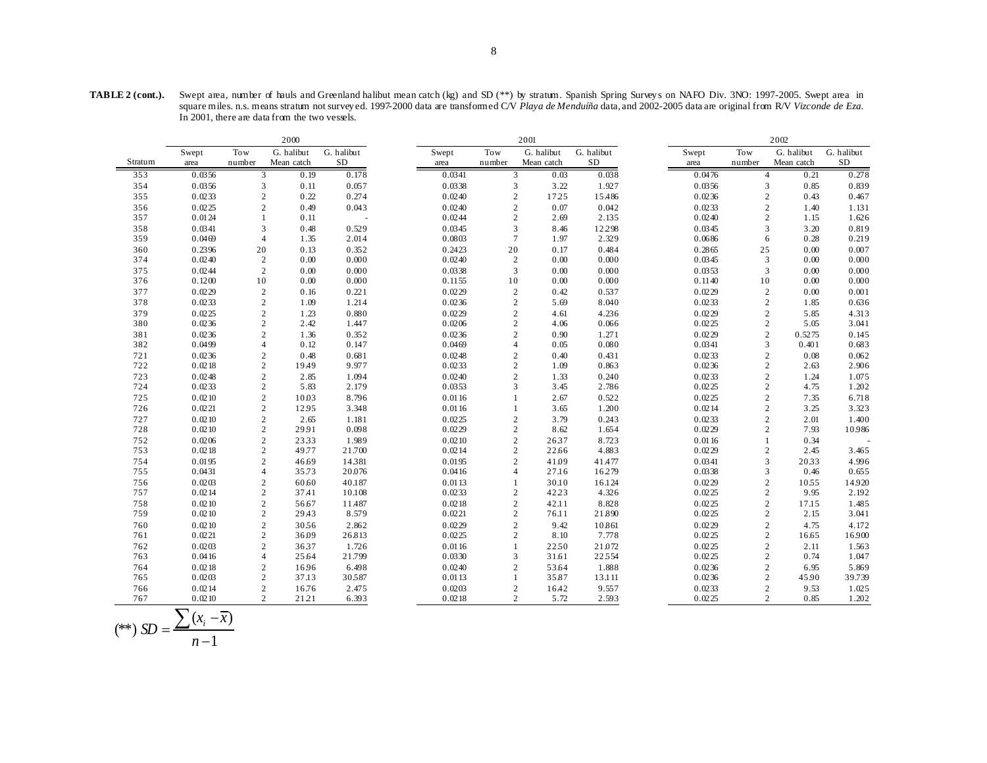|            |                  | 2000           |                                               |                  | 2001             |                              |                |                 |  | 2002             |                                  |               |                 |
|------------|------------------|----------------|-----------------------------------------------|------------------|------------------|------------------------------|----------------|-----------------|--|------------------|----------------------------------|---------------|-----------------|
|            | Swept            | Tow            | G. halibut                                    | G. halibut       | Swept            | <b>Tow</b>                   | G. halibut     | G. halibut      |  | Swept            | Tow                              | G. halibut    | G. halibut      |
| Stratum    | area             | number         | Mean catch                                    | <b>SD</b>        | area             | number                       | Mean catch     | <b>SD</b>       |  | area             | number                           | Mean catch    | SD              |
| 353        | 0.0356           |                | 0.19<br>3                                     | 0.178            | 0.0341           | 3                            | 0.03           | 0.038           |  | 0.0476           | $\overline{4}$                   | 0.21          | 0.278           |
| 354        | 0.0356           |                | 3<br>0.11                                     | 0.057            | 0.0338           | $\mathfrak z$                | 3.22           | 1.927           |  | 0.0356           | $\mathfrak{Z}$                   | 0.85          | 0.839           |
| 355        | 0.0233           |                | $\mathbf{2}$<br>0.22                          | 0.274            | 0.0240           | $\overline{2}$               | 17.25          | 15.486          |  | 0.0236           | $\overline{c}$                   | 0.43          | 0.467           |
| 356        | 0.0225           |                | $\mathbf{2}$<br>0.49                          | 0.043            | 0.0240           | $\overline{c}$               | 0.07           | 0.042           |  | 0.0233           | $\overline{c}$                   | 1.40          | 1.131           |
| 357        | 0.0124           | 1              | 0.11                                          |                  | 0.0244           | $\sqrt{2}$                   | 2.69           | 2.135           |  | 0.0240           | $\overline{c}$                   | 1.15          | 1.626           |
| 358        | 0.0341           |                | 3<br>0.48                                     | 0.529            | 0.0345           | 3                            | 8.46           | 12.298          |  | 0.0345           | 3                                | 3.20          | 0.819           |
| 359        | 0.0469           |                | $\overline{4}$<br>1.35                        | 2.014            | 0.0803           | $7\phantom{.0}$              | 1.97           | 2.329           |  | 0.0686           | 6                                | 0.28          | 0.219           |
| 360        | 0.2396           | 20             | 0.13                                          | 0.352            | 0.2423           | 20                           | 0.17           | 0.484           |  | 0.2865           | 25                               | 0.00          | 0.007           |
| 374        | 0.0240           | $\overline{c}$ | 0.00                                          | 0.000            | 0.0240           | $\overline{2}$               | 0.00           | 0.000           |  | 0.0345           | 3                                | 0.00          | 0.000           |
| 375        | 0.0244           |                | $\mathbf{2}$<br>0.00                          | 0.000            | 0.0338           | 3                            | 0.00           | 0.000           |  | 0.0353           | 3                                | 0.00          | 0.000           |
| 376        | 0.1200           | 10             | 0.00                                          | 0.000            | 0.1155           | 10                           | 0.00           | 0.000           |  | 0.1140           | 10                               | 0.00          | 0.000           |
| 377        | 0.0229           |                | $\mathbf{2}$<br>0.16                          | 0.221            | 0.0229           | $\overline{2}$               | 0.42           | 0.537           |  | 0.0229           | $\mathbf{2}$                     | 0.00          | 0.001           |
| 378        | 0.0233           |                | $\mathbf{2}$<br>1.09                          | 1.214            | 0.0236           | $\overline{c}$               | 5.69           | 8.040           |  | 0.0233           | $\overline{c}$                   | 1.85          | 0.636           |
| 379        | 0.0225           |                | $\sqrt{2}$<br>1.23                            | 0.880            | 0.0229           | $\overline{c}$               | 4.61           | 4.236           |  | 0.0229           | $\boldsymbol{2}$                 | 5.85          | 4.313           |
| 380        | 0.0236           |                | $\mathbf{2}$<br>2.42                          | 1.447            | 0.0206           | $\overline{2}$               | 4.06           | 0.066           |  | 0.0225           | $\overline{c}$                   | 5.05          | 3.041           |
| 381        | 0.0236           |                | $\overline{c}$<br>1.36                        | 0.352            | 0.0236           | $\overline{2}$               | 0.90           | 1.271           |  | 0.0229           | $\overline{c}$                   | 0.5275        | 0.145           |
| 382        | 0.0499           |                | 0.12<br>$\overline{4}$                        | 0.147            | 0.0469           | $\overline{4}$               | 0.05           | 0.080           |  | 0.0341           | 3                                | 0.401         | 0.683           |
| 721        | 0.0236           |                | $\mathfrak{2}$<br>0.48                        | 0.681            | 0.0248           | $\overline{2}$               | 0.40           | 0.431           |  | 0.0233           | $\overline{c}$                   | 0.08          | 0.062           |
| 722        | 0.0218           |                | $\mathfrak{2}$<br>19.49                       | 9.977            | 0.0233           | $\overline{2}$               | 1.09           | 0.863           |  | 0.0236           | $\overline{c}$                   | 2.63          | 2.906           |
| 723        | 0.0248           |                | $\mathbf{2}$<br>2.85                          | 1.094            | 0.0240           | $\overline{2}$               | 1.33           | 0.240           |  | 0.0233           | $\overline{c}$                   | 1.24          | 1.075           |
| 724        | 0.0233           |                | $\mathbf{2}$<br>5.83                          | 2.179            | 0.0353           | 3                            | 3.45           | 2.786           |  | 0.0225           | $\overline{c}$                   | 4.75          | 1.202           |
| 725        | 0.0210           |                | $\mathbf{2}$<br>10.03                         | 8.796            | 0.0116           |                              | 2.67           | 0.522           |  | 0.0225           | $\overline{c}$                   | 7.35          | 6.718           |
| 726        | 0.0221           |                | $\mathbf{2}$<br>1295                          | 3.348            | 0.0116           |                              | 3.65           | 1.200           |  | 0.0214           | $\overline{c}$                   | 3.25          | 3.323           |
| 727        | 0.0210           |                | $\sqrt{2}$<br>2.65                            | 1.181            | 0.0225           | $\overline{2}$               | 3.79           | 0.243           |  | 0.0233           | $\sqrt{2}$                       | 2.01          | 1.400           |
| 728        | 0.0210           |                | $\mathfrak{2}$<br>29.91                       | 0.098            | 0.0229           | $\overline{2}$               | 8.62           | 1.654           |  | 0.0229           | $\overline{c}$                   | 7.93          | 10.986          |
| 752        | 0.0206           |                | $\mathbf{2}$<br>2333                          | 1.989            | 0.0210           | $\sqrt{2}$                   | 2637           | 8.723           |  | 0.0116           |                                  | 0.34          |                 |
| 753        | 0.0218           |                | $\sqrt{2}$<br>49.77                           | 21.700           | 0.0214           | $\overline{2}$               | 22.66          | 4.883           |  | 0.0229           | $\mathfrak{2}$                   | 2.45          | 3.465           |
| 754        | 0.0195           |                | $\mathbf{2}$<br>46.69                         | 14381            | 0.0195           | $\overline{2}$               | 41.09          | 41.477          |  | 0.0341           | 3                                | 2033          | 4.996           |
| 755        | 0.0431           |                | 35.73<br>$\overline{4}$                       | 20.076           | 0.0416           | $\overline{4}$               | 27.16          | 16.279          |  | 0.0338           | 3                                | 0.46          | 0.655           |
| 756        | 0.0203           |                | $\boldsymbol{2}$<br>60.60                     | 40.187           | 0.0113<br>0.0233 | $\overline{2}$               | 30.10          | 16.124          |  | 0.0229           | $\boldsymbol{2}$                 | 1055<br>9.95  | 14.920          |
| 757        | 0.0214<br>0.0210 |                | $\mathfrak{2}$<br>37.41                       | 10.108<br>11.487 | 0.0218           |                              | 42.23          | 4.326<br>8.828  |  | 0.0225<br>0.0225 | $\overline{c}$<br>$\overline{c}$ |               | 2.192<br>1.485  |
| 758<br>759 | 0.0210           |                | $\sqrt{2}$<br>56.67<br>29.43                  | 8.579            | 0.0221           | $\overline{2}$<br>$\sqrt{2}$ | 42.11<br>76.11 | 21.890          |  | 0.0225           |                                  | 17.15<br>2.15 | 3.041           |
|            |                  |                | $\boldsymbol{2}$                              | 2.862            |                  | $\overline{2}$               |                |                 |  |                  | $\boldsymbol{2}$                 |               |                 |
| 760<br>761 | 0.0210<br>0.0221 |                | $\mathbf{2}$<br>3056<br>$\mathbf{2}$<br>36.09 | 26.813           | 0.0229<br>0.0225 | $\overline{2}$               | 9.42<br>8.10   | 10.861<br>7.778 |  | 0.0229<br>0.0225 | $\overline{c}$<br>$\overline{c}$ | 4.75<br>16.65 | 4.172<br>16.900 |
| 762        | 0.0203           |                | $\mathfrak{2}$<br>3637                        | 1.726            | 0.0116           | $\mathbf{1}$                 | 2250           | 21.072          |  | 0.0225           | $\overline{c}$                   |               |                 |
| 763        | 0.0416           |                | 25.64<br>$\overline{4}$                       | 21.799           | 0.0330           | 3                            | 31.61          | 22554           |  | 0.0225           | $\boldsymbol{2}$                 | 2.11<br>0.74  | 1.563<br>1.047  |
| 764        | 0.0218           |                | $\mathfrak{2}$<br>16.96                       | 6.498            | 0.0240           | $\overline{2}$               | 53.64          | 1.888           |  | 0.0236           | $\overline{c}$                   | 6.95          | 5.869           |
| 765        | 0.0203           |                | $\mathfrak{2}$<br>37.13                       | 30587            | 0.0113           | $\mathbf{1}$                 | 35.87          | 13.111          |  | 0.0236           | $\overline{c}$                   | 45.90         | 39.739          |
| 766        | 0.0214           |                | $\mathbf{2}$<br>16.76                         | 2.475            | 0.0203           | $\overline{2}$               | 16.42          | 9.557           |  | 0.0233           | $\overline{c}$                   | 9.53          | 1.025           |
| 767        | 0.0210           |                | $\overline{c}$<br>21.21                       | 6.393            | 0.0218           | $\overline{2}$               | 5.72           | 2.593           |  | 0.0225           | $\overline{c}$                   | 0.85          | 1.202           |
|            |                  |                |                                               |                  |                  |                              |                |                 |  |                  |                                  |               |                 |

$$
(**) SD = \frac{\sum (x_i - \overline{x})}{n-1}
$$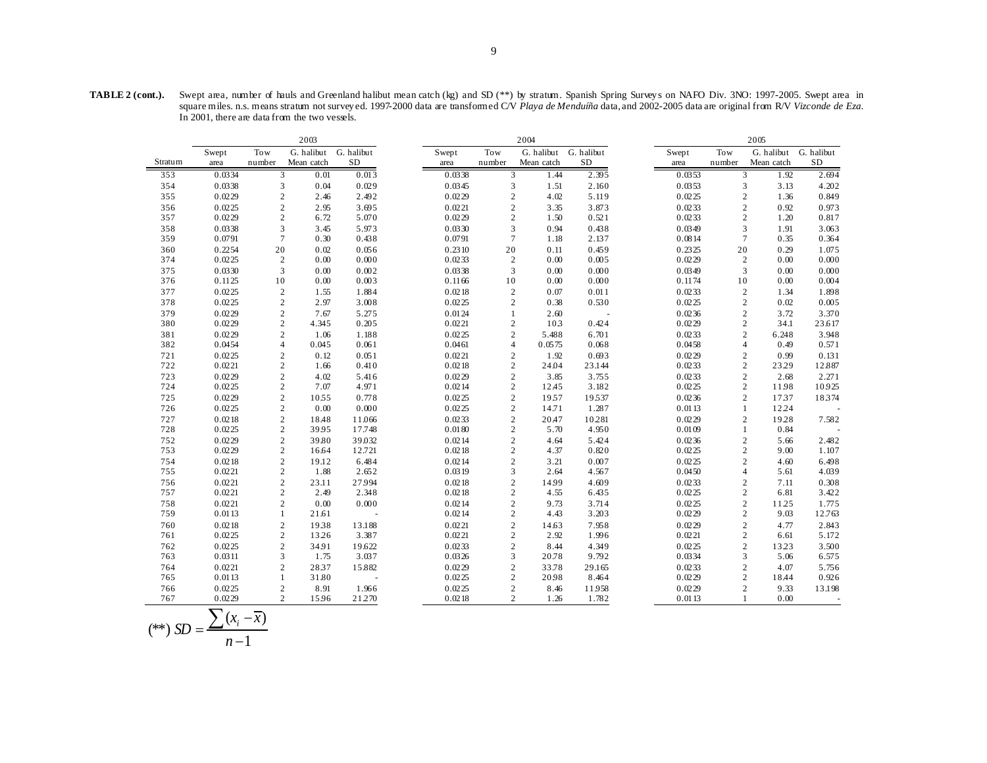|            |                  |                                  | 2003          |                 |                  |                              | 2004           |                 |                  |                     | 2005                  |                |
|------------|------------------|----------------------------------|---------------|-----------------|------------------|------------------------------|----------------|-----------------|------------------|---------------------|-----------------------|----------------|
|            | Swept            | <b>Tow</b>                       | G. halibut    | G. halibut      | Swept            | Tow                          | G. halibut     | G. halibut      | Swept            | Tow                 | G. halibut G. halibut |                |
| Stratum    | area             | number                           | Mean catch    | SD              | area             | number                       | Mean catch     | <b>SD</b>       | area             | number              | Mean catch            | SD             |
| 353        | 0.0334           | 3                                | 0.01          | 0.013           | 0.0338           | 3                            | 1.44           | 2.395           | 0.0353           | 3                   | 1.92                  | 2.694          |
| 354        | 0.0338           | 3                                | 0.04          | 0.029           | 0.0345           | $\mathfrak{Z}$               | 1.51           | 2.160           | 0.0353           | 3                   | 3.13                  | 4.202          |
| 355        | 0.0229           | $\sqrt{2}$                       | 2.46          | 2.492           | 0.0229           | $\sqrt{2}$                   | 4.02           | 5.119           | 0.0225           | $\sqrt{2}$          | 1.36                  | 0.849          |
| 356        | 0.0225           | $\overline{c}$                   | 2.95          | 3.695           | 0.0221           | $\sqrt{2}$                   | 3.35           | 3.873           | 0.0233           | $\overline{c}$      | 0.92                  | 0.973          |
| 357        | 0.0229           | $\sqrt{2}$                       | 6.72          | 5.070           | 0.0229           | $\overline{c}$               | 1.50           | 0.521           | 0.0233           | $\overline{c}$      | 1.20                  | 0.817          |
| 358        | 0.0338           | 3                                | 3.45          | 5.973           | 0.0330           | 3                            | 0.94           | 0.438           | 0.0349           | 3                   | 1.91                  | 3.063          |
| 359        | 0.0791           | $\overline{7}$                   | 0.30          | 0.438           | 0.0791           | $\overline{7}$               | 1.18           | 2.137           | 0.0814           | 7                   | 0.35                  | 0.364          |
| 360        | 0.2254           | 20                               | 0.02          | 0.056           | 0.2310           | 20                           | 0.11           | 0.459           | 0.2325           | 20                  | 0.29                  | 1.075          |
| 374        | 0.0225           | $\mathfrak{2}$                   | 0.00          | 0.000           | 0.0233           | $\overline{2}$               | 0.00           | 0.005           | 0.0229           | 2                   | 0.00                  | 0.000          |
| 375        | 0.0330           | 3                                | 0.00          | 0.002           | 0.0338           | 3                            | 0.00           | 0.000           | 0.0349           | 3                   | 0.00                  | 0.000          |
| 376        | 0.1125           | 10                               | 0.00          | 0.003           | 0.1166           | 10                           | $0.00\,$       | 0.000           | 0.1174           | 10                  | 0.00                  | 0.004          |
| 377        | 0.0225           | $\overline{2}$                   | 1.55          | 1.884           | 0.0218           | $\sqrt{2}$                   | 0.07           | 0.011           | 0.0233           | $\overline{c}$      | 1.34                  | 1.898          |
| 378        | 0.0225           | $\overline{c}$                   | 2.97          | 3.008           | 0.0225           | $\overline{2}$               | 0.38           | 0.530           | 0.0225           | $\overline{c}$      | 0.02                  | 0.005          |
| 379        | 0.0229           | $\sqrt{2}$                       | 7.67          | 5.275           | 0.0124           | $\mathbf{1}$                 | 2.60           |                 | 0.0236           | $\overline{c}$      | 3.72                  | 3.370          |
| 380        | 0.0229           | $\mathbf{2}$                     | 4.345         | 0.205           | 0.0221           | $\overline{2}$               | 103            | 0.424           | 0.0229           | $\overline{c}$      | 34.1                  | 23.617         |
| 381        | 0.0229           | $\overline{c}$                   | 1.06          | 1.188           | 0.0225           | $\sqrt{2}$                   | 5.488          | 6.701           | 0.0233           | $\overline{c}$      | 6.248                 | 3.948          |
| 382        | 0.0454           | $\overline{4}$                   | 0.045         | 0.061           | 0.0461           | $\overline{4}$               | 0.0575         | 0.068           | 0.0458           | 4                   | 0.49                  | 0.571          |
| 721        | 0.0225           | $\sqrt{2}$                       | 0.12          | 0.051           | 0.0221           | $\sqrt{2}$                   | 1.92           | 0.693           | 0.0229           | $\sqrt{2}$          | 0.99                  | 0.131          |
| 722        | 0.0221           | $\mathbf{2}$                     | 1.66          | 0.410           | 0.0218           | $\sqrt{2}$                   | 24.04          | 23.144          | 0.0233           | $\overline{c}$      | 23.29                 | 12.887         |
| 723        | 0.0229           | $\overline{c}$                   | 4.02          | 5.416           | 0.0229           | $\sqrt{2}$                   | 3.85           | 3.755           | 0.0233           | $\overline{c}$      | 2.68                  | 2.271          |
| 724        | 0.0225           | $\overline{2}$                   | 7.07          | 4.971           | 0.0214           | $\sqrt{2}$                   | 12.45          | 3.182           | 0.0225           | $\overline{c}$      | 1198                  | 10.925         |
| 725        | 0.0229           | $\overline{c}$                   | 1055          | 0.778           | 0.0225           | $\sqrt{2}$                   | 1957           | 19537           | 0.0236           | $\overline{2}$      | 1737                  | 18374          |
| 726        | 0.0225           | $\boldsymbol{2}$                 | 0.00          | 0.000           | 0.0225           | $\sqrt{2}$                   | 14.71          | 1.287           | 0.0113           | 1                   | 12.24                 |                |
| 727        | 0.0218           | $\overline{c}$                   | 18.48         | 11.066          | 0.0233           | $\sqrt{2}$                   | 20.47          | 10.281          | 0.0229           | $\overline{c}$      | 19.28                 | 7.582          |
| 728        | 0.0225           | $\sqrt{2}$                       | 3995          | 17.748          | 0.0180           | $\sqrt{2}$                   | 5.70           | 4.950           | 0.0109           | 1                   | 0.84                  |                |
| 752        | 0.0229           | $\sqrt{2}$                       | 39.80         | 39.032          | 0.0214           | $\sqrt{2}$                   | 4.64           | 5.424           | 0.0236           | $\boldsymbol{2}$    | 5.66                  | 2.482          |
| 753        | 0.0229           | $\sqrt{2}$                       | 16.64         | 12.721          | 0.0218           | $\overline{c}$               | 4.37           | 0.820           | 0.0225           | $\overline{c}$      | 9.00                  | 1.107          |
| 754        | 0.0218           | $\overline{c}$                   | 19.12         | 6.484           | 0.0214           | $\overline{c}$               | 3.21           | 0.007           | 0.0225           | $\overline{c}$      | 4.60                  | 6.498          |
| 755        | 0.0221           | $\mathbf{2}$                     | 1.88          | 2.652           | 0.0319           | 3                            | 2.64           | 4.567           | 0.0450           | 4                   | 5.61                  | 4.039          |
| 756        | 0.0221           | $\overline{c}$                   | 23.11         | 27.994          | 0.0218           | $\overline{c}$               | 14.99          | 4.609           | 0.0233           | $\overline{c}$      | 7.11                  | 0.308          |
| 757        | 0.0221           | $\mathbf{2}$                     | 2.49          | 2.348           | 0.0218           | $\sqrt{2}$                   | 4.55           | 6.435           | 0.0225           | $\overline{c}$      | 6.81                  | 3.422          |
| 758        | 0.0221           | $\mathbf{2}$                     | 0.00          | 0.000           | 0.0214           | $\sqrt{2}$                   | 9.73           | 3.714           | 0.0225           | $\overline{c}$      | 11.25                 | 1.775          |
| 759        | 0.0113           | $\mathbf{1}$                     | 21.61         |                 | 0.0214           | $\overline{c}$               | 4.43           | 3.203           | 0.0229           | $\mathbf{2}$        | 9.03                  | 12.763         |
| 760        | 0.0218           | $\overline{c}$                   | 1938          | 13.188          | 0.0221           | $\overline{2}$               | 14.63          | 7.958           | 0.0229           | $\overline{c}$      | 4.77                  | 2.843          |
| 761        | 0.0225           | $\sqrt{2}$                       | 13.26         | 3.387           | 0.0221           | $\overline{2}$               | 2.92           | 1.996           | 0.0221           | $\overline{c}$      | 6.61                  | 5.172          |
| 762<br>763 | 0.0225<br>0.0311 | $\sqrt{2}$<br>3                  | 34.91<br>1.75 | 19.622<br>3.037 | 0.0233           | $\overline{c}$<br>3          | 8.44           | 4.349           | 0.0225           | $\overline{c}$<br>3 | 13.23<br>5.06         | 3.500<br>6.575 |
|            |                  |                                  |               |                 | 0.0326           | $\overline{c}$               | 20.78          | 9.792           | 0.0334           |                     |                       |                |
| 764<br>765 | 0.0221           | $\overline{c}$                   | 2837          | 15.882          | 0.0229<br>0.0225 | $\sqrt{2}$                   | 33.78<br>20.98 | 29.165<br>8.464 | 0.0233<br>0.0229 | $\overline{c}$      | 4.07<br>18.44         | 5.756<br>0.926 |
|            | 0.0113           | 1                                | 31.80         |                 |                  |                              |                |                 |                  | 2                   |                       |                |
| 766<br>767 | 0.0225<br>0.0229 | $\overline{c}$<br>$\overline{c}$ | 8.91          | 1.966           | 0.0225<br>0.0218 | $\sqrt{2}$<br>$\overline{c}$ | 8.46           | 11958           | 0.0229           | $\overline{c}$<br>1 | 9.33<br>0.00          | 13.198         |
|            |                  |                                  | 15.96         | 21270           |                  |                              | 1.26           | 1.782           | 0.0113           |                     |                       |                |

$$
(**) SD = \frac{\sum (x_i - \overline{x})}{n-1}
$$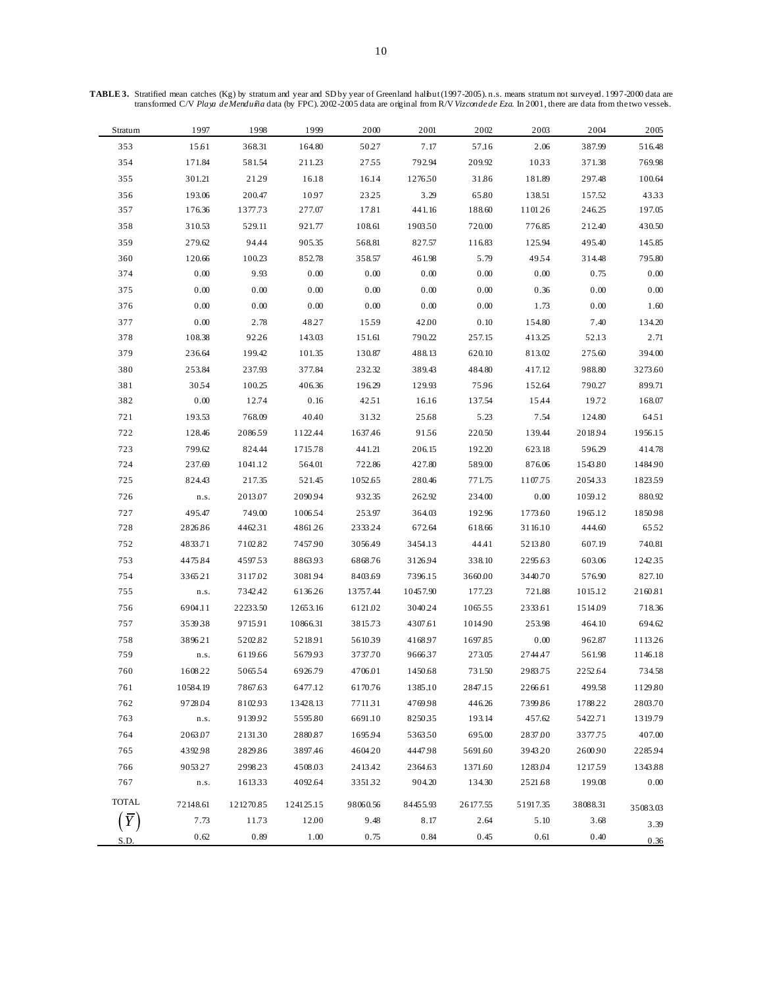| Stratum      | 1997     | 1998      | 1999      | 2000     | 2001     | 2002     | 2003     | 2004     | 2005     |
|--------------|----------|-----------|-----------|----------|----------|----------|----------|----------|----------|
| 353          | 15.61    | 368.31    | 164.80    | 50.27    | 7.17     | 57.16    | 2.06     | 387.99   | 516.48   |
| 354          | 171.84   | 581.54    | 211.23    | 2755     | 792.94   | 209.92   | 1033     | 371.38   | 769.98   |
| 355          | 301.21   | 21.29     | 16.18     | 16.14    | 127650   | 31.86    | 181.89   | 297.48   | 100.64   |
| 356          | 193.06   | 200.47    | 10.97     | 2325     | 3.29     | 65.80    | 138.51   | 157.52   | 4333     |
| 357          | 176.36   | 1377.73   | 277.07    | 17.81    | 441.16   | 188.60   | 110126   | 246.25   | 197.05   |
| 358          | 310.53   | 529.11    | 921.77    | 108.61   | 190350   | 720.00   | 776.85   | 212.40   | 430.50   |
| 359          | 279.62   | 94.44     | 905.35    | 568.81   | 827.57   | 116.83   | 125.94   | 495.40   | 145.85   |
| 360          | 120.66   | 100.23    | 852.78    | 358.57   | 461.98   | 5.79     | 4954     | 314.48   | 795.80   |
| 374          | 0.00     | 9.93      | 0.00      | 0.00     | 0.00     | 0.00     | 0.00     | 0.75     | 0.00     |
| 375          | 0.00     | 0.00      | 0.00      | 0.00     | 0.00     | 0.00     | 0.36     | 0.00     | $0.00\,$ |
| 376          | 0.00     | 0.00      | 0.00      | 0.00     | 0.00     | 0.00     | 1.73     | 0.00     | 1.60     |
| 377          | 0.00     | 2.78      | 48.27     | 1559     | 42.00    | 0.10     | 154.80   | 7.40     | 134.20   |
| 378          | 108.38   | 92.26     | 143.03    | 151.61   | 790.22   | 257.15   | 413.25   | 52.13    | 2.71     |
| 379          | 236.64   | 199.42    | 101.35    | 130.87   | 488.13   | 620.10   | 813.02   | 275.60   | 394.00   |
| 380          | 253.84   | 237.93    | 377.84    | 232.32   | 389.43   | 484.80   | 417.12   | 988.80   | 3273.60  |
| 381          | 3054     | 100.25    | 406.36    | 196.29   | 129.93   | 75.96    | 152.64   | 790.27   | 899.71   |
| 382          | 0.00     | 12.74     | 0.16      | 4251     | 16.16    | 137.54   | 15.44    | 19.72    | 168.07   |
| 721          | 193.53   | 768.09    | 40.40     | 3132     | 25.68    | 5.23     | 7.54     | 124.80   | 64.51    |
| 722          | 128.46   | 208659    | 1122.44   | 1637.46  | 9156     | 220.50   | 139.44   | 2018.94  | 1956.15  |
| 723          | 799.62   | 824.44    | 1715.78   | 441.21   | 206.15   | 192.20   | 623.18   | 596.29   | 414.78   |
| 724          | 237.69   | 1041.12   | 564.01    | 722.86   | 427.80   | 589.00   | 876.06   | 1543.80  | 1484.90  |
| 725          | 824.43   | 217.35    | 521.45    | 1052.65  | 280.46   | 771.75   | 1107.75  | 205433   | 1823.59  |
| 726          | n.s.     | 2013.07   | 2090.94   | 932.35   | 262.92   | 234.00   | 0.00     | 1059.12  | 880.92   |
| 727          | 495.47   | 749.00    | 100654    | 253.97   | 364.03   | 192.96   | 1773.60  | 1965.12  | 1850.98  |
| 728          | 2826.86  | 4462.31   | 4861.26   | 233324   | 672.64   | 618.66   | 3116.10  | 444.60   | 6552     |
| 752          | 4833.71  | 7102.82   | 7457.90   | 3056.49  | 3454.13  | 44.41    | 5213.80  | 607.19   | 740.81   |
| 753          | 4475.84  | 459753    | 8863.93   | 6868.76  | 3126.94  | 338.10   | 2295.63  | 603.06   | 1242.35  |
| 754          | 3365.21  | 3117.02   | 3081.94   | 8403.69  | 7396.15  | 3660.00  | 3440.70  | 576.90   | 827.10   |
| 755          | n.s.     | 7342.42   | 6136.26   | 13757.44 | 10457.90 | 177.23   | 721.88   | 1015.12  | 2160.81  |
| 756          | 6904.11  | 22233.50  | 12653.16  | 6121.02  | 3040.24  | 106555   | 2333.61  | 1514.09  | 718.36   |
| 757          | 353938   | 9715.91   | 10866.31  | 3815.73  | 4307.61  | 1014.90  | 253.98   | 464.10   | 694.62   |
| 758          | 3896.21  | 5202.82   | 5218.91   | 561039   | 4168.97  | 1697.85  | $0.00\,$ | 962.87   | 1113.26  |
| 759          | n.s.     | 6119.66   | 5679.93   | 3737.70  | 966637   | 273.05   | 2744.47  | 561.98   | 1146.18  |
| 760          | 1608.22  | 506554    | 6926.79   | 4706.01  | 1450.68  | 731.50   | 2983.75  | 2252.64  | 734.58   |
| 761          | 10584.19 | 7867.63   | 6477.12   | 6170.76  | 1385.10  | 2847.15  | 2266.61  | 499.58   | 1129.80  |
| 762          | 9728.04  | 8102.93   | 13428.13  | 771131   | 4769.98  | 446.26   | 7399.86  | 1788.22  | 2803.70  |
| 763          | n.s.     | 913992    | 5595.80   | 6691.10  | 825035   | 193.14   | 457.62   | 5422.71  | 1319.79  |
| 764          | 2063.07  | 213130    | 2880.87   | 1695.94  | 536350   | 695.00   | 2837.00  | 3377.75  | 407.00   |
| 765          | 4392.98  | 2829.86   | 3897.46   | 4604.20  | 4447.98  | 5691.60  | 3943.20  | 2600.90  | 2285.94  |
| 766          | 9053.27  | 2998.23   | 4508.03   | 2413.42  | 2364.63  | 1371.60  | 1283.04  | 121759   | 1343.88  |
| 767          | n.s.     | 161333    | 4092.64   | 335132   | 904.20   | 134.30   | 2521.68  | 199.08   | 0.00     |
| <b>TOTAL</b> | 72148.61 | 121270.85 | 124125.15 | 98060.56 | 84455.93 | 26177.55 | 51917.35 | 38088.31 | 35083.03 |
|              | 7.73     | 11.73     | 12.00     | 9.48     | 8.17     | 2.64     | 5.10     | 3.68     | 3.39     |
| S.D.         | 0.62     | 0.89      | 1.00      | 0.75     | 0.84     | 0.45     | 0.61     | 0.40     | 0.36     |

**TABLE 3.** Stratified mean catches (Kg) by stratum and year and SD by year of Greenland halibut (1997-2005). n.s. means stratum not surveyed. 1997-2000 data are transformed C/V *Playa de Menduíña* data (by FPC). 2002-2005 data are original from R/V *Vizconde de Eza*. In 2001, there are data from the two vessels.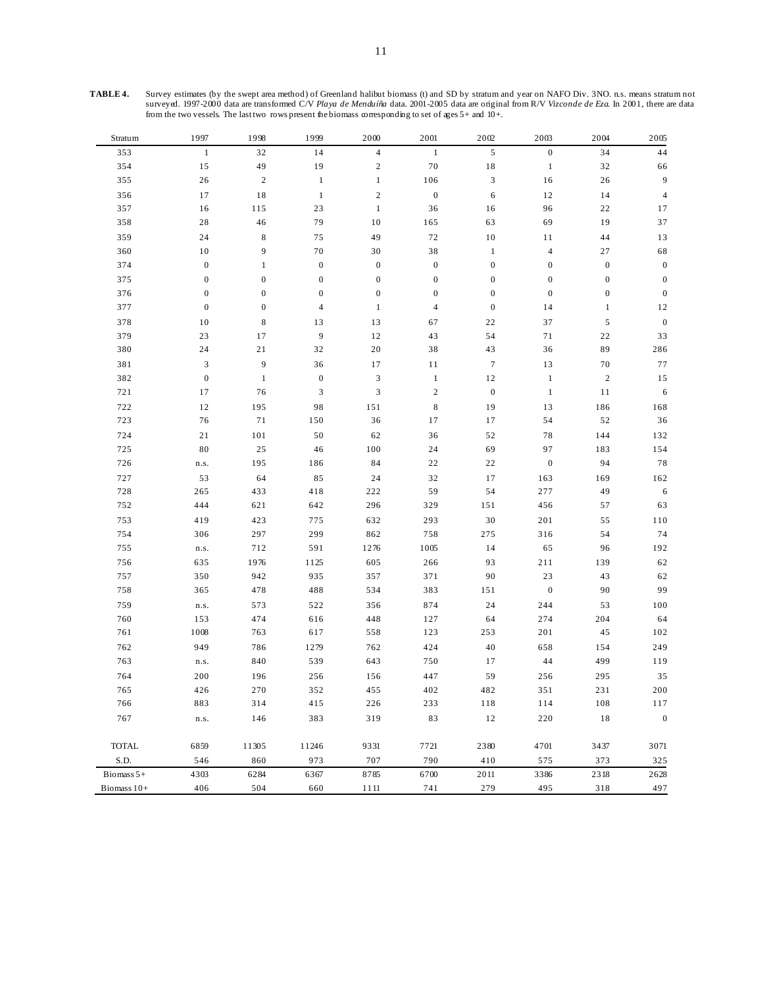| Stratum      | 1997                        | 1998             | 1999             | 2000                        | 2001             | 2002             | 2003             | 2004             | 2005             |
|--------------|-----------------------------|------------------|------------------|-----------------------------|------------------|------------------|------------------|------------------|------------------|
| 353          | $\mathbf{1}$                | 32               | 14               | $\overline{4}$              | $\mathbf{1}$     | 5                | $\boldsymbol{0}$ | 34               | 44               |
| 354          | 15                          | 49               | 19               | $\sqrt{2}$                  | 70               | $1\,8$           | $\mathbf{1}$     | 32               | 66               |
| 355          | 26                          | $\sqrt{2}$       | $\mathbf{1}$     | $\,1$                       | 106              | $\mathfrak{Z}$   | 16               | 26               | 9                |
| 356          | 17                          | $1\,8$           | $\mathbf{1}$     | $\sqrt{2}$                  | $\boldsymbol{0}$ | 6                | $12$             | 14               | $\overline{4}$   |
| 357          | 16                          | 115              | 23               | $\mathbf{1}$                | 36               | 16               | 96               | 22               | 17               |
| 358          | 28                          | 46               | 79               | 10                          | 165              | 63               | 69               | 19               | 37               |
| 359          | 24                          | $\,8\,$          | 75               | 49                          | 72               | 10               | 11               | 44               | 13               |
| 360          | 10                          | 9                | $70\,$           | 30                          | 38               | $\mathbf{1}$     | 4                | 27               | 68               |
| 374          | $\boldsymbol{0}$            | $\mathbf{1}$     | $\boldsymbol{0}$ | $\boldsymbol{0}$            | $\boldsymbol{0}$ | $\boldsymbol{0}$ | $\boldsymbol{0}$ | $\boldsymbol{0}$ | $\boldsymbol{0}$ |
| 375          | $\boldsymbol{0}$            | $\boldsymbol{0}$ | $\boldsymbol{0}$ | $\boldsymbol{0}$            | $\boldsymbol{0}$ | $\boldsymbol{0}$ | $\boldsymbol{0}$ | $\boldsymbol{0}$ | $\boldsymbol{0}$ |
| 376          | $\boldsymbol{0}$            | $\boldsymbol{0}$ | $\boldsymbol{0}$ | $\boldsymbol{0}$            | $\boldsymbol{0}$ | $\boldsymbol{0}$ | $\boldsymbol{0}$ | $\boldsymbol{0}$ | $\boldsymbol{0}$ |
| 377          | $\boldsymbol{0}$            | $\boldsymbol{0}$ | $\overline{4}$   | $\,1$                       | $\overline{4}$   | $\boldsymbol{0}$ | 14               | $\,1$            | 12               |
| 378          | $10\,$                      | $\,$ 8 $\,$      | 13               | 13                          | 67               | 22               | 37               | $\sqrt{5}$       | $\boldsymbol{0}$ |
| 379          | 23                          | 17               | 9                | 12                          | 43               | 54               | $7\,\rm 1$       | 22               | 33               |
| 380          | 24                          | 21               | 32               | $20\,$                      | 38               | 43               | 36               | 89               | 286              |
| 381          | $\ensuremath{\mathfrak{Z}}$ | 9                | 36               | 17                          | 11               | $\boldsymbol{7}$ | 13               | 70               | 77               |
| 382          | $\boldsymbol{0}$            | $\mathbf{1}$     | $\boldsymbol{0}$ | $\ensuremath{\mathfrak{Z}}$ | $\mathbf{1}$     | 12               | $\mathbf{1}$     | $\sqrt{2}$       | 15               |
| 721          | 17                          | 76               | $\mathfrak{Z}$   | $\mathfrak{Z}$              | $\sqrt{2}$       | $\boldsymbol{0}$ | $\,1\,$          | 11               | $\sqrt{6}$       |
| 722          | 12                          | 195              | 98               | 151                         | $\,$ 8 $\,$      | 19               | 13               | 186              | 168              |
| 723          | 76                          | 71               | 150              | 36                          | 17               | 17               | 54               | 52               | 36               |
| 724          | 21                          | 101              | 50               | 62                          | 36               | 52               | 78               | 144              | 132              |
| 725          | 80                          | $2\sqrt{5}$      | 46               | 100                         | 24               | 69               | 97               | 183              | 154              |
| 726          | ${\tt n.s.}$                | 195              | 186              | 84                          | 22               | $2\sqrt{2}$      | $\boldsymbol{0}$ | 94               | 78               |
| 727          | 53                          | 64               | 85               | 24                          | 32               | 17               | 163              | 169              | 162              |
| 728          | 265                         | 433              | 418              | 222                         | 59               | 54               | 277              | 49               | 6                |
| 752          | 444                         | 621              | 642              | 296                         | 329              | 151              | 456              | 57               | 63               |
| 753          | 419                         | 423              | 775              | 632                         | 293              | 30               | 201              | 55               | $1\,10$          |
| 754          | 306                         | 297              | 299              | 862                         | 758              | 275              | 316              | 54               | 74               |
| 755          | n.s.                        | 712              | 591              | 1276                        | 1005             | 14               | 65               | 96               | 192              |
| 756          | 635                         | 1976             | 1125             | 605                         | 266              | 93               | 211              | 139              | 62               |
| 757          | 350                         | 942              | 935              | 357                         | 371              | 90               | $23\,$           | 43               | 62               |
| 758          | 365                         | 478              | 488              | 534                         | 383              | 151              | $\boldsymbol{0}$ | 90               | 99               |
| 759          | ${\tt n.s.}$                | 573              | 522              | 356                         | 874              | 24               | 244              | 53               | 100              |
| 760          | 153                         | 474              | 616              | 448                         | 127              | 64               | 274              | 204              | 64               |
| 761          | 1008                        | 763              | 617              | 558                         | 123              | 253              | 201              | 45               | 102              |
| 762          | 949                         | 786              | 1279             | 762                         | 424              | 40               | 658              | 154              | 249              |
| 763          | ${\tt n.s.}$                | 840              | 539              | 643                         | 750              | 17               | 44               | 499              | 119              |
| 764          | 200                         | 196              | 256              | 156                         | 447              | 59               | 256              | 295              | 35               |
| 765          | 426                         | 270              | 352              | 455                         | 402              | 482              | 351              | 231              | 200              |
| 766          | 883                         | 314              | 415              | 226                         | 233              | 118              | 114              | 108              | 117              |
| 767          | n.s.                        | 146              | 383              | 319                         | 83               | $12\,$           | 220              | 18               | $\boldsymbol{0}$ |
| <b>TOTAL</b> | 6859                        | 11305            | 11246            | 9331                        | 7721             | 2380             | 4701             | 3437             | 3071             |
| S.D.         | 546                         | 860              | 973              | 707                         | 790              | 410              | 575              | 373              | 325              |
| Biomass $5+$ | 4303                        | 6284             | 6367             | 8785                        | 6700             | 2011             | 3386             | 2318             | 2628             |
| Biomass 10+  | 406                         | 504              | 660              | 1111                        | 741              | 279              | 495              | 318              | 497              |

**TABLE 4.** Survey estimates (by the swept area method) of Greenland halibut biomass (t) and SD by stratum and year on NAFO Div. 3NO. n.s. means stratum not surveyed. 1997-2000 data are transformed C/V *Playa de Menduíña* data. 2001-2005 data are original from R/V *Vizconde de Eza*. In 2001, there are data from the two vessels. The last two rows present the biomass corresponding to set of ages 5+ and 10+.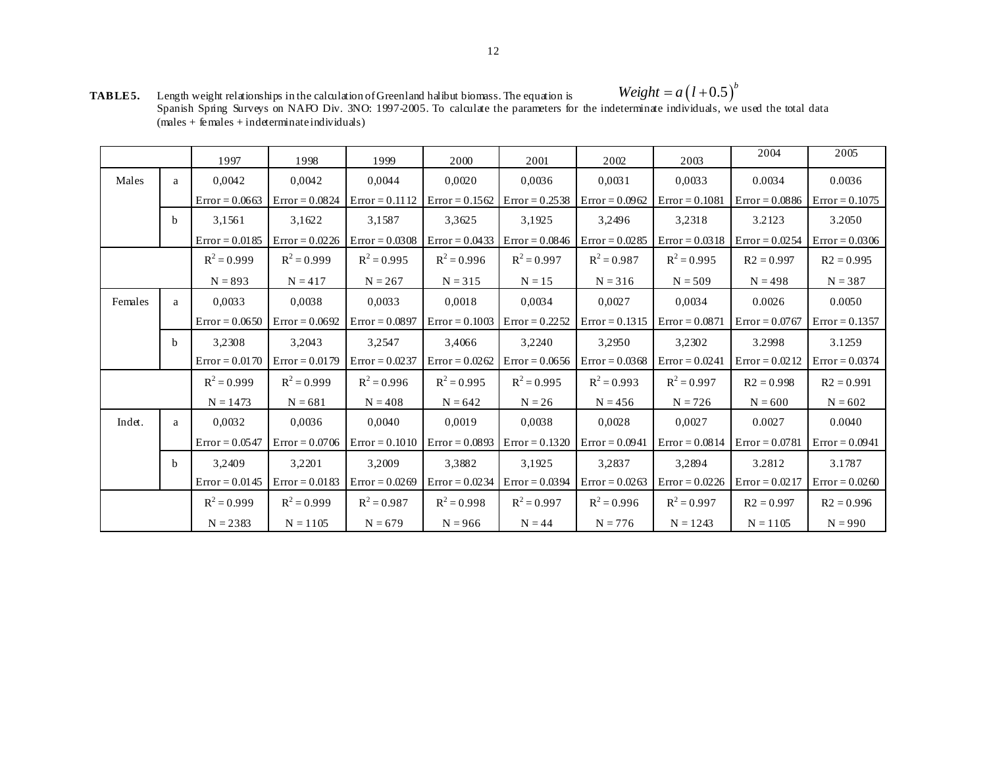**TABLE 5.** Length weight relationships in the calculation of Greenland halibut biomass. The equation is Spanish Spring Surveys on NAFO Div. 3NO: 1997-2005. To calculate the parameters for the indeterminate individuals, we used the total data  $(males + females + indeterminate individuals)$  $Weight = a(l+0.5)^b$ 

|         |              | 1997             | 1998             | 1999             | 2000                              | 2001                              | 2002                              | 2003                                            | 2004                              | 2005             |
|---------|--------------|------------------|------------------|------------------|-----------------------------------|-----------------------------------|-----------------------------------|-------------------------------------------------|-----------------------------------|------------------|
| Males   | a            | 0,0042           | 0,0042           | 0,0044           | 0,0020                            | 0,0036                            | 0,0031                            | 0,0033                                          | 0.0034                            | 0.0036           |
|         |              | $Error = 0.0663$ | $Error = 0.0824$ | $Error = 0.1112$ | $Error = 0.1562$                  | Error = $0.2538$ Error = $0.0962$ |                                   | $Error = 0.1081$                                | $Error = 0.0886$ $Error = 0.1075$ |                  |
|         | <sub>b</sub> | 3,1561           | 3,1622           | 3,1587           | 3,3625                            | 3,1925                            | 3,2496                            | 3,2318                                          | 3.2123                            | 3.2050           |
|         |              | $Error = 0.0185$ | $Error = 0.0226$ | $Error = 0.0308$ | $Error = 0.0433$                  | $Error = 0.0846$ $Error = 0.0285$ |                                   | $Error = 0.0318$                                | $Error = 0.0254$                  | $Error = 0.0306$ |
|         |              | $R^2 = 0.999$    | $R^2 = 0.999$    | $R^2 = 0.995$    | $R^2 = 0.996$                     | $R^2 = 0.997$                     | $R^2 = 0.987$                     | $R^2 = 0.995$                                   | $R2 = 0.997$                      | $R2 = 0.995$     |
|         |              | $N = 893$        | $N = 417$        | $N = 267$        | $N = 315$                         | $N = 15$                          | $N = 316$                         | $N = 509$                                       | $N = 498$                         | $N = 387$        |
| Females | a            | 0.0033           | 0.0038           | 0.0033           | 0.0018                            | 0.0034                            | 0.0027                            | 0.0034                                          | 0.0026                            | 0.0050           |
|         |              | $Error = 0.0650$ | $Error = 0.0692$ | $Error = 0.0897$ | $Error = 0.1003$                  | $Error = 0.2252$                  |                                   | $\text{Error} = 0.1315$ $\text{Error} = 0.0871$ | $Error = 0.0767$                  | $Error = 0.1357$ |
|         | <sub>b</sub> | 3,2308           | 3,2043           | 3,2547           | 3.4066                            | 3,2240                            | 3,2950                            | 3,2302                                          | 3.2998                            | 3.1259           |
|         |              | $Error = 0.0170$ | $Error = 0.0179$ | $Error = 0.0237$ | $Error = 0.0262$                  |                                   | $Error = 0.0656$ $Error = 0.0368$ | $Error = 0.0241$                                | $Error = 0.0212$                  | $Error = 0.0374$ |
|         |              | $R^2 = 0.999$    | $R^2 = 0.999$    | $R^2 = 0.996$    | $R^2 = 0.995$                     | $R^2 = 0.995$                     | $R^2 = 0.993$                     | $R^2 = 0.997$                                   | $R2 = 0.998$                      | $R2 = 0.991$     |
|         |              | $N = 1473$       | $N = 681$        | $N = 408$        | $N = 642$                         | $N = 26$                          | $N = 456$                         | $N = 726$                                       | $N = 600$                         | $N = 602$        |
| Indet.  | a            | 0,0032           | 0.0036           | 0.0040           | 0.0019                            | 0,0038                            | 0,0028                            | 0,0027                                          | 0.0027                            | 0.0040           |
|         |              | $Error = 0.0547$ | $Error = 0.0706$ | $Error = 0.1010$ | $Error = 0.0893$                  | $Error = 0.1320$ $Error = 0.0941$ |                                   | $Error = 0.0814$                                | $Error = 0.0781$                  | $Error = 0.0941$ |
|         | $\mathbf b$  | 3,2409           | 3,2201           | 3,2009           | 3,3882                            | 3,1925                            | 3,2837                            | 3,2894                                          | 3.2812                            | 3.1787           |
|         |              | $Error = 0.0145$ | $Error = 0.0183$ | $Error = 0.0269$ | $Error = 0.0234$ $Error = 0.0394$ |                                   | $Error = 0.0263$                  | $Error = 0.0226$                                | $Error = 0.0217$                  | $Error = 0.0260$ |
|         |              | $R^2 = 0.999$    | $R^2 = 0.999$    | $R^2 = 0.987$    | $R^2 = 0.998$                     | $R^2 = 0.997$                     | $R^2 = 0.996$                     | $R^2 = 0.997$                                   | $R2 = 0.997$                      | $R2 = 0.996$     |
|         |              | $N = 2383$       | $N = 1105$       | $N = 679$        | $N = 966$                         | $N = 44$                          | $N = 776$                         | $N = 1243$                                      | $N = 1105$                        | $N = 990$        |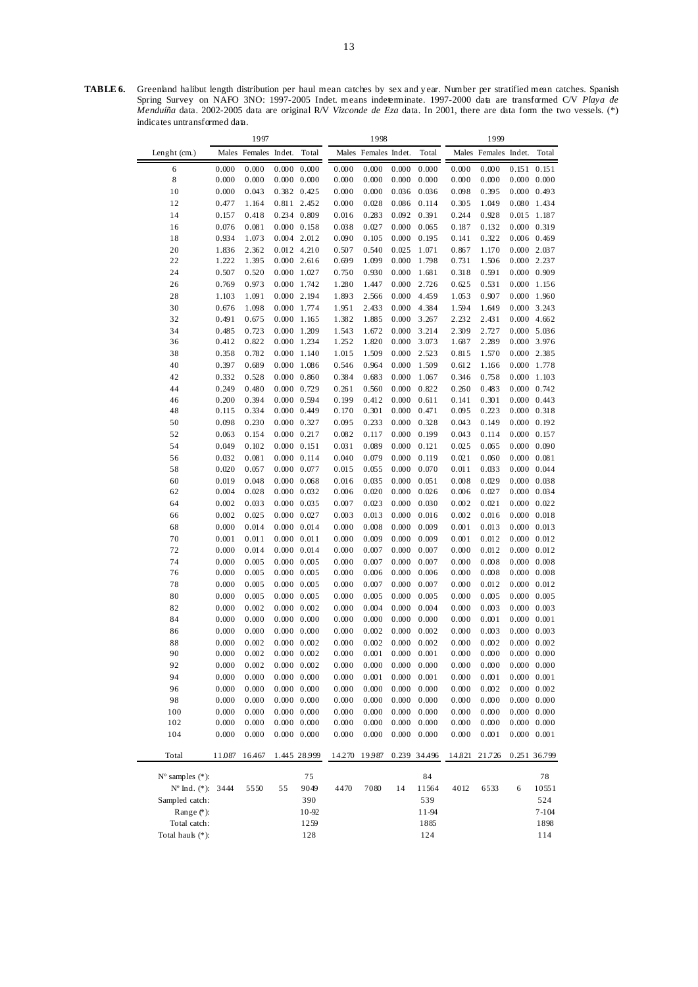TABLE 6. Greenland halibut length distribution per haul mean catches by sex and year. Number per stratified mean catches. Spanish Spring Survey on NAFO 3NO: 1997-2005 Indet. means indeterminate. 1997-2000 data are transformed C/V *Playa de Menduíña* data. 2002-2005 data are original R/V *Vizconde de Eza* data. In 2001, there are data form the two vessels. (\*) indicates untransformed data.

|                             |                | 1997                 |                     |                                            |                | 1998                 |                |                |                | 1999                 |                     |                                    |
|-----------------------------|----------------|----------------------|---------------------|--------------------------------------------|----------------|----------------------|----------------|----------------|----------------|----------------------|---------------------|------------------------------------|
| Lenght (cm.)                |                | Males Females Indet. |                     | Total                                      |                | Males Females Indet. |                | Total          |                | Males Females Indet. |                     | Total                              |
| 6                           | 0.000          | 0.000                |                     | $0.000 \quad 0.000$                        | 0.000          | 0.000                | 0.000          | 0.000          | 0.000          | 0.000                |                     | 0.151 0.151                        |
| 8                           | 0.000          | 0.000                |                     | $0.000 \quad 0.000$                        | 0.000          | 0.000                | 0.000          | 0.000          | 0.000          | 0.000                |                     | $0.000 \quad 0.000$                |
| 10                          | 0.000          | 0.043                |                     | 0.382 0.425                                | 0.000          | 0.000                | 0.036          | 0.036          | 0.098          | 0.395                |                     | 0.000 0.493                        |
| 12                          | 0.477          | 1.164                |                     | 0.811 2.452                                | 0.000          | 0.028                | 0.086          | 0.114          | 0.305          | 1.049                |                     | 0.080 1.434                        |
| 14                          | 0.157          | 0.418                |                     | 0.234 0.809                                | 0.016          | 0.283                | 0.092          | 0.391          | 0.244          | 0.928                | 0.015               | 1.187                              |
| 16                          | 0.076          | 0.081                |                     | $0.000 \quad 0.158$                        | 0.038          | 0.027                | 0.000          | 0.065          | 0.187          | 0.132                |                     | 0.000 0.319                        |
| 18                          | 0.934          | 1.073                |                     | $0.004$ 2.012                              | 0.090          | 0.105                | 0.000          | 0.195          | 0.141          | 0.322                |                     | 0.006 0.469                        |
| 20<br>22                    | 1.836<br>1.222 | 2.362<br>1.395       |                     | 0.012 4.210<br>$0.000$ 2.616               | 0.507<br>0.699 | 0.540<br>1.099       | 0.025<br>0.000 | 1.071<br>1.798 | 0.867<br>0.731 | 1.170<br>1.506       |                     | 0.000 2.037<br>0.000 2.237         |
| 24                          | 0.507          | 0.520                |                     | 0.000 1.027                                | 0.750          | 0.930                | 0.000          | 1.681          | 0.318          | 0.591                |                     | 0.000 0.909                        |
| 26                          | 0.769          | 0.973                |                     | 0.000 1.742                                | 1.280          | 1.447                | 0.000          | 2.726          | 0.625          | 0.531                |                     | $0.000$ 1.156                      |
| 28                          | 1.103          | 1.091                |                     | 0.000 2.194                                | 1.893          | 2.566                | 0.000          | 4.459          | 1.053          | 0.907                |                     | 0.000 1.960                        |
| 30                          | 0.676          | 1.098                |                     | 0.000 1.774                                | 1.951          | 2.433                | 0.000          | 4.384          | 1.594          | 1.649                |                     | 0.000 3.243                        |
| 32                          | 0.491          | 0.675                |                     | $0.000$ 1.165                              | 1.382          | 1.885                | 0.000          | 3.267          | 2.232          | 2.431                |                     | 0.000 4.662                        |
| 34                          | 0.485          | 0.723                |                     | 0.000 1.209                                | 1.543          | 1.672                | 0.000          | 3.214          | 2.309          | 2.727                |                     | 0.000 5.036                        |
| 36                          | 0.412          | 0.822                |                     | 0.000 1.234                                | 1.252          | 1.820                | 0.000          | 3.073          | 1.687          | 2.289                |                     | 0.000 3.976                        |
| 38                          | 0.358          | 0.782                |                     | 0.000 1.140                                | 1.015          | 1.509                | 0.000          | 2.523          | 0.815          | 1.570                |                     | 0.000 2.385                        |
| 40                          | 0.397          | 0.689                |                     | 0.000 1.086                                | 0.546          | 0.964                | 0.000          | 1.509          | 0.612          | 1.166                |                     | 0.000 1.778                        |
| 42                          | 0.332          | 0.528                |                     | $0.000 \quad 0.860$                        | 0.384          | 0.683                | 0.000          | 1.067          | 0.346          | 0.758                |                     | 0.000 1.103                        |
| 44                          | 0.249          | 0.480                |                     | 0.000 0.729                                | 0.261          | 0.560                | 0.000          | 0.822          | 0.260          | 0.483                |                     | $0.000 \quad 0.742$                |
| 46                          | 0.200          | 0.394                |                     | 0.000 0.594                                | 0.199          | 0.412                | 0.000          | 0.611          | 0.141          | 0.301                |                     | $0.000 \quad 0.443$                |
| 48                          | 0.115          | 0.334                |                     | 0.000 0.449                                | 0.170          | 0.301                | 0.000          | 0.471          | 0.095          | 0.223                |                     | $0.000 \quad 0.318$                |
| 50                          | 0.098          | 0.230                |                     | 0.000 0.327                                | 0.095          | 0.233                | 0.000          | 0.328          | 0.043          | 0.149                |                     | $0.000 \quad 0.192$                |
| 52                          | 0.063          | 0.154                |                     | $0.000$ $0.217$                            | 0.082          | 0.117                | 0.000          | 0.199          | 0.043          | 0.114                |                     | $0.000 \quad 0.157$                |
| 54                          | 0.049          | 0.102                | $0.000 \quad 0.151$ |                                            | 0.031          | 0.089                | 0.000          | 0.121          | 0.025          | 0.065                |                     | 0.000 0.090                        |
| 56                          | 0.032          | 0.081                |                     | $0.000$ $0.114$                            | 0.040          | 0.079                | 0.000          | 0.119          | 0.021          | 0.060                | $0.000 \quad 0.081$ |                                    |
| 58                          | 0.020          | 0.057                |                     | 0.000 0.077                                | 0.015          | 0.055                | 0.000          | 0.070          | 0.011          | 0.033                |                     | 0.000 0.044                        |
| 60                          | 0.019          | 0.048                |                     | $0.000 \quad 0.068$                        | 0.016          | 0.035                | 0.000          | 0.051          | 0.008          | 0.029                |                     | $0.000 \quad 0.038$                |
| 62<br>64                    | 0.004<br>0.002 | 0.028<br>0.033       |                     | $0.000 \quad 0.032$<br>$0.000 \quad 0.035$ | 0.006<br>0.007 | 0.020<br>0.023       | 0.000<br>0.000 | 0.026<br>0.030 | 0.006<br>0.002 | 0.027<br>0.021       |                     | 0.000 0.034<br>$0.000 \quad 0.022$ |
| 66                          | 0.002          | 0.025                |                     | $0.000 \quad 0.027$                        | 0.003          | 0.013                | 0.000          | 0.016          | 0.002          | 0.016                |                     | 0.000 0.018                        |
| 68                          | 0.000          | 0.014                |                     | $0.000 \quad 0.014$                        | 0.000          | 0.008                | 0.000          | 0.009          | 0.001          | 0.013                |                     | $0.000 \quad 0.013$                |
| 70                          | 0.001          | $0.01\,1$            | $0.000 \quad 0.011$ |                                            | 0.000          | 0.009                | 0.000          | 0.009          | 0.001          | 0.012                |                     | $0.000 \quad 0.012$                |
| 72                          | 0.000          | 0.014                |                     | $0.000 \quad 0.014$                        | 0.000          | 0.007                | 0.000          | 0.007          | 0.000          | 0.012                |                     | $0.000 \quad 0.012$                |
| 74                          | 0.000          | 0.005                |                     | $0.000 \quad 0.005$                        | 0.000          | 0.007                | 0.000          | 0.007          | 0.000          | 0.008                |                     | 0.000 0.008                        |
| 76                          | 0.000          | 0.005                |                     | $0.000 \quad 0.005$                        | 0.000          | 0.006                | 0.000          | 0.006          | 0.000          | 0.008                |                     | 0.000 0.008                        |
| 78                          | 0.000          | 0.005                |                     | $0.000 \quad 0.005$                        | 0.000          | 0.007                | 0.000          | 0.007          | 0.000          | 0.012                |                     | $0.000 \quad 0.012$                |
| 80                          | 0.000          | 0.005                |                     | $0.000 \quad 0.005$                        | 0.000          | 0.005                | 0.000          | 0.005          | 0.000          | 0.005                |                     | 0.000 0.005                        |
| 82                          | 0.000          | 0.002                |                     | $0.000 \quad 0.002$                        | 0.000          | 0.004                | 0.000          | 0.004          | 0.000          | 0.003                |                     | $0.000 \quad 0.003$                |
| 84                          | 0.000          | 0.000                |                     | $0.000 \quad 0.000$                        | 0.000          | 0.000                | 0.000          | 0.000          | 0.000          | 0.001                | $0.000 \quad 0.001$ |                                    |
| 86                          | 0.000          | 0.000                |                     | 0.000 0.000                                | 0.000          | 0.002                | 0.000          | 0.002          | 0.000          | 0.003                |                     | $0.000 \quad 0.003$                |
| 88                          | 0.000          | 0.002                |                     | $0.000 \quad 0.002$                        | 0.000          | 0.002                | 0.000          | 0.002          | 0.000          | 0.002                |                     | $0.000 \quad 0.002$                |
| 90                          | 0.000          | 0.002                |                     | $0.000 \quad 0.002$                        | 0.000          | 0.001                | 0.000          | 0.001          | 0.000          | 0.000                |                     | $0.000 \quad 0.000$                |
| 92                          | $0.000\,$      | 0.002                |                     | $0.000 \quad 0.002$                        | 0.000          | 0.000                | 0.000          | 0.000          | 0.000          | 0.000                |                     | 0.000 0.000                        |
| 94                          | 0.000          | 0.000                |                     | $0.000 \quad 0.000$                        | 0.000          | 0.001                | 0.000          | $0.001\,$      | 0.000          | 0.001                | $0.000 \quad 0.001$ |                                    |
| 96                          | 0.000          | 0.000                |                     | $0.000 \quad 0.000$                        | 0.000          | 0.000                | 0.000          | 0.000          | 0.000          | 0.002                |                     | $0.000 \quad 0.002$                |
| 98                          | 0.000          | 0.000                |                     | 0.000 0.000                                | 0.000          | 0.000                | 0.000          | 0.000          | 0.000          | 0.000                |                     | $0.000 \quad 0.000$                |
| 100                         | 0.000          | 0.000                |                     | $0.000 \quad 0.000$                        | 0.000          | 0.000                | 0.000          | 0.000          | 0.000          | 0.000                |                     | $0.000 \quad 0.000$                |
| 102                         | 0.000<br>0.000 | 0.000                |                     | 0.000 0.000                                | 0.000          | 0.000                | 0.000          | 0.000          | 0.000          | 0.000                |                     | $0.000 \quad 0.000$                |
| 104                         |                | 0.000                |                     | $0.000 \quad 0.000$                        | 0.000          | 0.000                | 0.000          | 0.000          | 0.000          | 0.001                |                     | $0.000 \quad 0.001$                |
| Total                       | 11.087         | 16.467               |                     | 1.445 28.999                               | 14.270         | 19987                |                | 0.239 34.496   | 14.821         | 21.726               |                     | 0.251 36.799                       |
| $N^{\circ}$ samples $(*)$ : |                |                      |                     | 75                                         |                |                      |                | 84             |                |                      |                     | 78                                 |
| $N^{\circ}$ Ind. (*): 3444  |                | 5550                 | 55                  | 9049                                       | 4470           | 7080                 | 14             | 11564          | 4012           | 6533                 | 6                   | 10551                              |
| Sampled catch:              |                |                      |                     | 390                                        |                |                      |                | 539            |                |                      |                     | 524                                |
| Range $(*)$ :               |                |                      |                     | 10-92                                      |                |                      |                | 11-94          |                |                      |                     | $7 - 104$                          |
| Total catch:                |                |                      |                     | 1259                                       |                |                      |                | 1885           |                |                      |                     | 1898                               |
| Total hauk (*):             |                |                      |                     | 128                                        |                |                      |                | 124            |                |                      |                     | 114                                |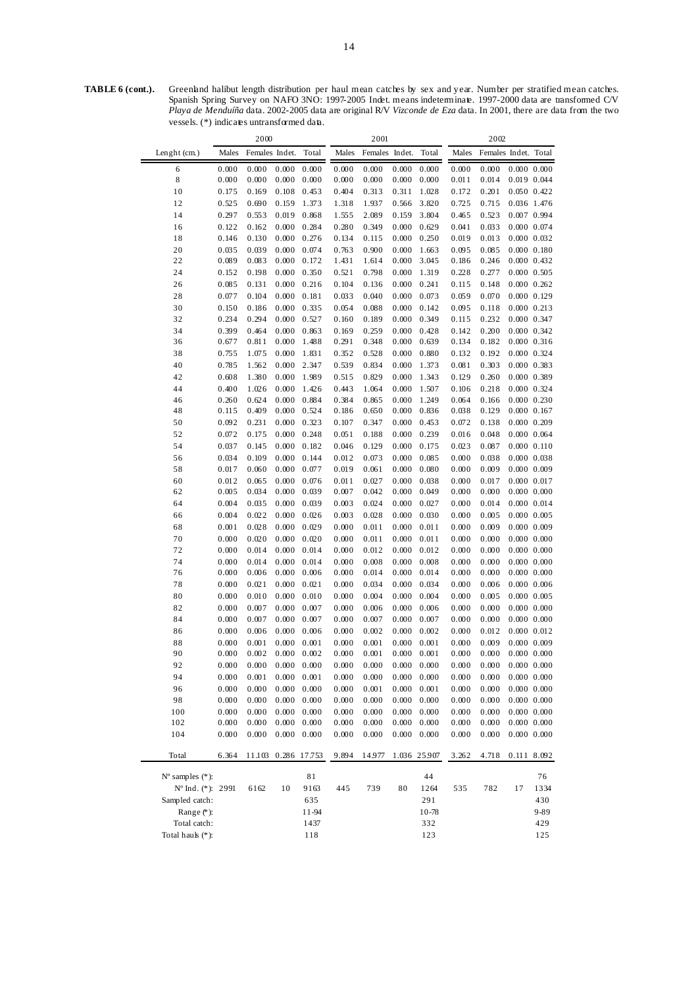|                             |                | 2000           |                |                |                | 2001           |                |                |                | 2002                 |                            |             |
|-----------------------------|----------------|----------------|----------------|----------------|----------------|----------------|----------------|----------------|----------------|----------------------|----------------------------|-------------|
| Lenght (cm.)                | Males          | Females Indet. |                | Total          | Males          | Females Indet. |                | Total          | Males          | Females Indet. Total |                            |             |
| 6                           | 0.000          | 0.000          | 0.000          | 0.000          | 0.000          | 0.000          | 0.000          | 0.000          | 0.000          | 0.000                | 0.000 0.000                |             |
| 8                           | 0.000          | 0.000          | 0.000          | 0.000          | 0.000          | 0.000          | 0.000          | 0.000          | 0.011          | 0.014                | 0.019 0.044                |             |
| 10                          | 0.175          | 0.169          | 0.108          | 0.453          | 0.404          | 0.313          | 0.311          | 1.028          | 0.172          | 0.201                | 0.050 0.422                |             |
| 12                          | 0.525          | 0.690          | 0.159          | 1.373          | 1.318          | 1.937          | 0.566          | 3.820          | 0.725          | 0.715                | 0.036 1.476                |             |
| 14                          | 0.297          | 0.553          | 0.019          | 0.868          | 1.555          | 2.089          | 0.159          | 3.804          | 0.465          | 0.523                | 0.007 0.994                |             |
| 16                          | 0.122          | 0.162          | 0.000          | 0.284          | 0.280          | 0.349          | 0.000          | 0.629          | 0.041          | 0.033                | 0.000 0.074                |             |
| 18                          | 0.146          | 0.130          | 0.000          | 0.276          | 0.134          | 0.115          | 0.000          | 0.250          | 0.019          | 0.013                | 0.000 0.032                |             |
| 20                          | 0.035          | 0.039          | 0.000          | 0.074          | 0.763          | 0.900          | 0.000          | 1.663          | 0.095          | 0.085                | 0.000 0.180                |             |
| 22                          | 0.089          | 0.083          | 0.000          | 0.172          | 1.431          | 1.614          | 0.000          | 3.045          | 0.186          | 0.246                | 0.000 0.432                |             |
| 24                          | 0.152          | 0.198          | 0.000          | 0.350          | 0.521          | 0.798          | 0.000          | 1.319          | 0.228          | 0.277                | $0.000$ $0.505$            |             |
| 26                          | 0.085          | 0.131          | 0.000          | 0.216          | 0.104          | 0.136          | 0.000          | 0.241          | 0.115          | 0.148                | $0.000$ $0.262$            |             |
| 28                          | 0.077          | 0.104          | 0.000          | 0.181          | 0.033          | 0.040          | 0.000          | 0.073          | 0.059          | 0.070                | $0.000$ $0.129$            |             |
| 30                          | 0.150          | 0.186          | 0.000          | 0.335          | 0.054          | 0.088          | 0.000          | 0.142          | 0.095          | 0.118                | 0.000 0.213                |             |
| 32                          | 0.234          | 0.294          | 0.000          | 0.527          | 0.160          | 0.189          | 0.000          | 0.349          | 0.115          | 0.232                | 0.000 0.347                |             |
| 34<br>36                    | 0.399<br>0.677 | 0.464<br>0.811 | 0.000<br>0.000 | 0.863<br>1.488 | 0.169<br>0.291 | 0.259<br>0.348 | 0.000<br>0.000 | 0.428<br>0.639 | 0.142<br>0.134 | 0.200<br>0.182       | 0.000 0.342<br>0.000 0.316 |             |
| 38                          | 0.755          | 1.075          | 0.000          | 1.831          | 0.352          | 0.528          | 0.000          | 0.880          | 0.132          | 0.192                | 0.000 0.324                |             |
| 40                          | 0.785          |                | 0.000          | 2.347          | 0.539          | 0.834          | 0.000          | 1.373          | 0.081          | 0.303                | 0.000 0.383                |             |
| 42                          | 0.608          | 1.562<br>1.380 | 0.000          | 1.989          | 0.515          | 0.829          | 0.000          | 1.343          | 0.129          | 0.260                | 0.000 0.389                |             |
| 44                          | 0.400          | 1.026          | 0.000          | 1.426          | 0.443          | 1.064          | 0.000          | 1.507          | 0.106          | 0.218                | 0.000 0.324                |             |
| 46                          | 0.260          | 0.624          | 0.000          | 0.884          | 0.384          | 0.865          | 0.000          | 1.249          | 0.064          | 0.166                | $0.000$ $0.230$            |             |
| 48                          | 0.115          | 0.409          | 0.000          | 0.524          | 0.186          | 0.650          | 0.000          | 0.836          | 0.038          | 0.129                | $0.000$ $0.167$            |             |
| 50                          | 0.092          | 0.231          | 0.000          | 0.323          | 0.107          | 0.347          | 0.000          | 0.453          | 0.072          | 0.138                | $0.000$ $0.209$            |             |
| 52                          | 0.072          | 0.175          | 0.000          | 0.248          | 0.051          | 0.188          | 0.000          | 0.239          | 0.016          | 0.048                | 0.000 0.064                |             |
| 54                          | 0.037          | 0.145          | 0.000          | 0.182          | 0.046          | 0.129          | 0.000          | 0.175          | 0.023          | 0.087                | 0.000 0.110                |             |
| 56                          | 0.034          | 0.109          | 0.000          | 0.144          | 0.012          | 0.073          | 0.000          | 0.085          | 0.000          | 0.038                | 0.000 0.038                |             |
| 58                          | 0.017          | 0.060          | 0.000          | 0.077          | 0.019          | 0.061          | 0.000          | 0.080          | 0.000          | 0.009                | 0.000 0.009                |             |
| 60                          | 0.012          | 0.065          | 0.000          | 0.076          | 0.011          | 0.027          | 0.000          | 0.038          | 0.000          | 0.017                | 0.000 0.017                |             |
| 62                          | 0.005          | 0.034          | 0.000          | 0.039          | 0.007          | 0.042          | 0.000          | 0.049          | 0.000          | 0.000                | 0.000 0.000                |             |
| 64                          | 0.004          | 0.035          | 0.000          | 0.039          | 0.003          | 0.024          | 0.000          | 0.027          | 0.000          | 0.014                | 0.000 0.014                |             |
| 66                          | 0.004          | 0.022          | 0.000          | 0.026          | 0.003          | 0.028          | 0.000          | 0.030          | 0.000          | 0.005                | 0.000 0.005                |             |
| 68                          | 0.001          | 0.028          | 0.000          | 0.029          | 0.000          | 0.011          | 0.000          | 0.011          | 0.000          | 0.009                | 0.000 0.009                |             |
| 70                          | 0.000          | 0.020          | 0.000          | 0.020          | 0.000          | 0.011          | 0.000          | 0.011          | 0.000          | 0.000                | 0.000 0.000                |             |
| 72                          | 0.000          | 0.014          | 0.000          | 0.014          | 0.000          | 0.012          | 0.000          | 0.012          | 0.000          | 0.000                | 0.000 0.000                |             |
| 74                          | 0.000          | 0.014          | 0.000          | 0.014          | 0.000          | 0.008          | 0.000          | 0.008          | 0.000          | 0.000                | 0.000 0.000                |             |
| 76                          | 0.000          | 0.006          | 0.000          | 0.006          | 0.000          | 0.014          | 0.000          | 0.014          | 0.000          | 0.000                | 0.000 0.000                |             |
| 78                          | 0.000          | 0.021          | 0.000          | 0.021          | 0.000          | 0.034          | 0.000          | 0.034          | 0.000          | 0.006                | 0.000 0.006                |             |
| 80                          | 0.000          | 0.010          | 0.000          | 0.010          | 0.000          | 0.004          | 0.000          | 0.004          | 0.000          | 0.005                | 0.000 0.005                |             |
| 82                          | 0.000          | 0.007          | 0.000          | 0.007          | 0.000          | 0.006          | 0.000          | 0.006          | 0.000          | 0.000                | 0.000 0.000                |             |
| 84                          | 0.000          | 0.007          | 0.000          | 0.007          | 0.000          | 0.007          | 0.000          | 0.007          | 0.000          | 0.000                | 0.000 0.000                |             |
| 86                          | 0.000          | 0.006          | 0.000          | 0.006          | 0.000          | 0.002          | 0.000          | 0.002          | 0.000          | 0.012                | 0.000 0.012                |             |
| 88                          | 0.000          | 0.001          | 0.000          | 0.001          | 0.000          | 0.001          | 0.000          | 0.001          | 0.000          | 0.009                | 0.000 0.009                |             |
| 90                          | 0.000          | 0.002          | 0.000          | 0.002          | 0.000          | 0.001          | 0.000          | 0.001          | 0.000          | 0.000                | 0.000 0.000                |             |
| 92                          | 0.000          | 0.000          | 0.000          | 0.000          | 0.000          | 0.000          | 0.000          | 0.000          | 0.000          | 0.000                | 0.000 0.000                |             |
| 94                          | 0.000          | 0.001          | 0.000          | $0.001\,$      | 0.000          | 0.000          | 0.000          | 0.000          | 0.000          | 0.000                | 0.000 0.000                |             |
| 96                          | 0.000          | 0.000          | 0.000          | 0.000          | 0.000          | 0.001          | 0.000          | 0.001          | 0.000          | 0.000                |                            | 0.000 0.000 |
| 98                          | 0.000          | 0.000          | 0.000          | 0.000          | 0.000          | 0.000          | 0.000          | 0.000          | 0.000          | 0.000                | 0.000 0.000                |             |
| 100                         | 0.000          | 0.000          | 0.000          | 0.000          | 0.000          | 0.000          | 0.000          | 0.000          | 0.000          | 0.000                |                            | 0.000 0.000 |
| 102                         | 0.000          | 0.000          | 0.000          | 0.000          | 0.000          | 0.000          | 0.000          | 0.000          | 0.000          | 0.000                |                            | 0.000 0.000 |
| 104                         | 0.000          | 0.000          | 0.000          | 0.000          | 0.000          | 0.000          | 0.000          | 0.000          | 0.000          | 0.000                | 0.000 0.000                |             |
| Total                       | 6.364          | 11.103         | 0.286          | 17.753         | 9.894          | 14.977         | 1.036          | 25.907         | 3.262          | 4.718                | 0.111 8.092                |             |
|                             |                |                |                |                |                |                |                |                |                |                      |                            |             |
| $N^{\circ}$ samples $(*)$ : |                |                |                | 81             |                |                |                | 44             |                |                      |                            | 76          |
| Nº Ind. (*): 2991           |                | 6162           | 10             | 9163           | 445            | 739            | 80             | 1264           | 535            | 782                  | 17                         | 1334        |
| Sampled catch:              |                |                |                | 635            |                |                |                | 291            |                |                      |                            | 430         |
| Range $(*)$ :               |                |                |                | 11-94          |                |                |                | $10 - 78$      |                |                      |                            | 9-89        |
| Total catch:                |                |                |                | 1437           |                |                |                | 332            |                |                      |                            | 429         |
| Total hauk (*):             |                |                |                | 118            |                |                |                | 123            |                |                      |                            | 125         |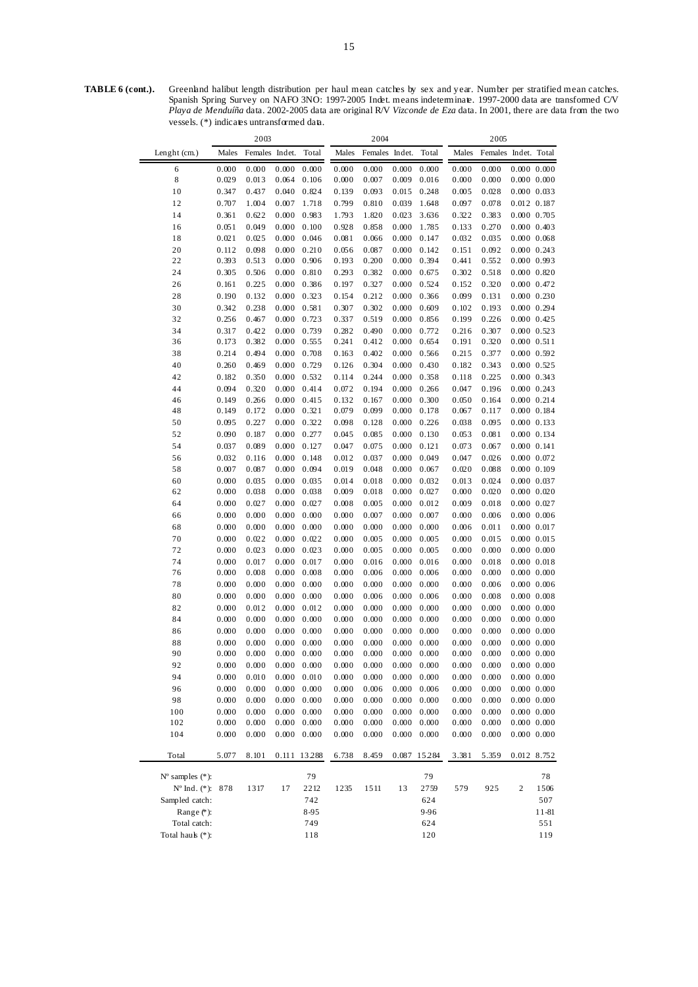vessels. (\*) indicates untransformed data.

*Playa de Menduíña* data. 2002-2005 data are original R/V *Vizconde de Eza* data. In 2001, there are data from the two

|                             |       | 2003           |       |                     |       | 2004           |       |                     |       | 2005                 |                     |                 |
|-----------------------------|-------|----------------|-------|---------------------|-------|----------------|-------|---------------------|-------|----------------------|---------------------|-----------------|
| Lenght (cm.)                | Males | Females Indet. |       | Total               | Males | Females Indet. |       | Total               | Males | Females Indet. Total |                     |                 |
| 6                           | 0.000 | 0.000          | 0.000 | 0.000               | 0.000 | 0.000          | 0.000 | 0.000               | 0.000 | 0.000                |                     | 0.000 0.000     |
| 8                           | 0.029 | 0.013          | 0.064 | 0.106               | 0.000 | 0.007          | 0.009 | 0.016               | 0.000 | 0.000                |                     | 0.000 0.000     |
| 10                          | 0.347 | 0.437          | 0.040 | 0.824               | 0.139 | 0.093          | 0.015 | 0.248               | 0.005 | 0.028                |                     | 0.000 0.033     |
| 12                          | 0.707 | 1.004          | 0.007 | 1.718               | 0.799 | 0.810          | 0.039 | 1.648               | 0.097 | 0.078                |                     | 0.012 0.187     |
| 14                          | 0.361 | 0.622          | 0.000 | 0.983               | 1.793 | 1.820          | 0.023 | 3.636               | 0.322 | 0.383                |                     | $0.000$ $0.705$ |
| 16                          | 0.051 | 0.049          | 0.000 | 0.100               | 0.928 | 0.858          | 0.000 | 1.785               | 0.133 | 0.270                |                     | $0.000$ $0.403$ |
| 18                          | 0.021 | 0.025          | 0.000 | 0.046               | 0.081 | 0.066          | 0.000 | 0.147               | 0.032 | 0.035                | 0.000 0.068         |                 |
| 20                          | 0.112 | 0.098          | 0.000 | 0.210               | 0.056 | 0.087          | 0.000 | 0.142               | 0.151 | 0.092                |                     | 0.000 0.243     |
| 22                          | 0.393 | 0.513          | 0.000 | 0.906               | 0.193 | 0.200          | 0.000 | 0.394               | 0.441 | 0.552                |                     | 0.000 0.993     |
| 24                          | 0.305 | 0.506          | 0.000 | 0.810               | 0.293 | 0.382          | 0.000 | 0.675               | 0.302 | 0.518                | 0.000 0.820         |                 |
| 26                          | 0.161 | 0.225          | 0.000 | 0.386               | 0.197 | 0.327          | 0.000 | 0.524               | 0.152 | 0.320                |                     | 0.000 0.472     |
| 28                          | 0.190 | 0.132          | 0.000 | 0.323               | 0.154 | 0.212          | 0.000 | 0.366               | 0.099 | 0.131                |                     | 0.000 0.230     |
| 30                          | 0.342 | 0.238          | 0.000 | 0.581               | 0.307 | 0.302          | 0.000 | 0.609               | 0.102 | 0.193                |                     | 0.000 0.294     |
| 32                          | 0.256 | 0.467          | 0.000 | 0.723               | 0.337 | 0.519          | 0.000 | 0.856               | 0.199 | 0.226                |                     | 0.000 0.425     |
| 34                          | 0.317 | 0.422          | 0.000 | 0.739               | 0.282 | 0.490          | 0.000 | 0.772               | 0.216 | 0.307                |                     | 0.000 0.523     |
| 36                          | 0.173 | 0.382          | 0.000 | 0.555               | 0.241 | 0.412          | 0.000 | 0.654               | 0.191 | 0.320                | $0.000$ $0.511$     |                 |
| 38                          | 0.214 | 0.494          | 0.000 | 0.708               | 0.163 | 0.402          | 0.000 | 0.566               | 0.215 | 0.377                | 0.000 0.592         |                 |
| 40                          | 0.260 | 0.469          | 0.000 | 0.729               | 0.126 | 0.304          | 0.000 | 0.430               | 0.182 | 0.343                | $0.000$ $0.525$     |                 |
| 42                          | 0.182 | 0.350          | 0.000 | 0.532               | 0.114 | 0.244          | 0.000 | 0.358               | 0.118 | 0.225                |                     | 0.000 0.343     |
| 44                          | 0.094 | 0.320          | 0.000 | 0.414               | 0.072 | 0.194          | 0.000 | 0.266               | 0.047 | 0.196                | $0.000 \quad 0.243$ |                 |
| 46                          | 0.149 | 0.266          | 0.000 | 0.415               | 0.132 | 0.167          | 0.000 | 0.300               | 0.050 | 0.164                | $0.000 \quad 0.214$ |                 |
| 48                          | 0.149 | 0.172          | 0.000 | 0.321               | 0.079 | 0.099          | 0.000 | 0.178               | 0.067 | 0.117                | 0.000 0.184         |                 |
| 50                          | 0.095 | 0.227          | 0.000 | 0.322               | 0.098 | 0.128          | 0.000 | 0.226               | 0.038 | 0.095                |                     | 0.000 0.133     |
| 52                          | 0.090 | 0.187          | 0.000 | 0.277               | 0.045 | 0.085          | 0.000 | 0.130               | 0.053 | 0.081                |                     | 0.000 0.134     |
| 54                          | 0.037 | 0.089          | 0.000 | 0.127               | 0.047 | 0.075          | 0.000 | 0.121               | 0.073 | 0.067                | 0.000 0.141         |                 |
| 56                          | 0.032 | 0.116          | 0.000 | 0.148               | 0.012 | 0.037          | 0.000 | 0.049               | 0.047 | 0.026                | 0.000 0.072         |                 |
| 58                          | 0.007 | 0.087          | 0.000 | 0.094               | 0.019 | 0.048          | 0.000 | 0.067               | 0.020 | 0.088                | $0.000$ $0.109$     |                 |
| 60                          | 0.000 | 0.035          | 0.000 | 0.035               | 0.014 | 0.018          | 0.000 | 0.032               | 0.013 | 0.024                |                     | 0.000 0.037     |
| 62                          | 0.000 | 0.038          | 0.000 | 0.038               | 0.009 | 0.018          | 0.000 | 0.027               | 0.000 | 0.020                |                     | 0.000 0.020     |
| 64                          | 0.000 | 0.027          | 0.000 | 0.027               | 0.008 | 0.005          | 0.000 | 0.012               | 0.009 | 0.018                |                     | 0.000 0.027     |
| 66                          | 0.000 | 0.000          | 0.000 | 0.000               | 0.000 | 0.007          | 0.000 | 0.007               | 0.000 | 0.006                |                     | 0.000 0.006     |
| 68                          | 0.000 | 0.000          | 0.000 | 0.000               | 0.000 | 0.000          | 0.000 | 0.000               | 0.006 | 0.011                |                     | 0.000 0.017     |
| 70                          | 0.000 | 0.022          | 0.000 | 0.022               | 0.000 | 0.005          | 0.000 | 0.005               | 0.000 | 0.015                |                     | 0.000 0.015     |
| 72                          | 0.000 | 0.023          | 0.000 | 0.023               | 0.000 | 0.005          | 0.000 | 0.005               | 0.000 | 0.000                |                     | 0.000 0.000     |
| 74                          | 0.000 | 0.017          | 0.000 | 0.017               | 0.000 | 0.016          | 0.000 | 0.016               | 0.000 | 0.018                |                     | 0.000 0.018     |
| 76                          | 0.000 | 0.008          | 0.000 | 0.008               | 0.000 | 0.006          | 0.000 | 0.006               | 0.000 | 0.000                |                     | 0.000 0.000     |
| 78                          | 0.000 | 0.000          | 0.000 | 0.000               | 0.000 | 0.000          | 0.000 | 0.000               | 0.000 | 0.006                | 0.000 0.006         |                 |
| 80                          | 0.000 | 0.000          | 0.000 | 0.000               | 0.000 | 0.006          | 0.000 | 0.006               | 0.000 | 0.008                |                     | 0.000 0.008     |
| 82                          | 0.000 | 0.012          | 0.000 | 0.012               | 0.000 | 0.000          | 0.000 | 0.000               | 0.000 | 0.000                |                     | 0.000 0.000     |
| 84                          | 0.000 | 0.000          | 0.000 | 0.000               | 0.000 | 0.000          | 0.000 | 0.000               | 0.000 | 0.000                |                     | 0.000 0.000     |
| 86                          | 0.000 | 0.000          | 0.000 | 0.000               | 0.000 | 0.000          | 0.000 | 0.000               | 0.000 | 0.000                |                     | 0.000 0.000     |
| 88                          | 0.000 | 0.000          |       | $0.000 \quad 0.000$ | 0.000 | 0.000          |       | $0.000 \quad 0.000$ | 0.000 | 0.000                |                     | 0.000 0.000     |
| 90                          | 0.000 | 0.000          |       | $0.000 \quad 0.000$ | 0.000 | 0.000          |       | $0.000 \quad 0.000$ | 0.000 | 0.000                | $0.000$ $0.000$     |                 |
| 92                          | 0.000 | 0.000          |       | $0.000 \quad 0.000$ | 0.000 | 0.000          |       | $0.000 \quad 0.000$ | 0.000 | 0.000                |                     | 0.000 0.000     |
| 94                          | 0.000 | 0.010          | 0.000 | 0.010               | 0.000 | 0.000          | 0.000 | 0.000               | 0.000 | 0.000                |                     | $0.000$ $0.000$ |
| 96                          | 0.000 | 0.000          | 0.000 | 0.000               | 0.000 | 0.006          | 0.000 | 0.006               | 0.000 | 0.000                |                     | 0.000 0.000     |
| 98                          | 0.000 | 0.000          | 0.000 | 0.000               | 0.000 | 0.000          | 0.000 | 0.000               | 0.000 | 0.000                |                     | 0.000 0.000     |
| 100                         | 0.000 | 0.000          | 0.000 | 0.000               | 0.000 | 0.000          | 0.000 | 0.000               | 0.000 | 0.000                |                     | 0.000 0.000     |
| 102                         | 0.000 | 0.000          | 0.000 | 0.000               | 0.000 | 0.000          | 0.000 | 0.000               | 0.000 | 0.000                |                     | $0.000$ $0.000$ |
| 104                         | 0.000 | 0.000          | 0.000 | 0.000               | 0.000 | 0.000          | 0.000 | 0.000               | 0.000 | 0.000                |                     | 0.000 0.000     |
| Total                       | 5.077 | 8.101          |       | 0.111 13288         | 6.738 | 8.459          |       | 0.087 15284         | 3.381 | 5.359                |                     | 0.012 8.752     |
| $N^{\circ}$ samples $(*)$ : |       |                |       | 79                  |       |                |       | 79                  |       |                      |                     | 78              |
| Nº Ind. (*): 878            |       |                |       | 2212                | 1235  | 1511           | 13    |                     | 579   |                      | 2                   | 1506            |
| Sampled catch:              |       | 1317           | 17    | 742                 |       |                |       | 2759<br>624         |       | 925                  |                     | 507             |
| Range $(*)$ :               |       |                |       | 8-95                |       |                |       | 9-96                |       |                      |                     | 11-81           |
| Total catch:                |       |                |       | 749                 |       |                |       | 624                 |       |                      |                     | 551             |
| Total hauk (*):             |       |                |       | 118                 |       |                |       | 120                 |       |                      |                     | 119             |
|                             |       |                |       |                     |       |                |       |                     |       |                      |                     |                 |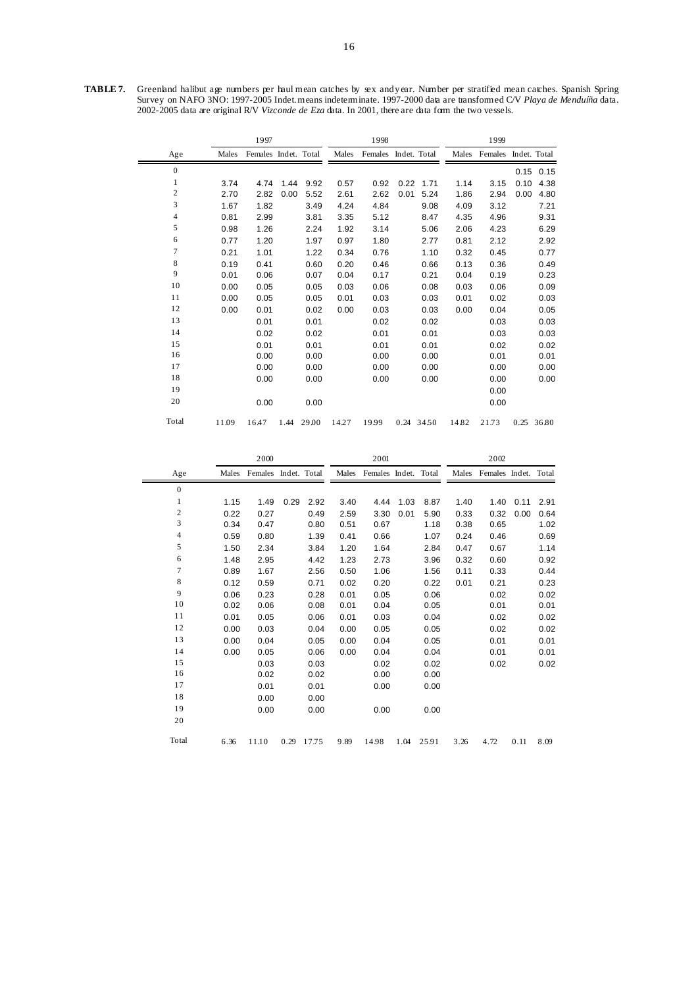**TABLE 7.** Greenland halibut age numbers per haul mean catches by sex and year. Number per stratified mean catches. Spanish Spring Survey on NAFO 3NO: 1997-2005 Indet. means indeterminate. 1997-2000 data are transformed C/V *Playa de Menduíña* data. 2002-2005 data are original R/V *Vizconde de Eza* data. In 2001, there are data form the two vessels.

|                |       | 1997                 |      | 1998  |       |                      |      | 1999       |       |                      |      |             |
|----------------|-------|----------------------|------|-------|-------|----------------------|------|------------|-------|----------------------|------|-------------|
| Age            | Males | Females Indet. Total |      |       | Males | Females Indet. Total |      |            | Males | Females Indet. Total |      |             |
| $\mathbf{0}$   |       |                      |      |       |       |                      |      |            |       |                      |      | $0.15$ 0.15 |
| 1              | 3.74  | 4.74                 | 1.44 | 9.92  | 0.57  | 0.92                 | 0.22 | 1.71       | 1.14  | 3.15                 | 0.10 | 4.38        |
| 2              | 2.70  | 2.82                 | 0.00 | 5.52  | 2.61  | 2.62                 | 0.01 | 5.24       | 1.86  | 2.94                 | 0.00 | 4.80        |
| 3              | 1.67  | 1.82                 |      | 3.49  | 4.24  | 4.84                 |      | 9.08       | 4.09  | 3.12                 |      | 7.21        |
| $\overline{4}$ | 0.81  | 2.99                 |      | 3.81  | 3.35  | 5.12                 |      | 8.47       | 4.35  | 4.96                 |      | 9.31        |
| 5              | 0.98  | 1.26                 |      | 2.24  | 1.92  | 3.14                 |      | 5.06       | 2.06  | 4.23                 |      | 6.29        |
| 6              | 0.77  | 1.20                 |      | 1.97  | 0.97  | 1.80                 |      | 2.77       | 0.81  | 2.12                 |      | 2.92        |
| 7              | 0.21  | 1.01                 |      | 1.22  | 0.34  | 0.76                 |      | 1.10       | 0.32  | 0.45                 |      | 0.77        |
| 8              | 0.19  | 0.41                 |      | 0.60  | 0.20  | 0.46                 |      | 0.66       | 0.13  | 0.36                 |      | 0.49        |
| 9              | 0.01  | 0.06                 |      | 0.07  | 0.04  | 0.17                 |      | 0.21       | 0.04  | 0.19                 |      | 0.23        |
| 10             | 0.00  | 0.05                 |      | 0.05  | 0.03  | 0.06                 |      | 0.08       | 0.03  | 0.06                 |      | 0.09        |
| 11             | 0.00  | 0.05                 |      | 0.05  | 0.01  | 0.03                 |      | 0.03       | 0.01  | 0.02                 |      | 0.03        |
| 12             | 0.00  | 0.01                 |      | 0.02  | 0.00  | 0.03                 |      | 0.03       | 0.00  | 0.04                 |      | 0.05        |
| 13             |       | 0.01                 |      | 0.01  |       | 0.02                 |      | 0.02       |       | 0.03                 |      | 0.03        |
| 14             |       | 0.02                 |      | 0.02  |       | 0.01                 |      | 0.01       |       | 0.03                 |      | 0.03        |
| 15             |       | 0.01                 |      | 0.01  |       | 0.01                 |      | 0.01       |       | 0.02                 |      | 0.02        |
| 16             |       | 0.00                 |      | 0.00  |       | 0.00                 |      | 0.00       |       | 0.01                 |      | 0.01        |
| 17             |       | 0.00                 |      | 0.00  |       | 0.00                 |      | 0.00       |       | 0.00                 |      | 0.00        |
| 18             |       | 0.00                 |      | 0.00  |       | 0.00                 |      | 0.00       |       | 0.00                 |      | 0.00        |
| 19             |       |                      |      |       |       |                      |      |            |       | 0.00                 |      |             |
| 20             |       | 0.00                 |      | 0.00  |       |                      |      |            |       | 0.00                 |      |             |
| Total          | 11.09 | 16.47                | 1.44 | 29.00 | 14.27 | 19.99                |      | 0.24 34.50 | 14.82 | 21.73                | 0.25 | 36.80       |

|                         |       | 2000                 |      | 2001  |       |                      |      | 2002  |       |                      |      |      |
|-------------------------|-------|----------------------|------|-------|-------|----------------------|------|-------|-------|----------------------|------|------|
| Age                     | Males | Females Indet. Total |      |       | Males | Females Indet. Total |      |       | Males | Females Indet. Total |      |      |
| $\overline{0}$          |       |                      |      |       |       |                      |      |       |       |                      |      |      |
| 1                       | 1.15  | 1.49                 | 0.29 | 2.92  | 3.40  | 4.44                 | 1.03 | 8.87  | 1.40  | 1.40                 | 0.11 | 2.91 |
| $\overline{\mathbf{c}}$ | 0.22  | 0.27                 |      | 0.49  | 2.59  | 3.30                 | 0.01 | 5.90  | 0.33  | 0.32                 | 0.00 | 0.64 |
| 3                       | 0.34  | 0.47                 |      | 0.80  | 0.51  | 0.67                 |      | 1.18  | 0.38  | 0.65                 |      | 1.02 |
| $\overline{4}$          | 0.59  | 0.80                 |      | 1.39  | 0.41  | 0.66                 |      | 1.07  | 0.24  | 0.46                 |      | 0.69 |
| 5                       | 1.50  | 2.34                 |      | 3.84  | 1.20  | 1.64                 |      | 2.84  | 0.47  | 0.67                 |      | 1.14 |
| 6                       | 1.48  | 2.95                 |      | 4.42  | 1.23  | 2.73                 |      | 3.96  | 0.32  | 0.60                 |      | 0.92 |
| $\tau$                  | 0.89  | 1.67                 |      | 2.56  | 0.50  | 1.06                 |      | 1.56  | 0.11  | 0.33                 |      | 0.44 |
| 8                       | 0.12  | 0.59                 |      | 0.71  | 0.02  | 0.20                 |      | 0.22  | 0.01  | 0.21                 |      | 0.23 |
| 9                       | 0.06  | 0.23                 |      | 0.28  | 0.01  | 0.05                 |      | 0.06  |       | 0.02                 |      | 0.02 |
| 10                      | 0.02  | 0.06                 |      | 0.08  | 0.01  | 0.04                 |      | 0.05  |       | 0.01                 |      | 0.01 |
| 11                      | 0.01  | 0.05                 |      | 0.06  | 0.01  | 0.03                 |      | 0.04  |       | 0.02                 |      | 0.02 |
| 12                      | 0.00  | 0.03                 |      | 0.04  | 0.00  | 0.05                 |      | 0.05  |       | 0.02                 |      | 0.02 |
| 13                      | 0.00  | 0.04                 |      | 0.05  | 0.00  | 0.04                 |      | 0.05  |       | 0.01                 |      | 0.01 |
| 14                      | 0.00  | 0.05                 |      | 0.06  | 0.00  | 0.04                 |      | 0.04  |       | 0.01                 |      | 0.01 |
| 15                      |       | 0.03                 |      | 0.03  |       | 0.02                 |      | 0.02  |       | 0.02                 |      | 0.02 |
| 16                      |       | 0.02                 |      | 0.02  |       | 0.00                 |      | 0.00  |       |                      |      |      |
| 17                      |       | 0.01                 |      | 0.01  |       | 0.00                 |      | 0.00  |       |                      |      |      |
| 18                      |       | 0.00                 |      | 0.00  |       |                      |      |       |       |                      |      |      |
| 19                      |       | 0.00                 |      | 0.00  |       | 0.00                 |      | 0.00  |       |                      |      |      |
| 20                      |       |                      |      |       |       |                      |      |       |       |                      |      |      |
| Total                   | 6.36  | 11.10                | 0.29 | 17.75 | 9.89  | 14.98                | 1.04 | 25.91 | 3.26  | 4.72                 | 0.11 | 8.09 |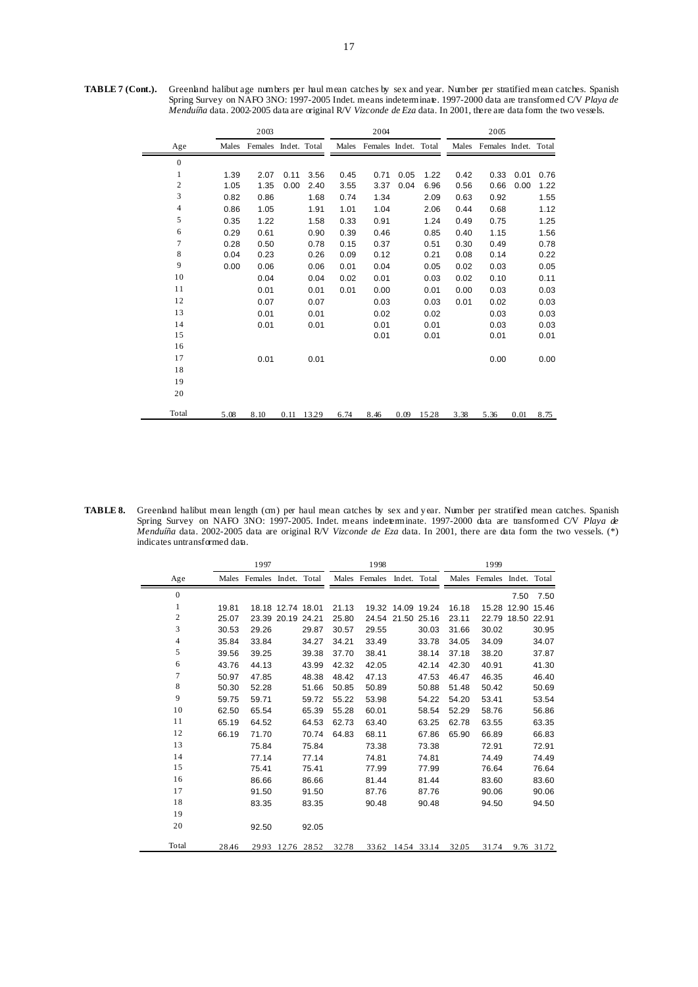**TABLE 7 (Cont.).** Greenland halibut age numbers per haul mean catches by sex and year. Number per stratified mean catches. Spanish Spring Survey on NAFO 3NO: 1997-2005 Indet. means indeterminate. 1997-2000 data are transformed C/V *Playa de Menduíña* data. 2002-2005 data are original R/V *Vizconde de Eza* data. In 2001, there are data form the two vessels.

|                |       | 2003                 |      |       |       | 2004                 |      |       |       | 2005                 |      |      |
|----------------|-------|----------------------|------|-------|-------|----------------------|------|-------|-------|----------------------|------|------|
| Age            | Males | Females Indet. Total |      |       | Males | Females Indet. Total |      |       | Males | Females Indet. Total |      |      |
| $\overline{0}$ |       |                      |      |       |       |                      |      |       |       |                      |      |      |
| 1              | 1.39  | 2.07                 | 0.11 | 3.56  | 0.45  | 0.71                 | 0.05 | 1.22  | 0.42  | 0.33                 | 0.01 | 0.76 |
| $\sqrt{2}$     | 1.05  | 1.35                 | 0.00 | 2.40  | 3.55  | 3.37                 | 0.04 | 6.96  | 0.56  | 0.66                 | 0.00 | 1.22 |
| 3              | 0.82  | 0.86                 |      | 1.68  | 0.74  | 1.34                 |      | 2.09  | 0.63  | 0.92                 |      | 1.55 |
| $\overline{4}$ | 0.86  | 1.05                 |      | 1.91  | 1.01  | 1.04                 |      | 2.06  | 0.44  | 0.68                 |      | 1.12 |
| 5              | 0.35  | 1.22                 |      | 1.58  | 0.33  | 0.91                 |      | 1.24  | 0.49  | 0.75                 |      | 1.25 |
| 6              | 0.29  | 0.61                 |      | 0.90  | 0.39  | 0.46                 |      | 0.85  | 0.40  | 1.15                 |      | 1.56 |
| $\overline{7}$ | 0.28  | 0.50                 |      | 0.78  | 0.15  | 0.37                 |      | 0.51  | 0.30  | 0.49                 |      | 0.78 |
| 8              | 0.04  | 0.23                 |      | 0.26  | 0.09  | 0.12                 |      | 0.21  | 0.08  | 0.14                 |      | 0.22 |
| 9              | 0.00  | 0.06                 |      | 0.06  | 0.01  | 0.04                 |      | 0.05  | 0.02  | 0.03                 |      | 0.05 |
| 10             |       | 0.04                 |      | 0.04  | 0.02  | 0.01                 |      | 0.03  | 0.02  | 0.10                 |      | 0.11 |
| 11             |       | 0.01                 |      | 0.01  | 0.01  | 0.00                 |      | 0.01  | 0.00  | 0.03                 |      | 0.03 |
| 12             |       | 0.07                 |      | 0.07  |       | 0.03                 |      | 0.03  | 0.01  | 0.02                 |      | 0.03 |
| 13             |       | 0.01                 |      | 0.01  |       | 0.02                 |      | 0.02  |       | 0.03                 |      | 0.03 |
| 14             |       | 0.01                 |      | 0.01  |       | 0.01                 |      | 0.01  |       | 0.03                 |      | 0.03 |
| 15             |       |                      |      |       |       | 0.01                 |      | 0.01  |       | 0.01                 |      | 0.01 |
| 16             |       |                      |      |       |       |                      |      |       |       |                      |      |      |
| 17             |       | 0.01                 |      | 0.01  |       |                      |      |       |       | 0.00                 |      | 0.00 |
| 18             |       |                      |      |       |       |                      |      |       |       |                      |      |      |
| 19             |       |                      |      |       |       |                      |      |       |       |                      |      |      |
| 20             |       |                      |      |       |       |                      |      |       |       |                      |      |      |
| Total          | 5.08  | 8.10                 | 0.11 | 13.29 | 6.74  | 8.46                 | 0.09 | 15.28 | 3.38  | 5.36                 | 0.01 | 8.75 |

**TABLE 8.** Greenland halibut mean length (cm) per haul mean catches by sex and y ear. Number per stratified mean catches. Spanish Spring Survey on NAFO 3NO: 1997-2005. Indet. means indeterminate. 1997-2000 data are transformed C/V *Playa de Menduíña* data. 2002-2005 data are original R/V *Vizconde de Eza* data. In 2001, there are data form the two vessels. (\*) indicates untransformed data.

|                  |       | 1997                       |                   |       | 1998  |                            |                   |       | 1999  |                            |                   |            |
|------------------|-------|----------------------------|-------------------|-------|-------|----------------------------|-------------------|-------|-------|----------------------------|-------------------|------------|
| Age              |       | Males Females Indet. Total |                   |       |       | Males Females Indet. Total |                   |       |       | Males Females Indet. Total |                   |            |
| $\mathbf{0}$     |       |                            |                   |       |       |                            |                   |       |       |                            | 7.50              | 7.50       |
| 1                | 19.81 |                            | 18.18 12.74 18.01 |       | 21.13 |                            | 19.32 14.09 19.24 |       | 16.18 |                            | 15.28 12.90 15.46 |            |
| $\boldsymbol{2}$ | 25.07 |                            | 23.39 20.19 24.21 |       | 25.80 |                            | 24.54 21.50 25.16 |       | 23.11 |                            | 22.79 18.50 22.91 |            |
| 3                | 30.53 | 29.26                      |                   | 29.87 | 30.57 | 29.55                      |                   | 30.03 | 31.66 | 30.02                      |                   | 30.95      |
| 4                | 35.84 | 33.84                      |                   | 34.27 | 34.21 | 33.49                      |                   | 33.78 | 34.05 | 34.09                      |                   | 34.07      |
| 5                | 39.56 | 39.25                      |                   | 39.38 | 37.70 | 38.41                      |                   | 38.14 | 37.18 | 38.20                      |                   | 37.87      |
| 6                | 43.76 | 44.13                      |                   | 43.99 | 42.32 | 42.05                      |                   | 42.14 | 42.30 | 40.91                      |                   | 41.30      |
| $\tau$           | 50.97 | 47.85                      |                   | 48.38 | 48.42 | 47.13                      |                   | 47.53 | 46.47 | 46.35                      |                   | 46.40      |
| 8                | 50.30 | 52.28                      |                   | 51.66 | 50.85 | 50.89                      |                   | 50.88 | 51.48 | 50.42                      |                   | 50.69      |
| 9                | 59.75 | 59.71                      |                   | 59.72 | 55.22 | 53.98                      |                   | 54.22 | 54.20 | 53.41                      |                   | 53.54      |
| 10               | 62.50 | 65.54                      |                   | 65.39 | 55.28 | 60.01                      |                   | 58.54 | 52.29 | 58.76                      |                   | 56.86      |
| 11               | 65.19 | 64.52                      |                   | 64.53 | 62.73 | 63.40                      |                   | 63.25 | 62.78 | 63.55                      |                   | 63.35      |
| 12               | 66.19 | 71.70                      |                   | 70.74 | 64.83 | 68.11                      |                   | 67.86 | 65.90 | 66.89                      |                   | 66.83      |
| 13               |       | 75.84                      |                   | 75.84 |       | 73.38                      |                   | 73.38 |       | 72.91                      |                   | 72.91      |
| 14               |       | 77.14                      |                   | 77.14 |       | 74.81                      |                   | 74.81 |       | 74.49                      |                   | 74.49      |
| 15               |       | 75.41                      |                   | 75.41 |       | 77.99                      |                   | 77.99 |       | 76.64                      |                   | 76.64      |
| 16               |       | 86.66                      |                   | 86.66 |       | 81.44                      |                   | 81.44 |       | 83.60                      |                   | 83.60      |
| 17               |       | 91.50                      |                   | 91.50 |       | 87.76                      |                   | 87.76 |       | 90.06                      |                   | 90.06      |
| 18               |       | 83.35                      |                   | 83.35 |       | 90.48                      |                   | 90.48 |       | 94.50                      |                   | 94.50      |
| 19               |       |                            |                   |       |       |                            |                   |       |       |                            |                   |            |
| 20               |       | 92.50                      |                   | 92.05 |       |                            |                   |       |       |                            |                   |            |
| Total            | 28.46 |                            | 2993 12.76 28.52  |       | 32.78 |                            | 33.62 14.54 33.14 |       | 32.05 | 31.74                      |                   | 9.76 31.72 |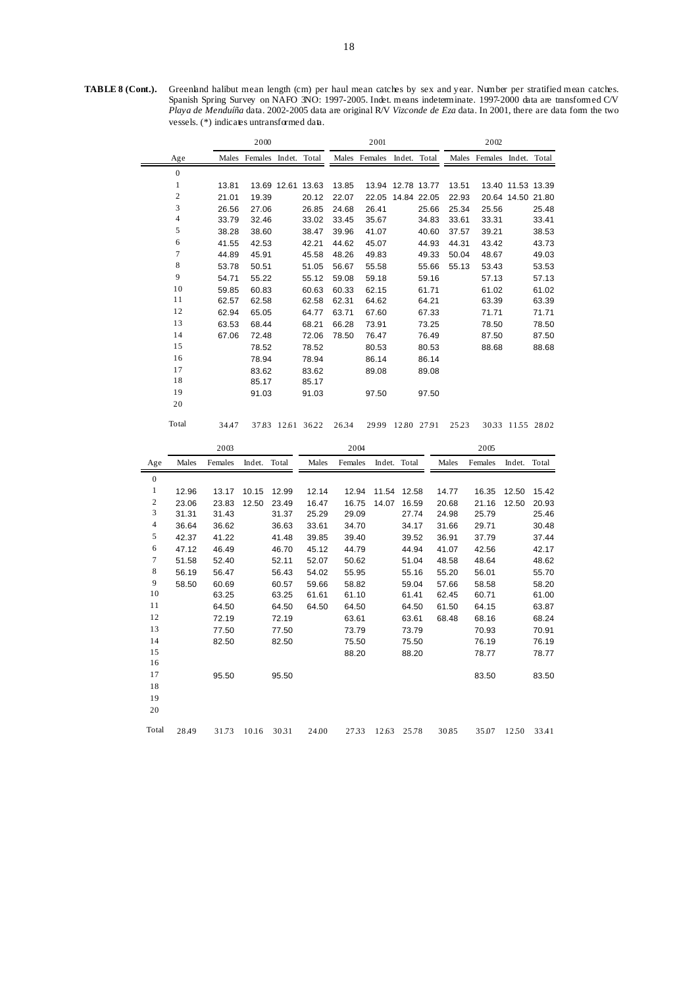TABLE 8 (Cont.). Greenland halibut mean length (cm) per haul mean catches by sex and year. Number per stratified mean catches. Spanish Spring Survey on NAFO 3NO: 1997-2005. Indet. means indeterminate. 1997-2000 data are transformed C/V *Playa de Menduíña* data. 2002-2005 data are original R/V *Vizconde de Eza* data. In 2001, there are data form the two vessels. (\*) indicates untransformed data.

|                  |                         |                | 2000    |                   |                |                | 2001              |                |       |                | 2002           |                   |                |
|------------------|-------------------------|----------------|---------|-------------------|----------------|----------------|-------------------|----------------|-------|----------------|----------------|-------------------|----------------|
|                  | Age                     | Males          | Females | Indet.            | Total          | Males          | Females           | Indet.         | Total | Males          | Females        | Indet.            | Total          |
|                  | $\boldsymbol{0}$        |                |         |                   |                |                |                   |                |       |                |                |                   |                |
|                  | $\,1$                   | 13.81          |         | 13.69 12.61 13.63 |                | 13.85          | 13.94 12.78 13.77 |                |       | 13.51          |                | 13.40 11.53 13.39 |                |
|                  | $\overline{\mathbf{c}}$ | 21.01          | 19.39   |                   | 20.12          | 22.07          | 22.05             | 14.84 22.05    |       | 22.93          |                | 20.64 14.50 21.80 |                |
|                  | 3                       | 26.56          | 27.06   |                   | 26.85          | 24.68          | 26.41             |                | 25.66 | 25.34          | 25.56          |                   | 25.48          |
|                  | 4                       | 33.79          | 32.46   |                   | 33.02          | 33.45          | 35.67             |                | 34.83 | 33.61          | 33.31          |                   | 33.41          |
|                  | 5                       | 38.28          | 38.60   |                   | 38.47          | 39.96          | 41.07             |                | 40.60 | 37.57          | 39.21          |                   | 38.53          |
|                  | 6                       | 41.55          | 42.53   |                   | 42.21          | 44.62          | 45.07             |                | 44.93 | 44.31          | 43.42          |                   | 43.73          |
|                  | 7                       | 44.89          | 45.91   |                   | 45.58          | 48.26          | 49.83             |                | 49.33 | 50.04          | 48.67          |                   | 49.03          |
|                  | 8                       | 53.78          | 50.51   |                   | 51.05          | 56.67          | 55.58             |                | 55.66 | 55.13          | 53.43          |                   | 53.53          |
|                  | 9                       | 54.71          | 55.22   |                   | 55.12          | 59.08          | 59.18             |                | 59.16 |                | 57.13          |                   | 57.13          |
|                  | 10                      | 59.85          | 60.83   |                   | 60.63          | 60.33          | 62.15             |                | 61.71 |                | 61.02          |                   | 61.02          |
|                  | 11                      | 62.57          | 62.58   |                   | 62.58          | 62.31          | 64.62             |                | 64.21 |                | 63.39          |                   | 63.39          |
|                  | 12                      | 62.94          | 65.05   |                   | 64.77          | 63.71          | 67.60             |                | 67.33 |                | 71.71          |                   | 71.71          |
|                  | 13                      | 63.53          | 68.44   |                   | 68.21          | 66.28          | 73.91             |                | 73.25 |                | 78.50          |                   | 78.50          |
|                  | 14                      | 67.06          | 72.48   |                   | 72.06          | 78.50          | 76.47             |                | 76.49 |                | 87.50          |                   | 87.50          |
|                  | 15                      |                | 78.52   |                   | 78.52          |                | 80.53             |                | 80.53 |                | 88.68          |                   | 88.68          |
|                  | 16                      |                | 78.94   |                   | 78.94          |                | 86.14             |                | 86.14 |                |                |                   |                |
|                  | 17                      |                | 83.62   |                   | 83.62          |                | 89.08             |                | 89.08 |                |                |                   |                |
|                  | 18                      |                | 85.17   |                   | 85.17          |                |                   |                |       |                |                |                   |                |
|                  | 19                      |                | 91.03   |                   | 91.03          |                | 97.50             |                | 97.50 |                |                |                   |                |
|                  | 20                      |                |         |                   |                |                |                   |                |       |                |                |                   |                |
|                  | Total                   | 34.47          |         | 37.83 12.61 36.22 |                | 2634           | 2999 12.80 27.91  |                |       | 2523           |                | 3033 1155 28.02   |                |
|                  |                         |                |         |                   |                |                |                   |                |       |                |                |                   |                |
|                  |                         | 2003           |         |                   |                | 2004           |                   |                |       |                | 2005           |                   |                |
| Age              | Males                   | Females        | Indet.  | Total             | Males          | Females        | Indet.            | Total          |       | Males          | Females        | Indet.            | Total          |
| $\boldsymbol{0}$ |                         |                |         |                   |                |                |                   |                |       |                |                |                   |                |
|                  |                         |                |         |                   |                |                |                   |                |       |                |                |                   |                |
| 1<br>$\sqrt{2}$  | 12.96                   | 13.17          | 10.15   | 12.99             | 12.14          | 12.94          | 11.54             | 12.58          |       | 14.77          | 16.35          | 12.50             | 15.42          |
| 3                | 23.06<br>31.31          | 23.83<br>31.43 | 12.50   | 23.49<br>31.37    | 16.47<br>25.29 | 16.75<br>29.09 | 14.07             | 16.59<br>27.74 |       | 20.68<br>24.98 | 21.16<br>25.79 | 12.50             | 20.93<br>25.46 |
| $\overline{4}$   | 36.64                   | 36.62          |         | 36.63             | 33.61          | 34.70          |                   | 34.17          |       | 31.66          | 29.71          |                   | 30.48          |
| 5                | 42.37                   | 41.22          |         | 41.48             | 39.85          | 39.40          |                   | 39.52          |       | 36.91          | 37.79          |                   | 37.44          |
| 6                | 47.12                   | 46.49          |         | 46.70             | 45.12          | 44.79          |                   | 44.94          |       | 41.07          | 42.56          |                   | 42.17          |
| $\tau$           | 51.58                   | 52.40          |         |                   | 52.07          | 50.62          |                   | 51.04          |       | 48.58          | 48.64          |                   | 48.62          |
| 8                | 56.19                   | 56.47          |         | 52.11<br>56.43    | 54.02          | 55.95          |                   | 55.16          |       | 55.20          | 56.01          |                   | 55.70          |
| 9                | 58.50                   | 60.69          |         | 60.57             | 59.66          | 58.82          |                   | 59.04          |       | 57.66          | 58.58          |                   | 58.20          |
| 10               |                         | 63.25          |         | 63.25             | 61.61          | 61.10          |                   | 61.41          |       | 62.45          | 60.71          |                   | 61.00          |
| 11               |                         | 64.50          |         | 64.50             | 64.50          | 64.50          |                   | 64.50          |       | 61.50          | 64.15          |                   | 63.87          |
| 12               |                         | 72.19          |         | 72.19             |                | 63.61          |                   | 63.61          |       | 68.48          | 68.16          |                   | 68.24          |
| 13               |                         | 77.50          |         | 77.50             |                | 73.79          |                   | 73.79          |       |                | 70.93          |                   | 70.91          |
| 14               |                         | 82.50          |         | 82.50             |                | 75.50          |                   | 75.50          |       |                | 76.19          |                   | 76.19          |
| 15               |                         |                |         |                   |                | 88.20          |                   | 88.20          |       |                | 78.77          |                   | 78.77          |
| 16               |                         |                |         |                   |                |                |                   |                |       |                |                |                   |                |
| 17               |                         | 95.50          |         | 95.50             |                |                |                   |                |       |                | 83.50          |                   | 83.50          |
| 18               |                         |                |         |                   |                |                |                   |                |       |                |                |                   |                |
| 19               |                         |                |         |                   |                |                |                   |                |       |                |                |                   |                |
| 20               |                         |                |         |                   |                |                |                   |                |       |                |                |                   |                |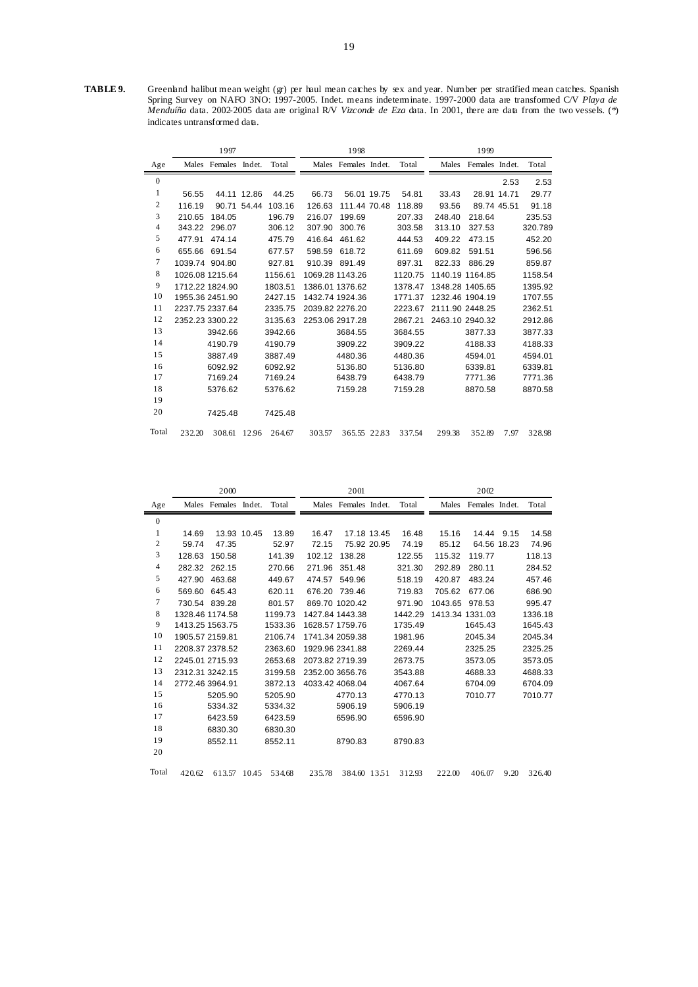**TABLE 9.** Greenland halibut mean weight (gr) per haul mean catches by sex and year. Number per stratified mean catches. Spanish Spring Survey on NAFO 3NO: 1997-2005. Indet. means indeterminate. 1997-2000 data are transformed C/V *Playa de Menduíña* data. 2002-2005 data are original R/V *Vizconde de Eza* data. In 2001, there are data from the two vessels. (\*) indicates untransformed data.

|                |                 | 1997                 |             |         |        | 1998                 |         |                 | 1999           |      |         |
|----------------|-----------------|----------------------|-------------|---------|--------|----------------------|---------|-----------------|----------------|------|---------|
| Age            |                 | Males Females Indet. |             | Total   |        | Males Females Indet. | Total   | Males           | Females Indet. |      | Total   |
| $\mathbf{0}$   |                 |                      |             |         |        |                      |         |                 |                | 2.53 | 2.53    |
| 1              | 56.55           |                      | 44.11 12.86 | 44.25   | 66.73  | 56.01 19.75          | 54.81   | 33.43           | 28.91 14.71    |      | 29.77   |
| 2              | 116.19          |                      | 90.71 54.44 | 103.16  | 126.63 | 111.44 70.48         | 118.89  | 93.56           | 89.74 45.51    |      | 91.18   |
| 3              | 210.65          | 184.05               |             | 196.79  | 216.07 | 199.69               | 207.33  | 248.40          | 218.64         |      | 235.53  |
| $\overline{4}$ | 343.22          | 296.07               |             | 306.12  | 307.90 | 300.76               | 303.58  | 313.10          | 327.53         |      | 320.789 |
| 5              | 477.91          | 474.14               |             | 475.79  | 416.64 | 461.62               | 444.53  | 409.22          | 473.15         |      | 452.20  |
| 6              | 655.66          | 691.54               |             | 677.57  | 598.59 | 618.72               | 611.69  | 609.82          | 591.51         |      | 596.56  |
| 7              |                 | 1039.74 904.80       |             | 927.81  | 910.39 | 891.49               | 897.31  | 822.33          | 886.29         |      | 859.87  |
| 8              |                 | 1026.08 1215.64      |             | 1156.61 |        | 1069.28 1143.26      | 1120.75 | 1140.19 1164.85 |                |      | 1158.54 |
| 9              |                 | 1712.22 1824.90      |             | 1803.51 |        | 1386.01 1376.62      | 1378.47 | 1348.28 1405.65 |                |      | 1395.92 |
| 10             |                 | 1955.36 2451.90      |             | 2427.15 |        | 1432.74 1924.36      | 1771.37 | 1232.46 1904.19 |                |      | 1707.55 |
| 11             | 2237.75 2337.64 |                      |             | 2335.75 |        | 2039.82 2276.20      | 2223.67 | 2111.90 2448.25 |                |      | 2362.51 |
| 12             |                 | 2352.23 3300.22      |             | 3135.63 |        | 2253.06 2917.28      | 2867.21 | 2463.10 2940.32 |                |      | 2912.86 |
| 13             |                 | 3942.66              |             | 3942.66 |        | 3684.55              | 3684.55 |                 | 3877.33        |      | 3877.33 |
| 14             |                 | 4190.79              |             | 4190.79 |        | 3909.22              | 3909.22 |                 | 4188.33        |      | 4188.33 |
| 15             |                 | 3887.49              |             | 3887.49 |        | 4480.36              | 4480.36 |                 | 4594.01        |      | 4594.01 |
| 16             |                 | 6092.92              |             | 6092.92 |        | 5136.80              | 5136.80 |                 | 6339.81        |      | 6339.81 |
| 17             |                 | 7169.24              |             | 7169.24 |        | 6438.79              | 6438.79 |                 | 7771.36        |      | 7771.36 |
| 18             |                 | 5376.62              |             | 5376.62 |        | 7159.28              | 7159.28 |                 | 8870.58        |      | 8870.58 |
| 19             |                 |                      |             |         |        |                      |         |                 |                |      |         |
| 20             |                 | 7425.48              |             | 7425.48 |        |                      |         |                 |                |      |         |
| Total          | 232.20          | 308.61 12.96         |             | 264.67  | 303.57 | 365.55 22.83         | 337.54  | 299.38          | 352.89         | 7.97 | 328.98  |

|                          |                 | 2000                 |             |         |        | 2001                 |             |         |         | 2002                 |      |         |
|--------------------------|-----------------|----------------------|-------------|---------|--------|----------------------|-------------|---------|---------|----------------------|------|---------|
| Age                      |                 | Males Females Indet. |             | Total   |        | Males Females Indet. |             | Total   |         | Males Females Indet. |      | Total   |
| $\boldsymbol{0}$         |                 |                      |             |         |        |                      |             |         |         |                      |      |         |
| 1                        | 14.69           |                      | 13.93 10.45 | 13.89   | 16.47  |                      | 17.18 13.45 | 16.48   | 15.16   | 14.44                | 9.15 | 14.58   |
| $\sqrt{2}$               | 59.74           | 47.35                |             | 52.97   | 72.15  | 75.92 20.95          |             | 74.19   | 85.12   | 64.56 18.23          |      | 74.96   |
| 3                        | 128.63          | 150.58               |             | 141.39  | 102.12 | 138.28               |             | 122.55  | 115.32  | 119.77               |      | 118.13  |
| $\overline{\mathcal{L}}$ | 282.32          | 262.15               |             | 270.66  | 271.96 | 351.48               |             | 321.30  | 292.89  | 280.11               |      | 284.52  |
| 5                        | 427.90          | 463.68               |             | 449.67  | 474.57 | 549.96               |             | 518.19  | 420.87  | 483.24               |      | 457.46  |
| 6                        | 569.60          | 645.43               |             | 620.11  | 676.20 | 739.46               |             | 719.83  | 705.62  | 677.06               |      | 686.90  |
| 7                        |                 | 730.54 839.28        |             | 801.57  |        | 869.70 1020.42       |             | 971.90  | 1043.65 | 978.53               |      | 995.47  |
| 8                        |                 | 1328.46 1174.58      |             | 1199.73 |        | 1427.84 1443.38      |             | 1442.29 |         | 1413.34 1331.03      |      | 1336.18 |
| 9                        |                 | 1413.25 1563.75      |             | 1533.36 |        | 1628.57 1759.76      |             | 1735.49 |         | 1645.43              |      | 1645.43 |
| 10                       | 1905.57 2159.81 |                      |             | 2106.74 |        | 1741.34 2059.38      |             | 1981.96 |         | 2045.34              |      | 2045.34 |
| 11                       | 2208.37 2378.52 |                      |             | 2363.60 |        | 1929.96 2341.88      |             | 2269.44 |         | 2325.25              |      | 2325.25 |
| 12                       | 2245.01 2715.93 |                      |             | 2653.68 |        | 2073.82 2719.39      |             | 2673.75 |         | 3573.05              |      | 3573.05 |
| 13                       | 2312.31 3242.15 |                      |             | 3199.58 |        | 2352.00 3656.76      |             | 3543.88 |         | 4688.33              |      | 4688.33 |
| 14                       | 2772.46 3964.91 |                      |             | 3872.13 |        | 4033.42 4068.04      |             | 4067.64 |         | 6704.09              |      | 6704.09 |
| 15                       |                 | 5205.90              |             | 5205.90 |        | 4770.13              |             | 4770.13 |         | 7010.77              |      | 7010.77 |
| 16                       |                 | 5334.32              |             | 5334.32 |        | 5906.19              |             | 5906.19 |         |                      |      |         |
| 17                       |                 | 6423.59              |             | 6423.59 |        | 6596.90              |             | 6596.90 |         |                      |      |         |
| 18                       |                 | 6830.30              |             | 6830.30 |        |                      |             |         |         |                      |      |         |
| 19                       |                 | 8552.11              |             | 8552.11 |        | 8790.83              |             | 8790.83 |         |                      |      |         |
| 20                       |                 |                      |             |         |        |                      |             |         |         |                      |      |         |
| Total                    | 420.62          | 613.57               | 10.45       | 534.68  | 235.78 | 384.60 1351          |             | 312.93  | 222.00  | 406.07               | 9.20 | 326.40  |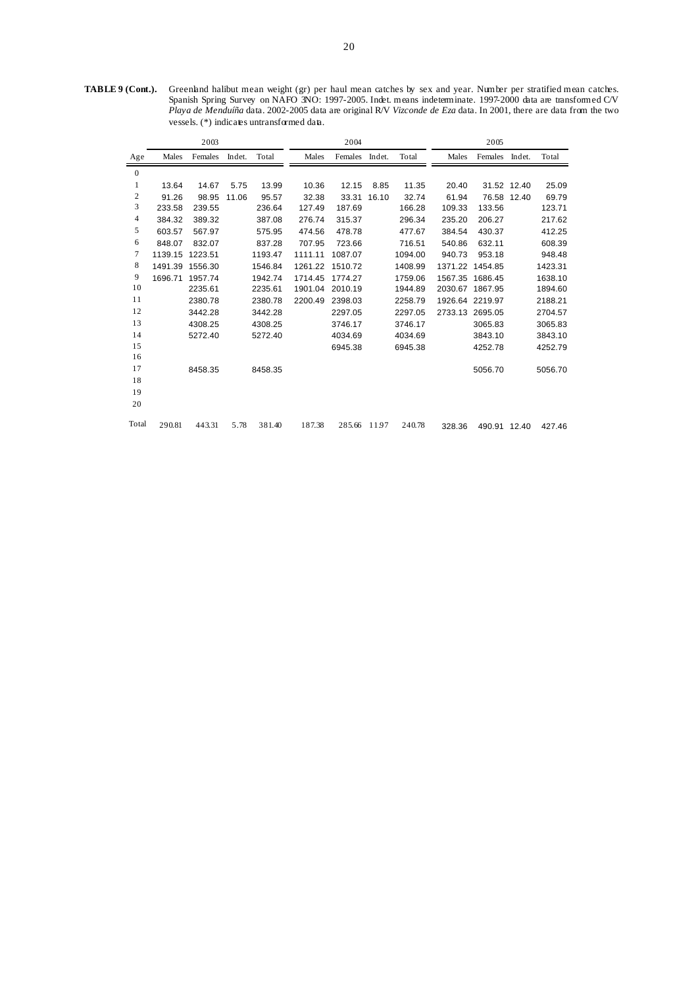**TABLE 9 (Cont.).** Greenland halibut mean weight (gr) per haul mean catches by sex and year. Number per stratified mean catches. Spanish Spring Survey on NAFO 3NO: 1997-2005. Indet. means indeterminate. 1997-2000 data are transformed C/V *Playa de Menduíña* data. 2002-2005 data are original R/V *Vizconde de Eza* data. In 2001, there are data from the two vessels. (\*) indicates untransformed data.

|                  |         | 2003    |        |         |         | 2004    |        |         |         | 2005         |             |         |
|------------------|---------|---------|--------|---------|---------|---------|--------|---------|---------|--------------|-------------|---------|
| Age              | Males   | Females | Indet. | Total   | Males   | Females | Indet. | Total   | Males   | Females      | Indet.      | Total   |
| $\boldsymbol{0}$ |         |         |        |         |         |         |        |         |         |              |             |         |
| 1                | 13.64   | 14.67   | 5.75   | 13.99   | 10.36   | 12.15   | 8.85   | 11.35   | 20.40   |              | 31.52 12.40 | 25.09   |
| $\boldsymbol{2}$ | 91.26   | 98.95   | 11.06  | 95.57   | 32.38   | 33.31   | 16.10  | 32.74   | 61.94   |              | 76.58 12.40 | 69.79   |
| 3                | 233.58  | 239.55  |        | 236.64  | 127.49  | 187.69  |        | 166.28  | 109.33  | 133.56       |             | 123.71  |
| 4                | 384.32  | 389.32  |        | 387.08  | 276.74  | 315.37  |        | 296.34  | 235.20  | 206.27       |             | 217.62  |
| 5                | 603.57  | 567.97  |        | 575.95  | 474.56  | 478.78  |        | 477.67  | 384.54  | 430.37       |             | 412.25  |
| 6                | 848.07  | 832.07  |        | 837.28  | 707.95  | 723.66  |        | 716.51  | 540.86  | 632.11       |             | 608.39  |
| 7                | 1139.15 | 1223.51 |        | 1193.47 | 1111.11 | 1087.07 |        | 1094.00 | 940.73  | 953.18       |             | 948.48  |
| 8                | 1491.39 | 1556.30 |        | 1546.84 | 1261.22 | 1510.72 |        | 1408.99 | 1371.22 | 1454.85      |             | 1423.31 |
| 9                | 1696.71 | 1957.74 |        | 1942.74 | 1714.45 | 1774.27 |        | 1759.06 | 1567.35 | 1686.45      |             | 1638.10 |
| 10               |         | 2235.61 |        | 2235.61 | 1901.04 | 2010.19 |        | 1944.89 | 2030.67 | 1867.95      |             | 1894.60 |
| 11               |         | 2380.78 |        | 2380.78 | 2200.49 | 2398.03 |        | 2258.79 | 1926.64 | 2219.97      |             | 2188.21 |
| 12               |         | 3442.28 |        | 3442.28 |         | 2297.05 |        | 2297.05 | 2733.13 | 2695.05      |             | 2704.57 |
| 13               |         | 4308.25 |        | 4308.25 |         | 3746.17 |        | 3746.17 |         | 3065.83      |             | 3065.83 |
| 14               |         | 5272.40 |        | 5272.40 |         | 4034.69 |        | 4034.69 |         | 3843.10      |             | 3843.10 |
| 15               |         |         |        |         |         | 6945.38 |        | 6945.38 |         | 4252.78      |             | 4252.79 |
| 16               |         |         |        |         |         |         |        |         |         |              |             |         |
| 17               |         | 8458.35 |        | 8458.35 |         |         |        |         |         | 5056.70      |             | 5056.70 |
| 18               |         |         |        |         |         |         |        |         |         |              |             |         |
| 19               |         |         |        |         |         |         |        |         |         |              |             |         |
| 20               |         |         |        |         |         |         |        |         |         |              |             |         |
| Total            | 290.81  | 443.31  | 5.78   | 381.40  | 187.38  | 285.66  | 11.97  | 240.78  | 328.36  | 490.91 12.40 |             | 427.46  |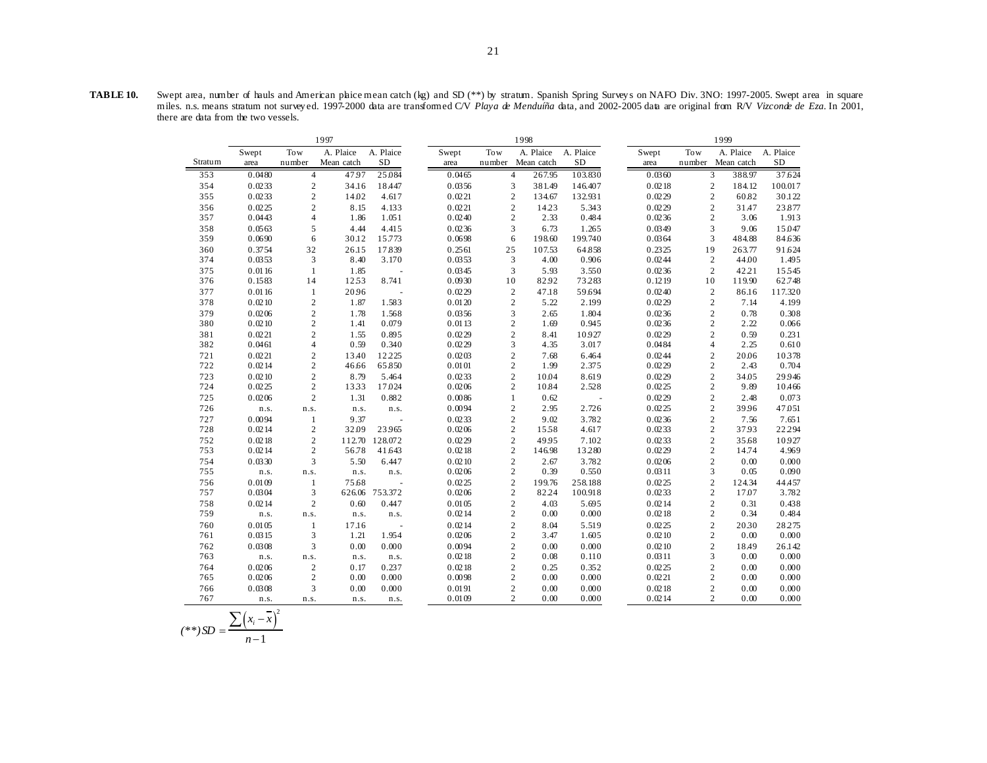**TABLE 10.** Swept area, number of hauls and American plaice mean catch (kg) and SD (\*\*) by stratum. Spanish Spring Survey s on NAFO Div. 3NO: 1997-2005. Swept area in square miles. n.s. means stratum not survey ed. 1997-2000 data are transformed C/V *Playa de Menduíña* data, and 2002-2005 data are original from R/V *Vizconde de Eza*. In 2001, there are data from the two vessels.

|            |                  |                   | 1997       |                          |                  |                   | 1998                             |                 |                    |                  |        | 1999                                                |                 |
|------------|------------------|-------------------|------------|--------------------------|------------------|-------------------|----------------------------------|-----------------|--------------------|------------------|--------|-----------------------------------------------------|-----------------|
|            | Swept            | Tow               | A. Plaice  | A. Plaice                | Swept            | Tow               |                                  | A. Plaice       | A. Plaice          | Swept            | Tow    | A. Plaice                                           | A. Plaice       |
| Stratum    | area             | number            | Mean catch | <b>SD</b>                | area             | number Mean catch |                                  |                 | $\rm SD$           | area             | number | Mean catch                                          | <b>SD</b>       |
| 353        | 0.0480           | $\overline{4}$    | 47.97      | 25.084                   | 0.0465           |                   | 4                                | 267.95          | 103.830            | 0.0360           |        | 3<br>388.97                                         | 37.624          |
| 354        | 0.0233           | $\sqrt{2}$        | 34.16      | 18.447                   | 0.0356           |                   | 3                                | 381.49          | 146.407            | 0.0218           |        | $\overline{c}$<br>184.12                            | 100.017         |
| 355        | 0.0233           | $\sqrt{2}$        | 14.02      | 4.617                    | 0.0221           |                   | $\overline{c}$                   | 134.67          | 132.931            | 0.0229           |        | $\overline{c}$<br>60.82                             | 30.122          |
| 356        | 0.0225           | $\overline{c}$    | 8.15       | 4.133                    | 0.0221           |                   | $\overline{c}$                   | 14.23           | 5.343              | 0.0229           |        | $\overline{c}$<br>31.47                             | 23.877          |
| 357        | 0.0443           | $\overline{4}$    | 1.86       | 1.051                    | 0.0240           |                   | $\overline{c}$                   | 2.33            | 0.484              | 0.0236           |        | $\overline{c}$<br>3.06                              | 1.913           |
| 358        | 0.0563           | 5                 | 4.44       | 4.415                    | 0.0236           |                   | 3                                | 6.73            | 1.265              | 0.0349           |        | 3<br>9.06                                           | 15.047          |
| 359        | 0.0690           | 6                 | 30.12      | 15.773                   | 0.0698           |                   | 6                                | 198.60          | 199.740            | 0.0364           |        | $\mathfrak{Z}$<br>484.88                            | 84.636          |
| 360        | 0.3754           | 32                | 26.15      | 17.839                   | 0.2561           | 25                |                                  | 107.53          | 64.858             | 0.2325           | 19     | 263.77                                              | 91.624          |
| 374        | 0.0353           | 3                 | 8.40       | 3.170                    | 0.0353           |                   | 3                                | 4.00            | 0.906              | 0.0244           |        | $\overline{c}$<br>44.00                             | 1.495           |
| 375        | 0.0116           | $\mathbf{1}$      | 1.85       |                          | 0.0345           |                   | 3                                | 5.93            | 3.550              | 0.0236           |        | $\overline{c}$<br>42.21                             | 15545           |
| 376        | 0.1583           | 14                | 1253       | 8.741                    | 0.0930           | 10                |                                  | 82.92           | 73283              | 0.1219           | 10     | 119.90                                              | 62.748          |
| 377        | 0.0116           | $\mathbf{1}$      | 20.96      |                          | 0.0229           |                   | $\overline{c}$                   | 47.18           | 59.694             | 0.0240           |        | $\overline{c}$<br>86.16                             | 117.320         |
| 378        | 0.0210           | $\sqrt{2}$        | 1.87       | 1.583                    | 0.0120           |                   | $\overline{c}$                   | 5.22            | 2.199              | 0.0229           |        | $\overline{c}$<br>7.14                              | 4.199           |
| 379        | 0.0206           | $\overline{c}$    | 1.78       | 1.568                    | 0.0356           |                   | 3                                | 2.65            | 1.804              | 0.0236           |        | $\overline{c}$<br>0.78                              | 0.308           |
| 380        | 0.0210           | $\overline{c}$    | 1.41       | 0.079                    | 0.0113           |                   | $\overline{c}$                   | 1.69            | 0.945              | 0.0236           |        | $\overline{c}$<br>2.22                              | 0.066           |
| 381        | 0.0221           | $\overline{c}$    | 1.55       | 0.895                    | 0.0229           |                   | $\overline{c}$                   | 8.41            | 10.927             | 0.0229           |        | $\overline{c}$<br>0.59                              | 0.231           |
| 382        | 0.0461           | $\overline{4}$    | 0.59       | 0.340                    | 0.0229           |                   | 3                                | 4.35            | 3.017              | 0.0484           |        | $\overline{4}$<br>2.25                              | 0.610           |
| 721        | 0.0221           | $\overline{c}$    | 13.40      | 12.225                   | 0.0203           |                   | $\overline{c}$                   | 7.68            | 6.464              | 0.0244           |        | $\overline{c}$<br>20.06                             | 10378           |
| 722        | 0.0214           | $\overline{c}$    | 46.66      | 65.850                   | 0.0101           |                   | $\overline{c}$                   | 1.99            | 2.375              | 0.0229           |        | $\overline{c}$<br>2.43                              | 0.704           |
| 723        | 0.0210           | $\sqrt{2}$        | 8.79       | 5.464                    | 0.0233           |                   | $\overline{c}$                   | 10.04           | 8.619              | 0.0229           |        | $\overline{c}$<br>34.05                             | 29.946          |
| 724        | 0.0225           | $\sqrt{2}$        | 1333       | 17.024                   | 0.0206           |                   | $\overline{c}$                   | 10.84           | 2.528              | 0.0225           |        | $\overline{c}$<br>9.89                              | 10.466          |
| 725        | 0.0206           | $\overline{c}$    | 1.31       | 0.882                    | 0.0086           |                   | $\mathbf{1}$                     | 0.62            |                    | 0.0229           |        | $\overline{c}$<br>2.48                              | 0.073           |
| 726        | n.s.             | n.s.              | n.s.       | n.s.                     | 0.0094           |                   | $\overline{c}$                   | 2.95            | 2.726              | 0.0225           |        | $\overline{c}$<br>39.96                             | 47.051          |
| 727        | 0.0094           | $\mathbf{1}$      | 9.37       | $\sim$                   | 0.0233           |                   | $\overline{c}$                   | 9.02            | 3.782              | 0.0236           |        | $\overline{c}$<br>7.56                              | 7.651           |
| 728        | 0.0214           | $\overline{c}$    | 32.09      | 23965                    | 0.0206           |                   | $\overline{c}$                   | 1558            | 4.617              | 0.0233           |        | $\overline{c}$<br>37.93                             | 22.294          |
| 752        | 0.0218           | $\overline{c}$    | 112.70     | 128.072                  | 0.0229           |                   | $\overline{c}$                   | 49.95           | 7.102              | 0.0233           |        | $\overline{c}$<br>35.68                             | 10.927          |
| 753        | 0.0214           | $\sqrt{2}$        | 56.78      | 41.643                   | 0.0218           |                   | $\overline{2}$                   | 146.98          | 13280              | 0.0229           |        | $\overline{c}$<br>14.74                             | 4.969           |
| 754        | 0.0330           | 3                 | 5.50       | 6.447                    | 0.0210           |                   | $\overline{c}$<br>$\overline{c}$ | 2.67            | 3.782              | 0.0206           |        | $\overline{c}$<br>0.00<br>3                         | 0.000           |
| 755        | n.s.             | n.s.              | n.s.       | n.s.                     | 0.0206           |                   |                                  | 0.39            | 0.550              | 0.0311           |        | 0.05                                                | 0.090           |
| 756<br>757 | 0.0109<br>0.0304 | $\mathbf{1}$<br>3 | 75.68      | $\sim$<br>626.06 753.372 | 0.0225<br>0.0206 |                   | $\overline{c}$<br>$\overline{c}$ | 199.76<br>82.24 | 258.188<br>100.918 | 0.0225<br>0.0233 |        | $\overline{c}$<br>124.34<br>$\overline{c}$<br>17.07 | 44.457<br>3.782 |
| 758        | 0.0214           | $\overline{2}$    | 0.60       | 0.447                    | 0.0105           |                   | $\overline{c}$                   | 4.03            | 5.695              | 0.0214           |        | $\overline{c}$<br>0.31                              | 0.438           |
| 759        | n.s.             | n.s.              | n.s.       | n.s.                     | 0.0214           |                   | $\overline{c}$                   | 0.00            | 0.000              | 0.0218           |        | $\overline{c}$<br>0.34                              | 0.484           |
| 760        | 0.0105           | $\mathbf{1}$      | 17.16      | $\sim$                   | 0.0214           |                   | $\overline{c}$                   | 8.04            | 5.519              | 0.0225           |        | $\overline{c}$<br>2030                              | 28.275          |
| 761        | 0.0315           | 3                 | 1.21       | 1.954                    | 0.0206           |                   | $\overline{c}$                   | 3.47            | 1.605              | 0.0210           |        | $\overline{c}$<br>0.00                              | 0.000           |
| 762        | 0.0308           | 3                 | 0.00       | 0.000                    | 0.0094           |                   | $\overline{c}$                   | 0.00            | 0.000              | 0.0210           |        | $\overline{c}$<br>18.49                             | 26.142          |
| 763        | n.s.             | n.s.              | n.s.       | n.s.                     | 0.0218           |                   | $\overline{c}$                   | 0.08            | 0.110              | 0.0311           |        | 3<br>0.00                                           | 0.000           |
| 764        | 0.0206           | $\sqrt{2}$        | 0.17       | 0.237                    | 0.0218           |                   | $\overline{c}$                   | 0.25            | 0.352              | 0.0225           |        | $\overline{c}$<br>0.00                              | 0.000           |
| 765        | 0.0206           | $\overline{c}$    | 0.00       | 0.000                    | 0.0098           |                   | $\overline{c}$                   | 0.00            | 0.000              | 0.0221           |        | $\overline{c}$<br>0.00                              | 0.000           |
| 766        | 0.0308           | 3                 | 0.00       | 0.000                    | 0.0191           |                   | $\overline{c}$                   | 0.00            | 0.000              | 0.0218           |        | $\overline{c}$<br>0.00                              | 0.000           |
| 767        | n.s.             | n.s.              | n.s.       |                          | 0.0109           |                   | $\overline{c}$                   | 0.00            | 0.000              | 0.0214           |        | $\overline{c}$<br>0.00                              | 0.000           |
|            |                  |                   |            | n.s.                     |                  |                   |                                  |                 |                    |                  |        |                                                     |                 |

$$
(**)SD = \frac{\sum (x_i - \overline{x})^2}{n-1}
$$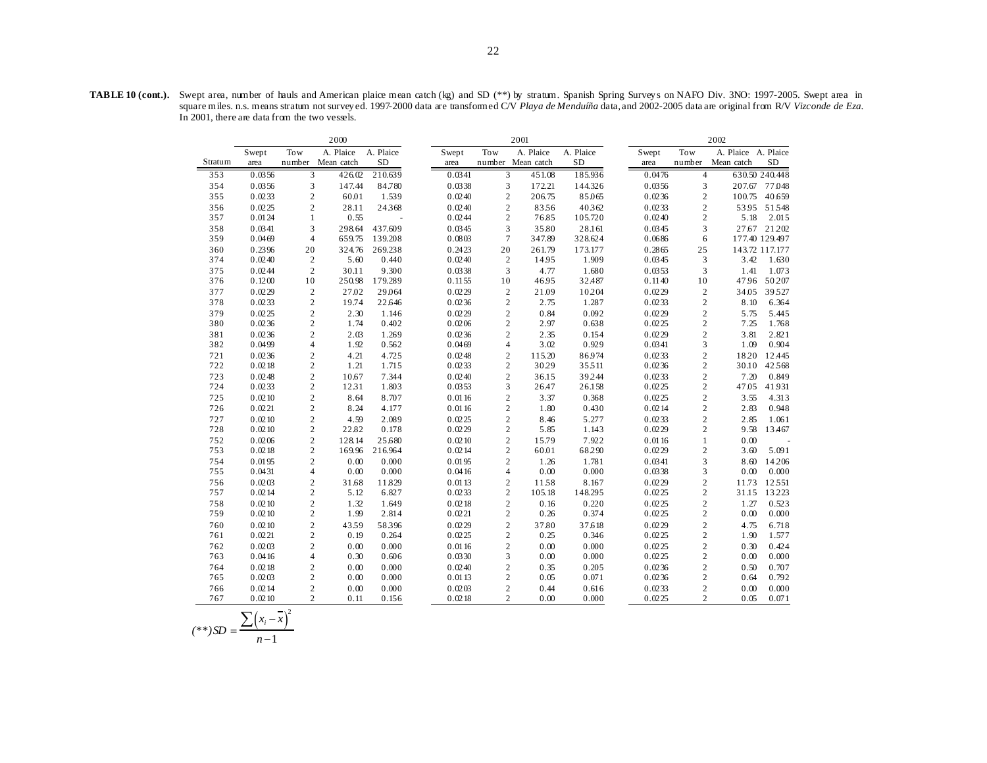|            |                  |                                  | 2000              |                |                  |                                | 2001              |                |                  |                                | 2002                |                 |
|------------|------------------|----------------------------------|-------------------|----------------|------------------|--------------------------------|-------------------|----------------|------------------|--------------------------------|---------------------|-----------------|
|            | Swept            | Tow                              | A. Plaice         | A. Plaice      | Swept            | Tow                            | A. Plaice         | A. Plaice      | Swept            | Tow                            | A. Plaice A. Plaice |                 |
| Stratum    | area             |                                  | number Mean catch | <b>SD</b>      | area             |                                | number Mean catch | SD             | area             | number                         | Mean catch          | SD              |
| 353        | 0.0356           | 3                                | 426.02            | 210.639        | 0.0341           | 3                              | 451.08            | 185.936        | 0.0476           | $\overline{4}$                 |                     | 630.50 240.448  |
| 354        | 0.0356           | 3                                | 147.44            | 84.780         | 0.0338           | 3                              | 172.21            | 144.326        | 0.0356           | 3                              | 207.67              | 77.048          |
| 355        | 0.0233           | $\overline{c}$                   | 60.01             | 1.539          | 0.0240           | $\boldsymbol{2}$               | 206.75            | 85.065         | 0.0236           | $\overline{c}$                 |                     | 100.75 40.659   |
| 356        | 0.0225           | $\overline{c}$                   | 28.11             | 24368          | 0.0240           | $\mathbf{2}$                   | 8356              | 40362          | 0.0233           | $\overline{c}$                 |                     | 5395 51548      |
| 357        | 0.0124           | $\mathbf{1}$                     | 0.55              |                | 0.0244           | $\overline{2}$                 | 76.85             | 105.720        | 0.0240           | $\overline{c}$                 | 5.18                | 2.015           |
| 358        | 0.0341           | 3                                | 298.64            | 437.609        | 0.0345           | 3                              | 35.80             | 28.161         | 0.0345           | 3                              |                     | 27.67 21.202    |
| 359        | 0.0469           | $\overline{4}$                   | 659.75            | 139.208        | 0.0803           | $\tau$                         | 347.89            | 328.624        | 0.0686           | 6                              |                     | 177.40 129.497  |
| 360        | 0.2396           | 20                               | 324.76            | 269.238        | 0.2423           | 20                             | 261.79            | 173.177        | 0.2865           | 25                             |                     | 143.72 117.177  |
| 374        | 0.0240           | $\overline{2}$                   | 5.60              | 0.440          | 0.0240           | $\sqrt{2}$                     | 14.95             | 1.909          | 0.0345           | 3                              | 3.42                | 1.630           |
| 375        | 0.0244           | $\overline{c}$                   | 30.11             | 9.300          | 0.0338           | 3                              | 4.77              | 1.680          | 0.0353           | 3                              | 1.41                | 1.073           |
| 376        | 0.1200           | 10                               | 250.98            | 179.289        | 0.1155           | 10                             | 46.95             | 32.487         | 0.1140           | 10                             | 47.96               | 50.207          |
| 377        | 0.0229           | $\overline{2}$                   | 27.02             | 29.064         | 0.0229           | $\sqrt{2}$                     | 21.09             | 10.204         | 0.0229           | $\overline{c}$                 | 34.05               | 39527           |
| 378        | 0.0233           | $\overline{c}$                   | 19.74             | 22.646         | 0.0236           | $\mathfrak{2}$                 | 2.75              | 1.287          | 0.0233           | $\overline{c}$                 | 8.10                | 6.364           |
| 379        | 0.0225           | $\overline{c}$                   | 2.30              | 1.146          | 0.0229           | $\mathfrak{2}$                 | 0.84              | 0.092          | 0.0229           | $\overline{c}$                 | 5.75                | 5.445           |
| 380        | 0.0236           | $\overline{c}$                   | 1.74              | 0.402          | 0.0206           | $\mathbf{2}$                   | 2.97              | 0.638          | 0.0225           | $\overline{c}$                 | 7.25                | 1.768           |
| 381        | 0.0236           | $\overline{2}$                   | 2.03              | 1.269          | 0.0236           | $\overline{c}$                 | 2.35              | 0.154          | 0.0229           | $\sqrt{2}$                     | 3.81                | 2.821           |
| 382        | 0.0499           | $\overline{4}$                   | 1.92              | 0.562          | 0.0469           | 4                              | 3.02              | 0.929          | 0.0341           | 3                              | 1.09                | 0.904           |
| 721        | 0.0236           | $\overline{c}$                   | 4.21              | 4.725          | 0.0248           | $\overline{c}$                 | 115.20            | 86.974         | 0.0233           | $\overline{c}$                 | 18.20               | 12.445          |
| 722        | 0.0218           | $\overline{c}$                   | 1.21              | 1.715          | 0.0233           | $\boldsymbol{2}$               | 30.29             | 35511          | 0.0236           | $\overline{c}$                 | 30.10               | 42568           |
| 723        | 0.0248           | $\overline{c}$                   | 10.67             | 7.344          | 0.0240           | $\overline{2}$                 | 36.15             | 39.244         | 0.0233           | $\overline{c}$                 | 7.20                | 0.849           |
| 724        | 0.0233           | $\overline{2}$                   | 1231              | 1.803          | 0.0353           | 3                              | 26.47             | 26.158         | 0.0225           | $\overline{c}$                 | 47.05               | 41.931          |
| 725        | 0.0210           | $\overline{c}$                   | 8.64              | 8.707          | 0.0116           | $\mathbf{2}$                   | 3.37              | 0.368          | 0.0225           | $\sqrt{2}$                     | 3.55                | 4.313           |
| 726        | 0.0221           | $\overline{c}$                   | 8.24              | 4.177          | 0.0116           | $\boldsymbol{2}$               | 1.80              | 0.430          | 0.0214           | $\sqrt{2}$                     | 2.83                | 0.948           |
| 727        | 0.0210           | $\sqrt{2}$                       | 4.59              | 2.089          | 0.0225           | $\mathfrak{2}$                 | 8.46              | 5.277          | 0.0233           | $\overline{c}$                 | 2.85                | 1.061           |
| 728        | 0.0210           | $\overline{c}$                   | 22.82             | 0.178          | 0.0229           | $\mathbf{2}$                   | 5.85              | 1.143          | 0.0229           | $\overline{c}$                 | 9.58                | 13.467          |
| 752        | 0.0206           | $\overline{c}$<br>$\overline{a}$ | 128.14            | 25.680         | 0.0210           | $\mathbf{2}$<br>$\overline{c}$ | 15.79             | 7.922          | 0.0116           | $\mathbf{1}$<br>$\overline{c}$ | 0.00<br>3.60        |                 |
| 753        | 0.0218           |                                  | 169.96            | 216.964        | 0.0214           |                                | 60.01             | 68290          | 0.0229           |                                |                     | 5.091           |
| 754<br>755 | 0.0195<br>0.0431 | $\overline{c}$<br>$\overline{4}$ | 0.00<br>0.00      | 0.000<br>0.000 | 0.0195<br>0.0416 | $\mathbf{2}$<br>4              | 1.26<br>0.00      | 1.781<br>0.000 | 0.0341<br>0.0338 | 3<br>3                         | 8.60<br>0.00        | 14.206<br>0.000 |
| 756        | 0.0203           | $\overline{c}$                   | 31.68             | 11.829         | 0.0113           | $\overline{c}$                 | 1158              | 8.167          | 0.0229           | $\sqrt{2}$                     | 11.73               | 12551           |
| 757        | 0.0214           | $\overline{2}$                   | 5.12              | 6.827          | 0.0233           | $\overline{c}$                 | 105.18            | 148.295        | 0.0225           | $\sqrt{2}$                     | 31.15               | 13.223          |
| 758        | 0.0210           | $\overline{c}$                   | 1.32              | 1.649          | 0.0218           | $\mathfrak{2}$                 | 0.16              | 0.220          | 0.0225           | $\overline{c}$                 | 1.27                | 0.523           |
| 759        | 0.0210           | $\overline{c}$                   | 1.99              | 2.814          | 0.0221           | $\overline{c}$                 | 0.26              | 0.374          | 0.0225           | $\overline{c}$                 | 0.00                | 0.000           |
| 760        | 0.0210           | $\overline{c}$                   | 4359              | 58396          | 0.0229           | $\overline{c}$                 | 37.80             | 37.618         | 0.0229           | $\overline{c}$                 | 4.75                | 6.718           |
| 761        | 0.0221           | $\overline{c}$                   | 0.19              | 0.264          | 0.0225           | $\boldsymbol{2}$               | 0.25              | 0.346          | 0.0225           | $\overline{c}$                 | 1.90                | 1.577           |
| 762        | 0.0203           | $\overline{c}$                   | 0.00              | 0.000          | 0.0116           | $\mathbf{2}$                   | 0.00              | 0.000          | 0.0225           | $\overline{c}$                 | 0.30                | 0.424           |
| 763        | 0.0416           | $\overline{4}$                   | 0.30              | 0.606          | 0.0330           | 3                              | 0.00              | 0.000          | 0.0225           | $\overline{c}$                 | 0.00                | 0.000           |
| 764        | 0.0218           | $\overline{2}$                   | 0.00              | 0.000          | 0.0240           | $\mathbf{2}$                   | 0.35              | 0.205          | 0.0236           | $\sqrt{2}$                     | 0.50                | 0.707           |
| 765        | 0.0203           | $\overline{c}$                   | 0.00              | 0.000          | 0.0113           | $\overline{c}$                 | 0.05              | 0.071          | 0.0236           | $\overline{c}$                 | 0.64                | 0.792           |
| 766        | 0.0214           | $\overline{c}$                   | 0.00              | 0.000          | 0.0203           | $\overline{c}$                 | 0.44              | 0.616          | 0.0233           | $\overline{c}$                 | 0.00                | 0.000           |
| 767        | 0.0210           | $\overline{2}$                   | 0.11              | 0.156          | 0.0218           | 2                              | 0.00              | 0.000          | 0.0225           | $\overline{c}$                 | 0.05                | 0.071           |
|            |                  |                                  |                   |                |                  |                                |                   |                |                  |                                |                     |                 |

$$
(**)SD = \frac{\sum (x_i - \overline{x})^2}{n-1}
$$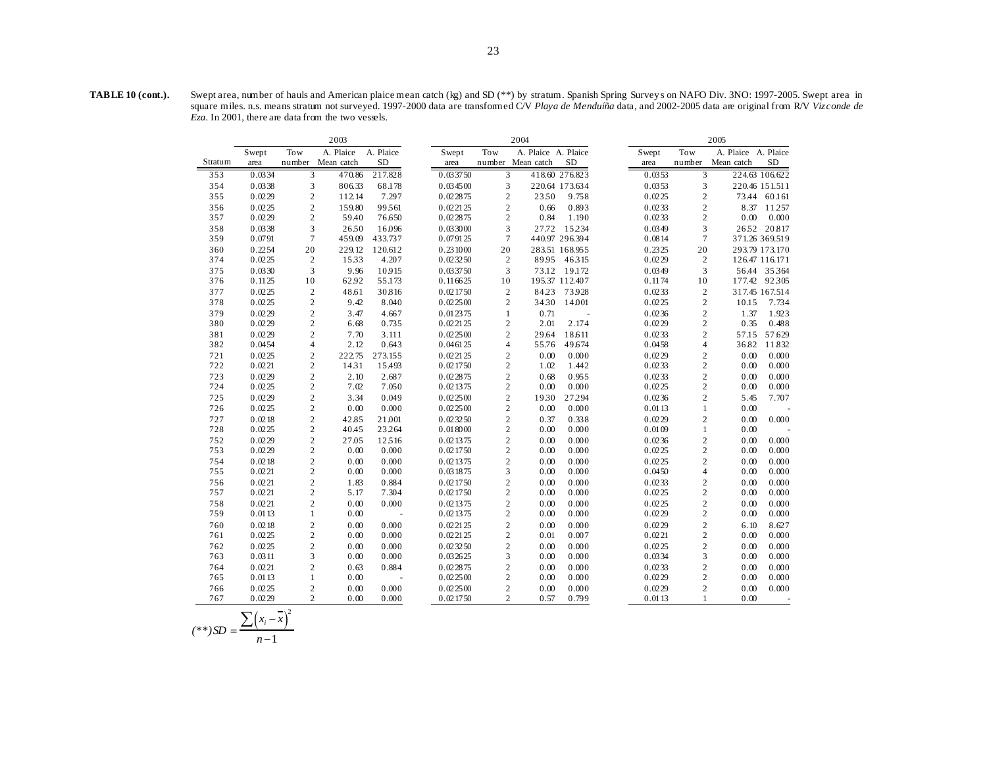**TABLE 10 (cont.).** Swept area, number of hauls and American plaice mean catch (kg) and SD (\*\*) by stratum. Spanish Spring Survey s on NAFO Div. 3NO: 1997-2005. Swept area in square miles. n.s. means stratum not surveyed. 1997-2000 data are transformed C/V *Playa de Menduíña* data, and 2002-2005 data are original from R/V *Vizconde de Eza*. In 2001, there are data from the two vessels.

|         |        |                | 2003       |           |          |                | 2004                |                |        |                         | 2005                |                |
|---------|--------|----------------|------------|-----------|----------|----------------|---------------------|----------------|--------|-------------------------|---------------------|----------------|
|         | Swept  | Tow            | A. Plaice  | A. Plaice | Swept    | <b>Tow</b>     | A. Plaice A. Plaice |                | Swept  | Tow                     | A. Plaice A. Plaice |                |
| Stratum | area   | number         | Mean catch | <b>SD</b> | area     |                | number Mean catch   | <b>SD</b>      | area   | number                  | Mean catch          | <b>SD</b>      |
| 353     | 0.0334 | 3              | 470.86     | 217.828   | 0.033750 | 3              |                     | 418.60 276.823 | 0.0353 | 3                       |                     | 224.63 106.622 |
| 354     | 0.0338 | 3              | 806.33     | 68.178    | 0.034500 | 3              |                     | 220.64 173.634 | 0.0353 | 3                       |                     | 220.46 151.511 |
| 355     | 0.0229 | $\overline{2}$ | 112.14     | 7.297     | 0.022875 | $\mathbf{2}$   | 2350                | 9.758          | 0.0225 | $\overline{2}$          |                     | 73.44 60.161   |
| 356     | 0.0225 | $\overline{2}$ | 159.80     | 99.561    | 0.022125 | $\overline{2}$ | 0.66                | 0.893          | 0.0233 | $\overline{2}$          |                     | 8.37 11.257    |
| 357     | 0.0229 | $\overline{c}$ | 59.40      | 76.650    | 0.022875 | $\mathbf{2}$   | 0.84                | 1.190          | 0.0233 | $\overline{2}$          | 0.00                | 0.000          |
| 358     | 0.0338 | 3              | 2650       | 16.096    | 0.033000 | 3              | 27.72               | 15.234         | 0.0349 | 3                       |                     | 2652 20817     |
| 359     | 0.0791 | $\overline{7}$ | 459.09     | 433.737   | 0.079125 | $\tau$         |                     | 440.97 296.394 | 0.0814 | $\tau$                  |                     | 371.26 369.519 |
| 360     | 0.2254 | 20             | 229.12     | 120.612   | 0.231000 | 20             |                     | 283.51 168.955 | 0.2325 | 20                      |                     | 293.79 173.170 |
| 374     | 0.0225 | $\overline{c}$ | 1533       | 4.207     | 0.023250 | 2              |                     | 89.95 46.315   | 0.0229 | 2                       |                     | 126.47 116.171 |
| 375     | 0.0330 | 3              | 9.96       | 10915     | 0.033750 | 3              |                     | 73.12 19.172   | 0.0349 | 3                       |                     | 56.44 35.364   |
| 376     | 0.1125 | 10             | 62.92      | 55.173    | 0.116625 | 10             |                     | 195.37 112.407 | 0.1174 | 10                      |                     | 177.42 92.305  |
| 377     | 0.0225 | $\overline{2}$ | 48.61      | 30.816    | 0.021750 | $\mathbf{2}$   | 84.23               | 73.928         | 0.0233 | $\overline{2}$          |                     | 317.45 167.514 |
| 378     | 0.0225 | $\overline{2}$ | 9.42       | 8.040     | 0.022500 | $\overline{c}$ | 3430                | 14.001         | 0.0225 | $\overline{c}$          | 10.15               | 7.734          |
| 379     | 0.0229 | $\overline{c}$ | 3.47       | 4.667     | 0.012375 | $\mathbf{1}$   | 0.71                |                | 0.0236 | $\overline{c}$          | 1.37                | 1.923          |
| 380     | 0.0229 | $\overline{c}$ | 6.68       | 0.735     | 0.022125 | $\overline{c}$ | 2.01                | 2.174          | 0.0229 | $\overline{c}$          | 0.35                | 0.488          |
| 381     | 0.0229 | $\overline{c}$ | 7.70       | 3.111     | 0.022500 | $\overline{c}$ | 29.64               | 18.611         | 0.0233 | $\overline{c}$          | 57.15               | 57.629         |
| 382     | 0.0454 | $\overline{4}$ | 2.12       | 0.643     | 0.046125 | $\overline{4}$ | 55.76               | 49.674         | 0.0458 | $\overline{4}$          | 36.82               | 11.832         |
| 721     | 0.0225 | $\overline{2}$ | 222.75     | 273.155   | 0.022125 | $\mathbf{2}$   | 0.00                | 0.000          | 0.0229 | $\overline{2}$          | 0.00                | 0.000          |
| 722     | 0.0221 | $\overline{2}$ | 1431       | 15.493    | 0.021750 | $\sqrt{2}$     | 1.02                | 1.442          | 0.0233 | $\overline{\mathbf{c}}$ | 0.00                | 0.000          |
| 723     | 0.0229 | $\overline{2}$ | 2.10       | 2.687     | 0.022875 | $\overline{c}$ | 0.68                | 0.955          | 0.0233 | $\overline{c}$          | 0.00                | 0.000          |
| 724     | 0.0225 | $\overline{2}$ | 7.02       | 7.050     | 0.021375 | $\overline{c}$ | 0.00                | 0.000          | 0.0225 | $\overline{c}$          | 0.00                | 0.000          |
| 725     | 0.0229 | $\overline{c}$ | 3.34       | 0.049     | 0.022500 | $\mathbf{2}$   | 1930                | 27.294         | 0.0236 | $\overline{2}$          | 5.45                | 7.707          |
| 726     | 0.0225 | $\overline{2}$ | 0.00       | 0.000     | 0.022500 | $\mathfrak{2}$ | 0.00                | 0.000          | 0.0113 | $\mathbf{1}$            | 0.00                |                |
| 727     | 0.0218 | $\overline{c}$ | 42.85      | 21.001    | 0.023250 | $\mathbf{2}$   | 0.37                | 0.338          | 0.0229 | $\overline{c}$          | 0.00                | 0.000          |
| 728     | 0.0225 | $\overline{2}$ | 40.45      | 23.264    | 0.018000 | $\mathbf{2}$   | 0.00                | 0.000          | 0.0109 | $\mathbf{1}$            | 0.00                |                |
| 752     | 0.0229 | $\overline{2}$ | 27.05      | 12.516    | 0.021375 | $\mathbf{2}$   | 0.00                | 0.000          | 0.0236 | $\sqrt{2}$              | 0.00                | 0.000          |
| 753     | 0.0229 | $\overline{2}$ | 0.00       | 0.000     | 0.021750 | $\mathbf{2}$   | 0.00                | 0.000          | 0.0225 | $\overline{2}$          | 0.00                | 0.000          |
| 754     | 0.0218 | $\overline{c}$ | 0.00       | 0.000     | 0.021375 | $\overline{c}$ | 0.00                | 0.000          | 0.0225 | $\overline{2}$          | 0.00                | 0.000          |
| 755     | 0.0221 | $\overline{c}$ | 0.00       | 0.000     | 0.031875 | 3              | 0.00                | 0.000          | 0.0450 | $\overline{4}$          | 0.00                | 0.000          |
| 756     | 0.0221 | $\overline{c}$ | 1.83       | 0.884     | 0.021750 | $\overline{c}$ | 0.00                | 0.000          | 0.0233 | $\overline{c}$          | 0.00                | 0.000          |
| 757     | 0.0221 | $\overline{c}$ | 5.17       | 7.304     | 0.021750 | $\mathbf{2}$   | 0.00                | 0.000          | 0.0225 | $\overline{2}$          | 0.00                | 0.000          |
| 758     | 0.0221 | $\overline{c}$ | 0.00       | 0.000     | 0.021375 | $\mathfrak{2}$ | 0.00                | 0.000          | 0.0225 | $\overline{2}$          | 0.00                | 0.000          |
| 759     | 0.0113 | $\mathbf{1}$   | 0.00       |           | 0.021375 | $\mathfrak{2}$ | 0.00                | 0.000          | 0.0229 | $\sqrt{2}$              | 0.00                | 0.000          |
| 760     | 0.0218 | $\overline{c}$ | 0.00       | 0.000     | 0.022125 | $\overline{c}$ | 0.00                | 0.000          | 0.0229 | $\overline{c}$          | 6.10                | 8.627          |
| 761     | 0.0225 | $\overline{c}$ | 0.00       | 0.000     | 0.022125 | $\mathbf{2}$   | 0.01                | 0.007          | 0.0221 | $\overline{c}$          | 0.00                | 0.000          |
| 762     | 0.0225 | $\overline{c}$ | 0.00       | 0.000     | 0.023250 | $\overline{c}$ | 0.00                | 0.000          | 0.0225 | $\sqrt{2}$              | 0.00                | 0.000          |
| 763     | 0.0311 | 3              | 0.00       | 0.000     | 0.032625 | 3              | 0.00                | 0.000          | 0.0334 | 3                       | 0.00                | 0.000          |
| 764     | 0.0221 | $\overline{c}$ | 0.63       | 0.884     | 0.022875 | $\overline{c}$ | 0.00                | 0.000          | 0.0233 | $\overline{c}$          | 0.00                | 0.000          |
| 765     | 0.0113 | 1              | 0.00       |           | 0.022500 | $\overline{c}$ | 0.00                | 0.000          | 0.0229 | $\overline{2}$          | 0.00                | 0.000          |
| 766     | 0.0225 | $\overline{c}$ | 0.00       | 0.000     | 0.022500 | $\overline{c}$ | 0.00                | 0.000          | 0.0229 | $\overline{2}$          | 0.00                | 0.000          |
| 767     | 0.0229 | $\overline{2}$ | 0.00       | 0.000     | 0.021750 | $\mathbf{2}$   | 0.57                | 0.799          | 0.0113 | 1                       | 0.00                |                |

$$
(**)SD = \frac{\sum (x_i - \overline{x})^2}{n-1}
$$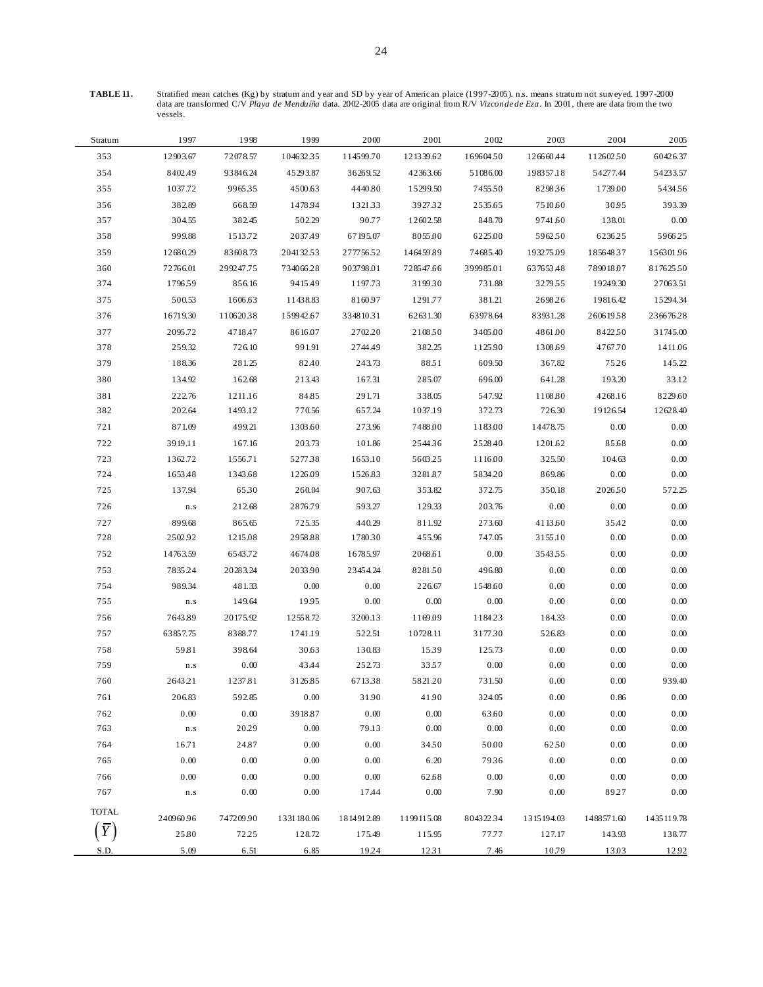**TABLE 11.** Stratified mean catches (Kg) by stratum and year and SD by year of Americ an plaice (1997-2005). n.s. means stratum not surveyed. 1997-2000 data are transformed C/V *Playa de Menduíña* data. 2002-2005 data are original from R/V *Vizconde de Eza*. In 2001, there are data from the two vessels.

| Stratum      | 1997                    | 1998      | 1999       | 2000       | 2001       | 2002      | 2003       | 2004       | 2005       |
|--------------|-------------------------|-----------|------------|------------|------------|-----------|------------|------------|------------|
| 353          | 12903.67                | 72078.57  | 104632.35  | 114599.70  | 121339.62  | 169604.50 | 126660.44  | 112602.50  | 60426.37   |
| 354          | 8402.49                 | 93846.24  | 45293.87   | 36269.52   | 42363.66   | 51086.00  | 198357.18  | 54277.44   | 54233.57   |
| 355          | 1037.72                 | 996535    | 4500.63    | 4440.80    | 15299.50   | 745550    | 829836     | 1739.00    | 543456     |
| 356          | 382.89                  | 668.59    | 1478.94    | 132133     | 3927.32    | 2535.65   | 7510.60    | 30.95      | 393.39     |
| 357          | 304.55                  | 382.45    | 502.29     | 90.77      | 12602.58   | 848.70    | 9741.60    | 138.01     | $0.00\,$   |
| 358          | 999.88                  | 1513.72   | 2037.49    | 67195.07   | 8055.00    | 6225.00   | 5962.50    | 6236.25    | 596625     |
| 359          | 12680.29                | 83608.73  | 204132.53  | 27775652   | 146459.89  | 74685.40  | 193275.09  | 185648.37  | 15630196   |
| 360          | 72766.01                | 299247.75 | 734066.28  | 903798.01  | 728547.66  | 399985.01 | 637653.48  | 789018.07  | 81762550   |
| 374          | 1796.59                 | 856.16    | 9415.49    | 1197.73    | 319930     | 731.88    | 3279.55    | 19249.30   | 27063.51   |
| 375          | 500.53                  | 1606.63   | 11438.83   | 8160.97    | 1291.77    | 381.21    | 2698.26    | 19816.42   | 15294.34   |
| 376          | 16719.30                | 11062038  | 159942.67  | 33481031   | 62631.30   | 63978.64  | 83931.28   | 26061958   | 236676.28  |
| 377          | 2095.72                 | 4718.47   | 8616.07    | 2702.20    | 210850     | 3405.00   | 4861.00    | 8422.50    | 31745.00   |
| 378          | 259.32                  | 726.10    | 991.91     | 2744.49    | 382.25     | 1125.90   | 1308.69    | 4767.70    | 1411.06    |
| 379          | 188.36                  | 281.25    | 82.40      | 243.73     | 8851       | 609.50    | 367.82     | 75.26      | 145.22     |
| 380          | 134.92                  | 162.68    | 213.43     | 167.31     | 285.07     | 696.00    | 641.28     | 193.20     | 33.12      |
| 381          | 222.76                  | 1211.16   | 84.85      | 291.71     | 338.05     | 547.92    | 1108.80    | 4268.16    | 8229.60    |
| 382          | 202.64                  | 1493.12   | 770.56     | 657.24     | 1037.19    | 372.73    | 726.30     | 19126.54   | 12628.40   |
| 721          | 871.09                  | 499.21    | 1303.60    | 273.96     | 7488.00    | 1183.00   | 14478.75   | 0.00       | 0.00       |
| 722          | 3919.11                 | 167.16    | 203.73     | 101.86     | 254436     | 2528.40   | 1201.62    | 85.68      | 0.00       |
| 723          | 1362.72                 | 1556.71   | 5277.38    | 1653.10    | 5603.25    | 1116.00   | 325.50     | 104.63     | $0.00\,$   |
| 724          | 1653.48                 | 1343.68   | 1226.09    | 1526.83    | 3281.87    | 5834.20   | 869.86     | 0.00       | $0.00\,$   |
| 725          | 137.94                  | 6530      | 260.04     | 907.63     | 353.82     | 372.75    | 350.18     | 202650     | 572.25     |
| 726          | ${\bf n}.{\bf s}$       | 212.68    | 2876.79    | 593.27     | 129.33     | 203.76    | 0.00       | 0.00       | 0.00       |
| 727          | 899.68                  | 865.65    | 725.35     | 440.29     | 811.92     | 273.60    | 4113.60    | 35.42      | 0.00       |
| 728          | 2502.92                 | 1215.08   | 2958.88    | 178030     | 455.96     | 747.05    | 3155.10    | 0.00       | $0.00\,$   |
| 752          | 14763.59                | 6543.72   | 4674.08    | 16785.97   | 2068.61    | 0.00      | 354355     | 0.00       | 0.00       |
| 753          | 7835.24                 | 20283.24  | 2033.90    | 23454.24   | 828150     | 496.80    | 0.00       | 0.00       | 0.00       |
| 754          | 989.34                  | 481.33    | 0.00       | 0.00       | 226.67     | 1548.60   | 0.00       | 0.00       | $0.00\,$   |
| 755          | $\mathbf{n}.\mathbf{s}$ | 149.64    | 1995       | 0.00       | 0.00       | 0.00      | 0.00       | 0.00       | $0.00\,$   |
| 756          | 7643.89                 | 20175.92  | 12558.72   | 3200.13    | 1169.09    | 1184.23   | 184.33     | 0.00       | 0.00       |
| 757          | 63857.75                | 8388.77   | 1741.19    | 522.51     | 10728.11   | 3177.30   | 526.83     | 0.00       | 0.00       |
| 758          | 59.81                   | 398.64    | 30.63      | 130.83     | 1539       | 125.73    | 0.00       | $0.00\,$   | $0.00\,$   |
| 759          | $\mathbf{n}.\mathbf{s}$ | $0.00\,$  | 43.44      | 252.73     | 3357       | $0.00\,$  | 0.00       | 0.00       | $0.00\,$   |
| 760          | 2643.21                 | 1237.81   | 3126.85    | 671338     | 5821.20    | 731.50    | 0.00       | 0.00       | 939.40     |
| 761          | 206.83                  | 592.85    | $0.00\,$   | 31.90      | 41.90      | 324.05    | $0.00\,$   | 0.86       | $0.00\,$   |
| 762          | 0.00                    | $0.00\,$  | 3918.87    | $0.00\,$   | 0.00       | 63.60     | 0.00       | 0.00       | 0.00       |
| 763          | $\mathbf{n}.\mathbf{s}$ | 20.29     | $0.00\,$   | 79.13      | 0.00       | $0.00\,$  | $0.00\,$   | 0.00       | 0.00       |
| 764          | 16.71                   | 24.87     | 0.00       | 0.00       | 3450       | 50.00     | 62.50      | $0.00\,$   | 0.00       |
| 765          | 0.00                    | 0.00      | 0.00       | 0.00       | 6.20       | 7936      | 0.00       | 0.00       | 0.00       |
| 766          | 0.00                    | $0.00\,$  | $0.00\,$   | 0.00       | 62.68      | $0.00\,$  | 0.00       | $0.00\,$   | 0.00       |
| 767          | $\mathbf{n}.\mathbf{s}$ | $0.00\,$  | $0.00\,$   | 17.44      | 0.00       | 7.90      | 0.00       | 89.27      | 0.00       |
| <b>TOTAL</b> | 240960.96               | 747209.90 | 1331180.06 | 1814912.89 | 1199115.08 | 804322.34 | 1315194.03 | 1488571.60 | 1435119.78 |
|              | 25.80                   | 72.25     | 128.72     | 175.49     | 115.95     | 77.77     | 127.17     | 143.93     | 138.77     |
| S.D.         | 5.09                    | 6.51      | 6.85       | 19.24      | 1231       | 7.46      | 10.79      | 13.03      | 12.92      |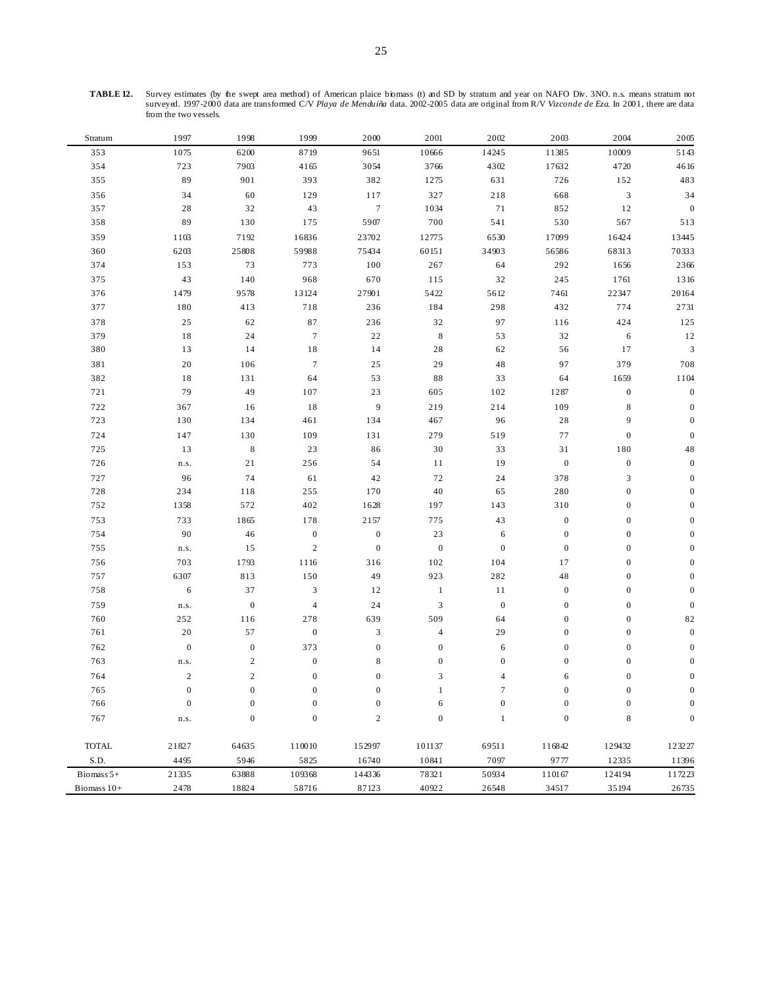**TABLE 12.** Survey estimates (by the swept area method) of American plaice biomass (t) and SD by stratum and year on NAFO Div. 3NO. n.s. means stratum not surveyed. 1997-2000 data are transformed C/V *Playa de Menduíña* data. 2002-2005 data are original from R/V *Vizconde de Eza*. In 2001, there are data from the two vessels.

| Stratum      | 1997             | 1998             | 1999             | 2000             | 2001                      | 2002             | 2003             | 2004             | 2005             |
|--------------|------------------|------------------|------------------|------------------|---------------------------|------------------|------------------|------------------|------------------|
| 353          | 1075             | 6200             | 8719             | 9651             | 10666                     | 14245            | 11385            | 10009            | 5143             |
| 354          | 723              | 7903             | 4165             | 3054             | 3766                      | 4302             | 17632            | 4720             | 4616             |
| 355          | 89               | 901              | 393              | 382              | 1275                      | 631              | 726              | 152              | 483              |
| 356          | 34               | 60               | 129              | 117              | 327                       | 218              | 668              | 3                | 34               |
| 357          | 28               | 32               | 43               | $\tau$           | 1034                      | 71               | 852              | 12               | $\mathbf{0}$     |
| 358          | 89               | 130              | 175              | 5907             | 700                       | 541              | 530              | 567              | 513              |
| 359          | 1103             | 7192             | 16836            | 23702            | 12775                     | 6530             | 17099            | 16424            | 13445            |
| 360          | 6203             | 25808            | 59988            | 75434            | 60151                     | 34903            | 56586            | 68313            | 70333            |
| 374          | 153              | 73               | 773              | 100              | 267                       | 64               | 292              | 1656             | 2366             |
| 375          | 43               | 140              | 968              | 670              | 115                       | 32               | 245              | 1761             | 1316             |
| 376          | 1479             | 9578             | 13124            | 27901            | 5422                      | 5612             | 7461             | 22347            | 20164            |
| 377          | 180              | 413              | 718              | 236              | 184                       | 298              | 432              | 774              | 2731             |
| 378          | $2\sqrt{5}$      | 62               | 87               | 236              | 32                        | 97               | 116              | 424              | 125              |
| 379          | 18               | 24               | $\boldsymbol{7}$ | 22               | $\,$ 8 $\,$               | 53               | 32               | 6                | 12               |
| 380          | 13               | 14               | $1\,8$           | 14               | $2\sqrt{8}$               | 62               | 56               | 17               | $\mathfrak{Z}$   |
| 381          | 20               | 106              | $\tau$           | 25               | 29                        | $4\,8$           | 97               | 379              | 708              |
| 382          | $1\,8$           | 131              | 64               | 53               | $8\,8$                    | 33               | 64               | 1659             | 1104             |
| 721          | 79               | 49               | 107              | 23               | 605                       | 102              | 1287             | $\boldsymbol{0}$ | $\boldsymbol{0}$ |
| 722          | 367              | 16               | 18               | $\overline{9}$   | 219                       | 214              | 109              | 8                | $\boldsymbol{0}$ |
| 723          | 130              | 134              | 461              | 134              | 467                       | 96               | 28               | 9                | $\boldsymbol{0}$ |
| 724          | 147              | 130              | 109              | 131              | 279                       | 519              | 77               | $\boldsymbol{0}$ | $\boldsymbol{0}$ |
| 725          | 13               | $\,$ 8 $\,$      | 23               | 86               | $30\,$                    | 33               | 31               | 180              | 48               |
| 726          | n.s.             | 21               | 256              | 54               | 11                        | 19               | $\boldsymbol{0}$ | $\boldsymbol{0}$ | $\mathbf{0}$     |
| 727          | 96               | 74               | 61               | 42               | $72\,$                    | 24               | 378              | 3                | $\mathbf{0}$     |
| 728          | 234              | 118              | 255              | 170              | $40\,$                    | 65               | 280              | $\boldsymbol{0}$ | $\mathbf{0}$     |
| 752          | 1358             | 572              | 402              | 1628             | 197                       | 143              | 310              | $\boldsymbol{0}$ | $\overline{0}$   |
| 753          | 733              | 1865             | 178              | 2157             | 775                       | 43               | $\boldsymbol{0}$ | $\boldsymbol{0}$ | $\mathbf{0}$     |
| 754          | 90               | 46               | $\boldsymbol{0}$ | $\boldsymbol{0}$ | 23                        | 6                | $\boldsymbol{0}$ | $\boldsymbol{0}$ | $\boldsymbol{0}$ |
| 755          | n.s.             | 15               | $\sqrt{2}$       | $\mathbf{0}$     | $\boldsymbol{0}$          | $\boldsymbol{0}$ | $\boldsymbol{0}$ | $\mathbf{0}$     | $\mathbf{0}$     |
| 756          | 703              | 1793             | 1116             | 316              | 102                       | 104              | 17               | $\mathbf{0}$     | $\mathbf{0}$     |
| 757          | 6307             | 813              | 150              | 49               | 923                       | 282              | 48               | $\mathbf{0}$     | $\theta$         |
| 758          | 6                | 37               | 3                | 12               | $\mathbf{1}$              | 11               | $\boldsymbol{0}$ | $\boldsymbol{0}$ | $\mathbf{0}$     |
| 759          | n.s.             | $\boldsymbol{0}$ | $\overline{4}$   | 24               | $\ensuremath{\mathsf{3}}$ | $\boldsymbol{0}$ | $\mathbf{0}$     | $\boldsymbol{0}$ | $\mathbf{0}$     |
| 760          | 252              | 116              | 278              | 639              | 509                       | 64               | $\boldsymbol{0}$ | $\boldsymbol{0}$ | 82               |
| 761          | 20               | 57               | $\boldsymbol{0}$ | $\mathfrak{Z}$   | $\overline{4}$            | 29               | $\boldsymbol{0}$ | $\mathbf{0}$     | $\boldsymbol{0}$ |
| 762          | $\boldsymbol{0}$ | $\boldsymbol{0}$ | 373              | $\boldsymbol{0}$ | $\boldsymbol{0}$          | 6                | $\boldsymbol{0}$ | $\boldsymbol{0}$ | $\boldsymbol{0}$ |
| 763          | n.s.             | $\sqrt{2}$       | $\boldsymbol{0}$ | 8                | $\boldsymbol{0}$          | $\boldsymbol{0}$ | $\mathbf{0}$     | $\mathbf{0}$     | $\boldsymbol{0}$ |
| 764          | $\sqrt{2}$       | $\overline{c}$   | $\boldsymbol{0}$ | $\boldsymbol{0}$ | 3                         | $\overline{4}$   | 6                | $\boldsymbol{0}$ | $\boldsymbol{0}$ |
| 765          | $\boldsymbol{0}$ | $\Omega$         | $\theta$         | $\Omega$         |                           | 7                | $\Omega$         | $\theta$         | $\Omega$         |
| 766          | $\boldsymbol{0}$ | $\boldsymbol{0}$ | $\boldsymbol{0}$ | $\boldsymbol{0}$ | 6                         | $\boldsymbol{0}$ | $\boldsymbol{0}$ | $\boldsymbol{0}$ | $\boldsymbol{0}$ |
| 767          | n.s.             | $\boldsymbol{0}$ | $\boldsymbol{0}$ | $\mathbf{2}$     | $\boldsymbol{0}$          | $\mathbf{1}$     | $\boldsymbol{0}$ | 8                | $\boldsymbol{0}$ |
|              |                  |                  |                  |                  |                           |                  |                  |                  |                  |
| <b>TOTAL</b> | 21827            | 64635            | 110010           | 152997           | 101137                    | 69511            | 116842           | 129432           | 123227           |
| S.D.         | 4495             | 5946             | 5825             | 16740            | 10841                     | 7097             | 9777             | 12335            | 11396            |
| Biomass $5+$ | 21335            | 63888            | 109368           | 144336           | 78321                     | 50934            | 110167           | 124194           | 117223           |
| Biomass 10+  | 2478             | 18824            | 58716            | 87123            | 40922                     | 26548            | 34517            | 35194            | 26735            |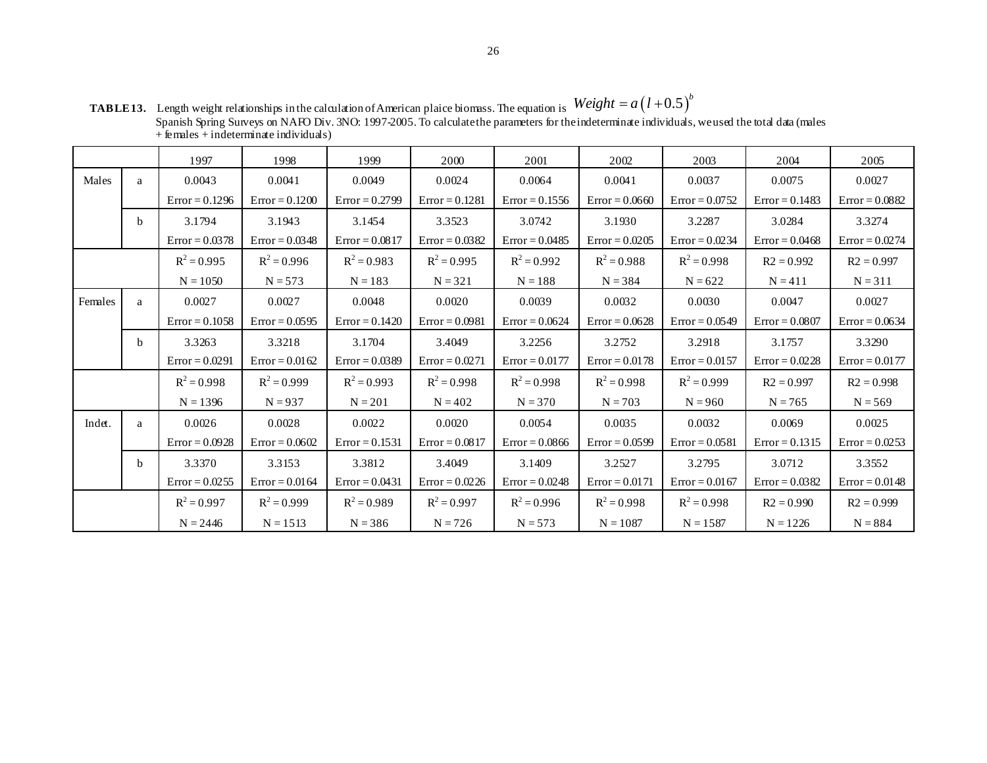|         |   | 1997             | 1998             | 1999             | 2000             | 2001             | 2002             | 2003             | 2004             | 2005             |
|---------|---|------------------|------------------|------------------|------------------|------------------|------------------|------------------|------------------|------------------|
| Males   | a | 0.0043           | 0.0041           | 0.0049           | 0.0024           | 0.0064           | 0.0041           | 0.0037           | 0.0075           | 0.0027           |
|         |   | $Error = 0.1296$ | $Error = 0.1200$ | $Error = 0.2799$ | $Error = 0.1281$ | $Error = 0.1556$ | $Error = 0.0660$ | $Error = 0.0752$ | $Error = 0.1483$ | $Error = 0.0882$ |
|         | b | 3.1794           | 3.1943           | 3.1454           | 3.3523           | 3.0742           | 3.1930           | 3.2287           | 3.0284           | 3.3274           |
|         |   | $Error = 0.0378$ | $Error = 0.0348$ | $Error = 0.0817$ | $Error = 0.0382$ | $Error = 0.0485$ | $Error = 0.0205$ | $Error = 0.0234$ | $Error = 0.0468$ | $Error = 0.0274$ |
|         |   | $R^2 = 0.995$    | $R^2 = 0.996$    | $R^2 = 0.983$    | $R^2 = 0.995$    | $R^2 = 0.992$    | $R^2 = 0.988$    | $R^2 = 0.998$    | $R2 = 0.992$     | $R2 = 0.997$     |
|         |   | $N = 1050$       | $N = 573$        | $N = 183$        | $N = 321$        | $N = 188$        | $N = 384$        | $N = 622$        | $N = 411$        | $N = 311$        |
| Females | a | 0.0027           | 0.0027           | 0.0048           | 0.0020           | 0.0039           | 0.0032           | 0.0030           | 0.0047           | 0.0027           |
|         |   | $Error = 0.1058$ | $Error = 0.0595$ | $Error = 0.1420$ | $Error = 0.0981$ | $Error = 0.0624$ | $Error = 0.0628$ | $Error = 0.0549$ | $Error = 0.0807$ | $Error = 0.0634$ |
|         | b | 3.3263           | 3.3218           | 3.1704           | 3.4049           | 3.2256           | 3.2752           | 3.2918           | 3.1757           | 3.3290           |
|         |   | $Error = 0.0291$ | $Error = 0.0162$ | $Error = 0.0389$ | $Error = 0.0271$ | $Error = 0.0177$ | $Error = 0.0178$ | $Error = 0.0157$ | $Error = 0.0228$ | $Error = 0.0177$ |
|         |   | $R^2 = 0.998$    | $R^2 = 0.999$    | $R^2 = 0.993$    | $R^2 = 0.998$    | $R^2 = 0.998$    | $R^2 = 0.998$    | $R^2 = 0.999$    | $R2 = 0.997$     | $R2 = 0.998$     |
|         |   | $N = 1396$       | $N = 937$        | $N = 201$        | $N = 402$        | $N = 370$        | $N = 703$        | $N = 960$        | $N = 765$        | $N = 569$        |
| Indet.  | a | 0.0026           | 0.0028           | 0.0022           | 0.0020           | 0.0054           | 0.0035           | 0.0032           | 0.0069           | 0.0025           |
|         |   | $Error = 0.0928$ | $Error = 0.0602$ | $Error = 0.1531$ | $Error = 0.0817$ | $Error = 0.0866$ | $Error = 0.0599$ | $Error = 0.0581$ | $Error = 0.1315$ | $Error = 0.0253$ |
|         | b | 3.3370           | 3.3153           | 3.3812           | 3.4049           | 3.1409           | 3.2527           | 3.2795           | 3.0712           | 3.3552           |
|         |   | $Error = 0.0255$ | $Error = 0.0164$ | $Error = 0.0431$ | $Error = 0.0226$ | $Error = 0.0248$ | $Error = 0.0171$ | $Error = 0.0167$ | $Error = 0.0382$ | $Error = 0.0148$ |
|         |   | $R^2 = 0.997$    | $R^2 = 0.999$    | $R^2 = 0.989$    | $R^2 = 0.997$    | $R^2 = 0.996$    | $R^2 = 0.998$    | $R^2 = 0.998$    | $R2 = 0.990$     | $R2 = 0.999$     |
|         |   | $N = 2446$       | $N = 1513$       | $N = 386$        | $N = 726$        | $N = 573$        | $N = 1087$       | $N = 1587$       | $N = 1226$       | $N = 884$        |

**TABLE 13.** Length weight relationships in the calculation of American plaice biomass. The equation is Spanish Spring Surveys on NAFO Div. 3NO: 1997-2005. To calculate the parameters for the indeterminate individuals, we used the total data (males + females + indeterminate individuals)  $Weight = a(l+0.5)^b$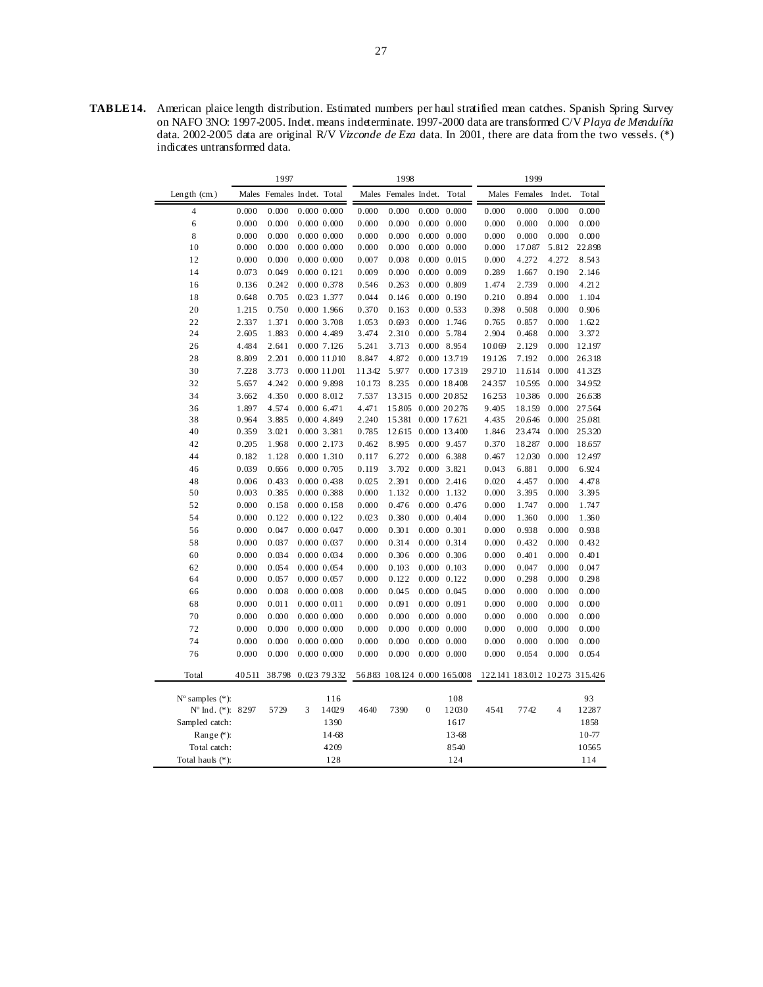**TABLE 14.** American plaice length distribution. Estimated numbers per haul stratified mean catches. Spanish Spring Survey on NAFO 3NO: 1997-2005. Indet. means indeterminate. 1997-2000 data are transformed C/V *Playa de Menduíña*  data. 2002-2005 data are original R/V *Vizconde de Eza* data. In 2001, there are data from the two vessels. (\*) indicates untransformed data.

|                             |       | 1997                       |   |                 |        | 1998                         |                  |                     |        | 1999          |                |                                |
|-----------------------------|-------|----------------------------|---|-----------------|--------|------------------------------|------------------|---------------------|--------|---------------|----------------|--------------------------------|
| Length (cm.)                |       | Males Females Indet. Total |   |                 |        | Males Females Indet.         |                  | Total               |        | Males Females | Indet.         | Total                          |
| 4                           | 0.000 | 0.000                      |   | 0.000 0.000     | 0.000  | 0.000                        | 0.000            | 0.000               | 0.000  | 0.000         | 0.000          | 0.000                          |
| 6                           | 0.000 | 0.000                      |   | 0.000 0.000     | 0.000  | 0.000                        |                  | $0.000 \quad 0.000$ | 0.000  | 0.000         | 0.000          | 0.000                          |
| 8                           | 0.000 | 0.000                      |   | 0.000 0.000     | 0.000  | 0.000                        |                  | $0.000 \quad 0.000$ | 0.000  | 0.000         | 0.000          | 0.000                          |
| 10                          | 0.000 | 0.000                      |   | 0.000 0.000     | 0.000  | 0.000                        |                  | $0.000 \quad 0.000$ | 0.000  | 17.087        | 5.812          | 22.898                         |
| 12                          | 0.000 | 0.000                      |   | 0.000 0.000     | 0.007  | 0.008                        |                  | $0.000 \quad 0.015$ | 0.000  | 4.272         | 4.272          | 8.543                          |
| 14                          | 0.073 | 0.049                      |   | 0.000 0.121     | 0.009  | 0.000                        |                  | $0.000$ $0.009$     | 0.289  | 1.667         | 0.190          | 2.146                          |
| 16                          | 0.136 | 0.242                      |   | 0.000 0.378     | 0.546  | 0.263                        |                  | $0.000 \quad 0.809$ | 1.474  | 2.739         | 0.000          | 4.212                          |
| 18                          | 0.648 | 0.705                      |   | 0.023 1.377     | 0.044  | 0.146                        |                  | $0.000 \quad 0.190$ | 0.210  | 0.894         | 0.000          | 1.104                          |
| 20                          | 1.215 | 0.750                      |   | 0.000 1.966     | 0.370  | 0.163                        |                  | $0.000 \quad 0.533$ | 0.398  | 0.508         | 0.000          | 0.906                          |
| 22                          | 2.337 | 1.371                      |   | 0.000 3.708     | 1.053  | 0.693                        |                  | 0.000 1.746         | 0.765  | 0.857         | 0.000          | 1.622                          |
| 24                          | 2.605 | 1.883                      |   | 0.000 4.489     | 3.474  | 2.310                        |                  | 0.000 5.784         | 2.904  | 0.468         | 0.000          | 3.372                          |
| 26                          | 4.484 | 2.641                      |   | 0.000 7.126     | 5.241  | 3.713                        |                  | 0.000 8.954         | 10.069 | 2.129         | 0.000          | 12.197                         |
| 28                          | 8.809 | 2.201                      |   | 0.000 11.010    | 8.847  | 4.872                        |                  | 0.000 13.719        | 19.126 | 7.192         | 0.000          | 26318                          |
| 30                          | 7.228 | 3.773                      |   | 0.000 11.001    | 11342  | 5.977                        |                  | 0.000 17319         | 29.710 | 11.614        | 0.000          | 41323                          |
| 32                          | 5.657 | 4.242                      |   | 0.000 9.898     | 10.173 | 8.235                        |                  | 0.000 18.408        | 24357  | 10595         | 0.000          | 34.952                         |
| 34                          | 3.662 | 4.350                      |   | 0.000 8.012     | 7.537  | 13315                        |                  | 0.000 20.852        | 16.253 | 10386         | 0.000          | 26.638                         |
| 36                          | 1.897 | 4.574                      |   | 0.000 6.471     | 4.471  | 15.805                       |                  | 0.000 20.276        | 9.405  | 18.159        | 0.000          | 27564                          |
| 38                          | 0.964 | 3.885                      |   | 0.000 4.849     | 2.240  | 15381                        |                  | 0.000 17.621        | 4.435  | 20.646        | 0.000          | 25.081                         |
| 40                          | 0.359 | 3.021                      |   | 0.000 3.381     | 0.785  | 12.615                       |                  | 0.000 13.400        | 1.846  | 23.474        | 0.000          | 25320                          |
| 42                          | 0.205 | 1.968                      |   | 0.000 2.173     | 0.462  | 8.995                        |                  | 0.000 9.457         | 0.370  | 18.287        | 0.000          | 18.657                         |
| 44                          | 0.182 | 1.128                      |   | 0.000 1.310     | 0.117  | 6.272                        |                  | 0.000 6.388         | 0.467  | 12.030        | 0.000          | 12.497                         |
| 46                          | 0.039 | 0.666                      |   | $0.000$ $0.705$ | 0.119  | 3.702                        |                  | 0.000 3.821         | 0.043  | 6.881         | 0.000          | 6.924                          |
| 48                          | 0.006 | 0.433                      |   | 0.000 0.438     | 0.025  | 2.391                        |                  | $0.000$ 2.416       | 0.020  | 4.457         | 0.000          | 4.478                          |
| 50                          | 0.003 | 0.385                      |   | 0.000 0.388     | 0.000  | 1.132                        |                  | 0.000 1.132         | 0.000  | 3.395         | 0.000          | 3.395                          |
| 52                          | 0.000 | 0.158                      |   | 0.000 0.158     | 0.000  | 0.476                        |                  | $0.000 \quad 0.476$ | 0.000  | 1.747         | 0.000          | 1.747                          |
| 54                          | 0.000 | 0.122                      |   | 0.000 0.122     | 0.023  | 0.380                        |                  | $0.000 \quad 0.404$ | 0.000  | 1.360         | 0.000          | 1.360                          |
| 56                          | 0.000 | 0.047                      |   | 0.000 0.047     | 0.000  | 0.301                        |                  | $0.000 \quad 0.301$ | 0.000  | 0.938         | 0.000          | 0.938                          |
| 58                          | 0.000 | 0.037                      |   | 0.000 0.037     | 0.000  | 0.314                        |                  | $0.000 \quad 0.314$ | 0.000  | 0.432         | 0.000          | 0.432                          |
| 60                          | 0.000 | 0.034                      |   | 0.000 0.034     | 0.000  | 0.306                        |                  | $0.000 \quad 0.306$ | 0.000  | 0.401         | 0.000          | 0.401                          |
| 62                          | 0.000 | 0.054                      |   | 0.000 0.054     | 0.000  | 0.103                        |                  | $0.000 \quad 0.103$ | 0.000  | 0.047         | 0.000          | 0.047                          |
| 64                          | 0.000 | 0.057                      |   | 0.000 0.057     | 0.000  | 0.122                        |                  | $0.000 \quad 0.122$ | 0.000  | 0.298         | 0.000          | 0.298                          |
| 66                          | 0.000 | 0.008                      |   | 0.000 0.008     | 0.000  | 0.045                        |                  | 0.000 0.045         | 0.000  | 0.000         | 0.000          | 0.000                          |
| 68                          | 0.000 | 0.011                      |   | 0.00000.011     | 0.000  | 0.091                        |                  | $0.000 \quad 0.091$ | 0.000  | 0.000         | 0.000          | 0.000                          |
| 70                          | 0.000 | 0.000                      |   | 0.000 0.000     | 0.000  | 0.000                        |                  | $0.000 \quad 0.000$ | 0.000  | 0.000         | 0.000          | 0.000                          |
| 72                          | 0.000 | 0.000                      |   | 0.000 0.000     | 0.000  | 0.000                        |                  | $0.000 \quad 0.000$ | 0.000  | 0.000         | 0.000          | 0.000                          |
| 74                          | 0.000 | 0.000                      |   | 0.000 0.000     | 0.000  | 0.000                        |                  | $0.000 \quad 0.000$ | 0.000  | 0.000         | 0.000          | 0.000                          |
| 76                          | 0.000 | 0.000                      |   | 0.000 0.000     | 0.000  | 0.000                        |                  | $0.000 \quad 0.000$ | 0.000  | 0.054         | 0.000          | 0.054                          |
|                             |       |                            |   |                 |        |                              |                  |                     |        |               |                |                                |
| Total                       | 40511 | 38.798                     |   | 0.023 79.332    |        | 56.883 108.124 0.000 165.008 |                  |                     |        |               |                | 122.141 183.012 10.273 315.426 |
|                             |       |                            |   |                 |        |                              |                  |                     |        |               |                |                                |
| $N^{\circ}$ samples $(*)$ : |       |                            |   | 116             |        |                              |                  | 108                 |        |               |                | 93                             |
| N° Ind. (*): 8297           |       | 5729                       | 3 | 14029           | 4640   | 7390                         | $\boldsymbol{0}$ | 12030               | 4541   | 7742          | $\overline{4}$ | 12287                          |
| Sampled catch:              |       |                            |   | 1390            |        |                              |                  | 1617                |        |               |                | 1858                           |
| Range $(*)$ :               |       |                            |   | 14-68           |        |                              |                  | 13-68               |        |               |                | $10 - 77$                      |
| Total catch:                |       |                            |   | 4209            |        |                              |                  | 8540                |        |               |                | 10565                          |
| Total hauk (*):             |       |                            |   | 128             |        |                              |                  | 124                 |        |               |                | 114                            |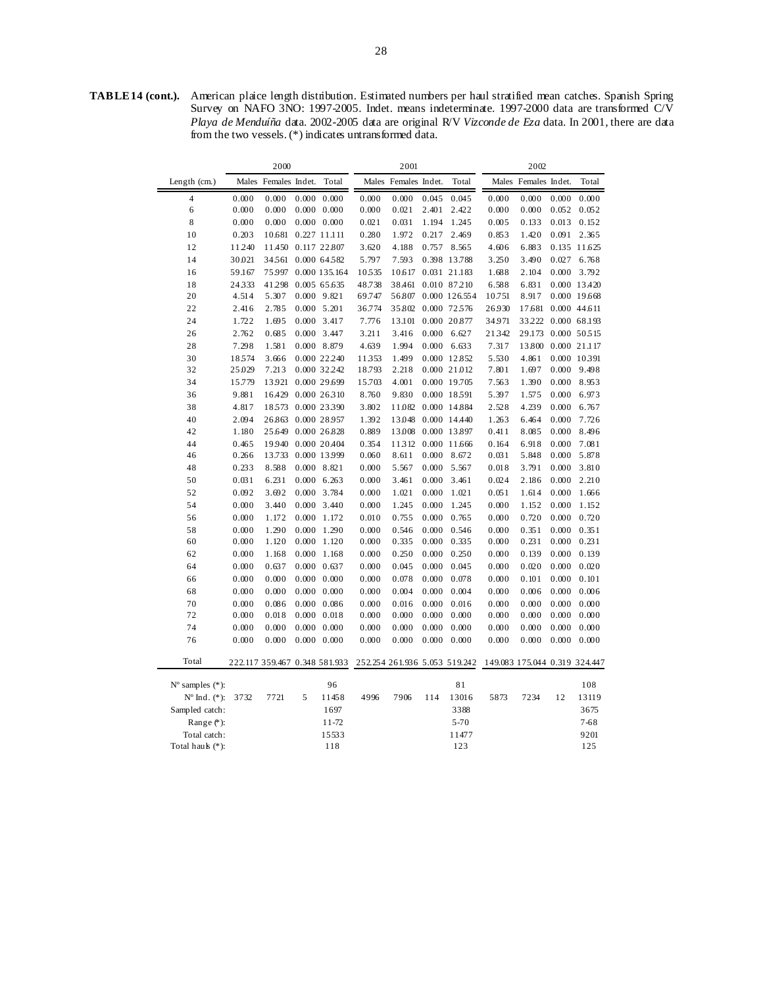**TABLE 14 (cont.).** American plaice length distribution. Estimated numbers per haul stratified mean catches. Spanish Spring Survey on NAFO 3NO: 1997-2005. Indet. means indeterminate. 1997-2000 data are transformed C/V *Playa de Menduíña* data. 2002-2005 data are original R/V *Vizconde de Eza* data. In 2001, there are data from the two vessels. (\*) indicates untransformed data.

|                             |        | 2000                 |       |                               |        | 2001                 |       |                               |        | 2002                          |       |              |
|-----------------------------|--------|----------------------|-------|-------------------------------|--------|----------------------|-------|-------------------------------|--------|-------------------------------|-------|--------------|
| Length (cm.)                |        | Males Females Indet. |       | Total                         |        | Males Females Indet. |       | Total                         |        | Males Females Indet.          |       | Total        |
| $\overline{4}$              | 0.000  | 0.000                | 0.000 | 0.000                         | 0.000  | 0.000                | 0.045 | 0.045                         | 0.000  | 0.000                         | 0.000 | 0.000        |
| 6                           | 0.000  | 0.000                |       | $0.000 \quad 0.000$           | 0.000  | 0.021                | 2.401 | 2.422                         | 0.000  | 0.000                         | 0.052 | 0.052        |
| $\,8\,$                     | 0.000  | 0.000                |       | $0.000 \quad 0.000$           | 0.021  | 0.031                | 1.194 | 1.245                         | 0.005  | 0.133                         | 0.013 | 0.152        |
| 10                          | 0.203  | 10.681               |       | 0.227 11.111                  | 0.280  | 1.972                | 0.217 | 2.469                         | 0.853  | 1.420                         | 0.091 | 2.365        |
| 12                          | 11.240 | 11.450               |       | 0.117 22.807                  | 3.620  | 4.188                | 0.757 | 8.565                         | 4.606  | 6.883                         |       | 0.135 11.625 |
| 14                          | 30.021 | 34.561               |       | 0.000 64.582                  | 5.797  | 7.593                |       | 0.398 13.788                  | 3.250  | 3.490                         | 0.027 | 6.768        |
| 16                          | 59.167 | 75.997               |       | 0.000 135.164                 | 10535  | 10.617               |       | 0.031 21.183                  | 1.688  | 2.104                         | 0.000 | 3.792        |
| 18                          | 24333  | 41298                |       | 0.005 65.635                  | 48.738 | 38.461               |       | 0.010 87210                   | 6.588  | 6.831                         |       | 0.000 13.420 |
| 20                          | 4.514  | 5.307                |       | 0.000 9.821                   | 69.747 | 56.807               |       | 0.000 126.554                 | 10.751 | 8.917                         |       | 0.000 19.668 |
| 22                          | 2.416  | 2.785                |       | $0.000$ 5.201                 | 36.774 | 35.802               |       | 0.000 72.576                  | 26.930 | 17.681                        |       | 0.000 44.611 |
| 24                          | 1.722  | 1.695                |       | 0.000 3.417                   | 7.776  | 13.101               |       | 0.000 20.877                  | 34.971 | 33.222                        |       | 0.000 68.193 |
| 26                          | 2.762  | 0.685                |       | 0.000 3.447                   | 3.211  | 3.416                | 0.000 | 6.627                         | 21342  | 29.173                        |       | 0.000 50515  |
| 28                          | 7.298  | 1.581                |       | 0.000 8.879                   | 4.639  | 1.994                |       | $0.000 \quad 6.633$           | 7.317  | 13.800                        |       | 0.000 21.117 |
| 30                          | 18574  | 3.666                |       | 0.000 22.240                  | 11353  | 1.499                |       | 0.000 12.852                  | 5.530  | 4.861                         |       | 0.000 10.391 |
| 32                          | 25.029 | 7.213                |       | 0.000 32.242                  | 18.793 | 2.218                |       | 0.000 21.012                  | 7.801  | 1.697                         | 0.000 | 9.498        |
| 34                          | 15.779 | 13.921               |       | 0.000 29.699                  | 15.703 | 4.001                |       | 0.000 19.705                  | 7.563  | 1.390                         | 0.000 | 8.953        |
| 36                          | 9.881  | 16.429               |       | 0.000 26.310                  | 8.760  | 9.830                |       | 0.000 18591                   | 5.397  | 1.575                         | 0.000 | 6.973        |
| 38                          | 4.817  | 18573                |       | 0.000 23.390                  | 3.802  | 11.082               |       | 0.000 14.884                  | 2.528  | 4.239                         | 0.000 | 6.767        |
| 40                          | 2.094  | 26.863               |       | 0.000 28.957                  | 1.392  | 13.048               |       | 0.000 14.440                  | 1.263  | 6.464                         | 0.000 | 7.726        |
| 42                          | 1.180  | 25.649               |       | 0.000 26.828                  | 0.889  | 13.008               |       | 0.000 13.897                  | 0.411  | 8.085                         | 0.000 | 8.496        |
| 44                          | 0.465  | 19940                |       | 0.000 20.404                  | 0.354  | 11312                |       | 0.000 11.666                  | 0.164  | 6.918                         | 0.000 | 7.081        |
| 46                          | 0.266  | 13.733               |       | 0.000 13999                   | 0.060  | 8.611                | 0.000 | 8.672                         | 0.031  | 5.848                         | 0.000 | 5.878        |
| 48                          | 0.233  | 8.588                |       | 0.000 8.821                   | 0.000  | 5.567                | 0.000 | 5.567                         | 0.018  | 3.791                         | 0.000 | 3.810        |
| 50                          | 0.031  | 6.231                |       | $0.000$ 6.263                 | 0.000  | 3.461                | 0.000 | 3.461                         | 0.024  | 2.186                         | 0.000 | 2.210        |
| 52                          | 0.092  | 3.692                |       | 0.000 3.784                   | 0.000  | 1.021                | 0.000 | 1.021                         | 0.051  | 1.614                         | 0.000 | 1.666        |
| 54                          | 0.000  | 3.440                |       | 0.000 3.440                   | 0.000  | 1.245                | 0.000 | 1.245                         | 0.000  | 1.152                         | 0.000 | 1.152        |
| 56                          | 0.000  | 1.172                |       | 0.000 1.172                   | 0.010  | 0.755                | 0.000 | 0.765                         | 0.000  | 0.720                         | 0.000 | 0.720        |
| 58                          | 0.000  | 1.290                |       | 0.000 1.290                   | 0.000  | 0.546                | 0.000 | 0.546                         | 0.000  | 0.351                         | 0.000 | 0.351        |
| 60                          | 0.000  | 1.120                |       | $0.000$ 1.120                 | 0.000  | 0.335                | 0.000 | 0.335                         | 0.000  | 0.231                         | 0.000 | 0.231        |
| 62                          | 0.000  | 1.168                |       | $0.000$ 1.168                 | 0.000  | 0.250                | 0.000 | 0.250                         | 0.000  | 0.139                         | 0.000 | 0.139        |
| 64                          | 0.000  | 0.637                |       | $0.000 \quad 0.637$           | 0.000  | 0.045                | 0.000 | 0.045                         | 0.000  | 0.020                         | 0.000 | 0.020        |
| 66                          | 0.000  | 0.000                |       | $0.000 \quad 0.000$           | 0.000  | 0.078                | 0.000 | 0.078                         | 0.000  | 0.101                         | 0.000 | 0.101        |
| 68                          | 0.000  | 0.000                |       | $0.000 \quad 0.000$           | 0.000  | 0.004                | 0.000 | 0.004                         | 0.000  | 0.006                         | 0.000 | 0.006        |
| 70                          | 0.000  | 0.086                |       | $0.000 \quad 0.086$           | 0.000  | 0.016                | 0.000 | 0.016                         | 0.000  | 0.000                         | 0.000 | 0.000        |
| 72                          | 0.000  | 0.018                |       | $0.000 \quad 0.018$           | 0.000  | 0.000                | 0.000 | 0.000                         | 0.000  | 0.000                         | 0.000 | 0.000        |
| 74                          | 0.000  | 0.000                |       | $0.000 \quad 0.000$           | 0.000  | 0.000                | 0.000 | 0.000                         | 0.000  | 0.000                         | 0.000 | 0.000        |
| 76                          | 0.000  | 0.000                |       | $0.000 \quad 0.000$           | 0.000  | 0.000                | 0.000 | 0.000                         | 0.000  | 0.000                         | 0.000 | 0.000        |
| Total                       |        |                      |       | 222.117 359.467 0.348 581.933 |        |                      |       | 252.254 261.936 5.053 519.242 |        | 149.083 175.044 0.319 324.447 |       |              |
| $N^{\circ}$ samples $(*)$ : |        |                      |       | 96                            |        |                      |       | 81                            |        |                               |       | 108          |
| $N^{\circ}$ Ind. $(*)$ :    | 3732   | 7721                 | 5     | 11458                         | 4996   | 7906                 | 114   | 13016                         | 5873   | 7234                          | 12    | 13119        |
| Sampled catch:              |        |                      |       | 1697                          |        |                      |       | 3388                          |        |                               |       | 3675         |
| Range $(*)$ :               |        |                      |       | 11-72                         |        |                      |       | $5 - 70$                      |        |                               |       | $7 - 68$     |
| Total catch:                |        |                      |       | 15533                         |        |                      |       | 11477                         |        |                               |       | 9201         |
| Total hauk (*):             |        |                      |       | 118                           |        |                      |       | 123                           |        |                               |       | 125          |
|                             |        |                      |       |                               |        |                      |       |                               |        |                               |       |              |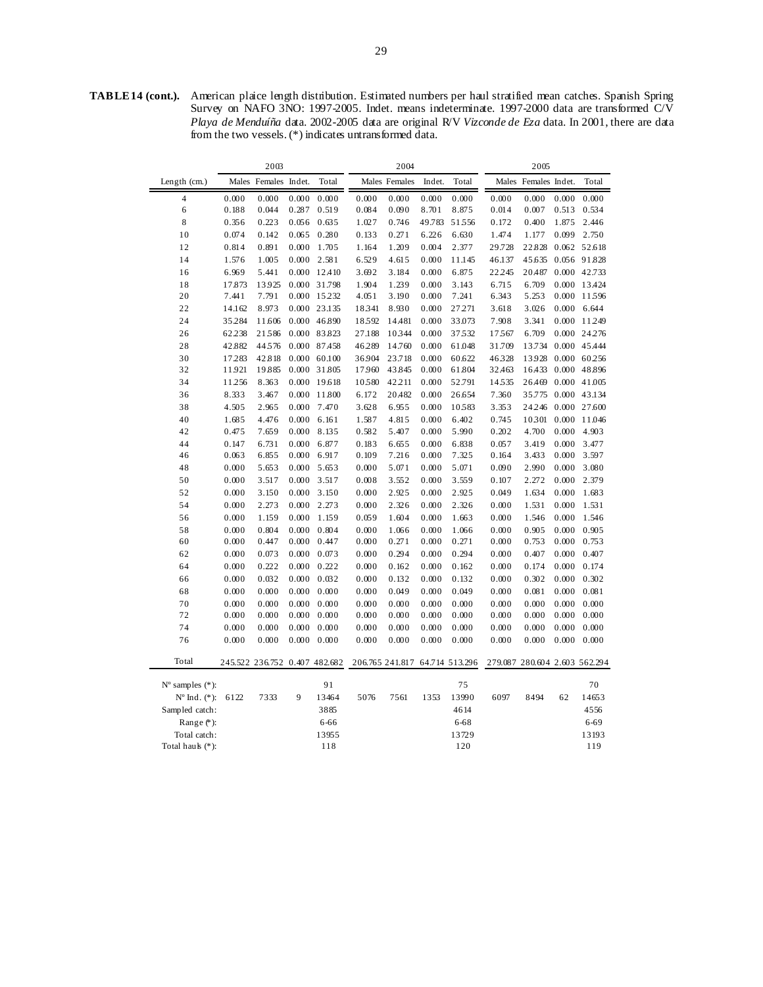**TABLE 14 (cont.).** American plaice length distribution. Estimated numbers per haul stratified mean catches. Spanish Spring Survey on NAFO 3NO: 1997-2005. Indet. means indeterminate. 1997-2000 data are transformed C/V *Playa de Menduíña* data. 2002-2005 data are original R/V *Vizconde de Eza* data. In 2001, there are data from the two vessels. (\*) indicates untransformed data.

|                             |        | 2003                          |       |              |        | 2004                           |        |        |                               | 2005                 |       |              |
|-----------------------------|--------|-------------------------------|-------|--------------|--------|--------------------------------|--------|--------|-------------------------------|----------------------|-------|--------------|
| Length $(cm.)$              |        | Males Females Indet.          |       | Total        |        | Males Females                  | Indet. | Total  |                               | Males Females Indet. |       | Total        |
| $\overline{4}$              | 0.000  | 0.000                         | 0.000 | 0.000        | 0.000  | 0.000                          | 0.000  | 0.000  | 0.000                         | 0.000                | 0.000 | 0.000        |
| 6                           | 0.188  | 0.044                         | 0.287 | 0.519        | 0.084  | 0.090                          | 8.701  | 8.875  | 0.014                         | 0.007                | 0.513 | 0.534        |
| 8                           | 0.356  | 0.223                         | 0.056 | 0.635        | 1.027  | 0.746                          | 49.783 | 51556  | 0.172                         | 0.400                | 1.875 | 2.446        |
| 10                          | 0.074  | 0.142                         | 0.065 | 0.280        | 0.133  | 0.271                          | 6.226  | 6.630  | 1.474                         | 1.177                | 0.099 | 2.750        |
| 12                          | 0.814  | 0.891                         | 0.000 | 1.705        | 1.164  | 1.209                          | 0.004  | 2.377  | 29.728                        | 22.828               |       | 0.062 52.618 |
| 14                          | 1.576  | 1.005                         | 0.000 | 2.581        | 6.529  | 4.615                          | 0.000  | 11.145 | 46.137                        | 45.635               |       | 0.056 91.828 |
| 16                          | 6.969  | 5.441                         | 0.000 | 12.410       | 3.692  | 3.184                          | 0.000  | 6.875  | 22.245                        | 20.487               |       | 0.000 42.733 |
| 18                          | 17.873 | 13.925                        |       | 0.000 31.798 | 1.904  | 1.239                          | 0.000  | 3.143  | 6.715                         | 6.709                |       | 0.000 13.424 |
| 20                          | 7.441  | 7.791                         |       | 0.000 15.232 | 4.051  | 3.190                          | 0.000  | 7.241  | 6.343                         | 5.253                | 0.000 | 11596        |
| 22                          | 14.162 | 8.973                         |       | 0.000 23.135 | 18341  | 8.930                          | 0.000  | 27.271 | 3.618                         | 3.026                | 0.000 | 6.644        |
| 24                          | 35.284 | 11.606                        |       | 0.000 46.890 | 18592  | 14.481                         | 0.000  | 33.073 | 7.908                         | 3.341                |       | 0.000 11.249 |
| 26                          | 62.238 | 21586                         | 0.000 | 83.823       | 27.188 | 10344                          | 0.000  | 37532  | 17567                         | 6.709                |       | 0.000 24276  |
| 28                          | 42.882 | 44576                         |       | 0.000 87.458 | 46.289 | 14.760                         | 0.000  | 61.048 | 31.709                        | 13.734               |       | 0.000 45.444 |
| 30                          | 17.283 | 42.818                        |       | 0.000 60.100 | 36.904 | 23.718                         | 0.000  | 60.622 | 46328                         | 13.928               |       | 0.000 60.256 |
| 32                          | 11.921 | 19.885                        |       | 0.000 31.805 | 17960  | 43.845                         | 0.000  | 61.804 | 32.463                        | 16.433               |       | 0.000 48.896 |
| 34                          | 11.256 | 8.363                         |       | 0.000 19.618 | 10580  | 42.211                         | 0.000  | 52.791 | 14535                         | 26.469               |       | 0.000 41.005 |
| 36                          | 8.333  | 3.467                         |       | 0.000 11.800 | 6.172  | 20.482                         | 0.000  | 26.654 | 7.360                         | 35.775               |       | 0.000 43.134 |
| 38                          | 4.505  | 2.965                         | 0.000 | 7.470        | 3.628  | 6.955                          | 0.000  | 10583  | 3.353                         | 24.246               |       | 0.000 27.600 |
| 40                          | 1.685  | 4.476                         | 0.000 | 6.161        | 1.587  | 4.815                          | 0.000  | 6.402  | 0.745                         | 10301                | 0.000 | 11.046       |
| 42                          | 0.475  | 7.659                         | 0.000 | 8.135        | 0.582  | 5.407                          | 0.000  | 5.990  | 0.202                         | 4.700                | 0.000 | 4.903        |
| 44                          | 0.147  | 6.731                         | 0.000 | 6.877        | 0.183  | 6.655                          | 0.000  | 6.838  | 0.057                         | 3.419                | 0.000 | 3.477        |
| 46                          | 0.063  | 6.855                         | 0.000 | 6.917        | 0.109  | 7.216                          | 0.000  | 7.325  | 0.164                         | 3.433                | 0.000 | 3.597        |
| 48                          | 0.000  | 5.653                         | 0.000 | 5.653        | 0.000  | 5.071                          | 0.000  | 5.071  | 0.090                         | 2.990                | 0.000 | 3.080        |
| 50                          | 0.000  | 3.517                         | 0.000 | 3.517        | 0.008  | 3.552                          | 0.000  | 3.559  | 0.107                         | 2.272                | 0.000 | 2.379        |
| 52                          | 0.000  | 3.150                         | 0.000 | 3.150        | 0.000  | 2.925                          | 0.000  | 2.925  | 0.049                         | 1.634                | 0.000 | 1.683        |
| 54                          | 0.000  | 2.273                         | 0.000 | 2.273        | 0.000  | 2.326                          | 0.000  | 2.326  | 0.000                         | 1.531                | 0.000 | 1.531        |
| 56                          | 0.000  | 1.159                         | 0.000 | 1.159        | 0.059  | 1.604                          | 0.000  | 1.663  | 0.000                         | 1.546                | 0.000 | 1.546        |
| 58                          | 0.000  | 0.804                         | 0.000 | 0.804        | 0.000  | 1.066                          | 0.000  | 1.066  | 0.000                         | 0.905                | 0.000 | 0.905        |
| 60                          | 0.000  | 0.447                         | 0.000 | 0.447        | 0.000  | 0.271                          | 0.000  | 0.271  | 0.000                         | 0.753                | 0.000 | 0.753        |
| 62                          | 0.000  | 0.073                         | 0.000 | 0.073        | 0.000  | 0.294                          | 0.000  | 0.294  | 0.000                         | 0.407                | 0.000 | 0.407        |
| 64                          | 0.000  | 0.222                         | 0.000 | 0.222        | 0.000  | 0.162                          | 0.000  | 0.162  | 0.000                         | 0.174                | 0.000 | 0.174        |
| 66                          | 0.000  | 0.032                         | 0.000 | 0.032        | 0.000  | 0.132                          | 0.000  | 0.132  | 0.000                         | 0.302                | 0.000 | 0.302        |
| 68                          | 0.000  | 0.000                         | 0.000 | 0.000        | 0.000  | 0.049                          | 0.000  | 0.049  | 0.000                         | 0.081                | 0.000 | 0.081        |
| 70                          | 0.000  | 0.000                         | 0.000 | 0.000        | 0.000  | 0.000                          | 0.000  | 0.000  | 0.000                         | 0.000                | 0.000 | 0.000        |
| 72                          | 0.000  | 0.000                         | 0.000 | 0.000        | 0.000  | 0.000                          | 0.000  | 0.000  | 0.000                         | 0.000                | 0.000 | 0.000        |
| 74                          | 0.000  | 0.000                         | 0.000 | 0.000        | 0.000  | 0.000                          | 0.000  | 0.000  | 0.000                         | 0.000                | 0.000 | 0.000        |
| 76                          | 0.000  | 0.000                         | 0.000 | 0.000        | 0.000  | 0.000                          | 0.000  | 0.000  | 0.000                         | 0.000                | 0.000 | 0.000        |
| Total                       |        | 245.522 236.752 0.407 482.682 |       |              |        | 206.765 241.817 64.714 513.296 |        |        | 279.087 280.604 2.603 562.294 |                      |       |              |
| $N^{\circ}$ samples $(*)$ : |        |                               |       | 91           |        |                                |        | 75     |                               |                      |       | 70           |
| $N^{\circ}$ Ind. $(*)$ :    | 6122   | 7333                          | 9     | 13464        | 5076   | 7561                           | 1353   | 13990  | 6097                          | 8494                 | 62    | 14653        |
| Sampled catch:              |        |                               |       | 3885         |        |                                |        | 4614   |                               |                      |       | 4556         |
| Range (*):                  |        |                               |       | 6-66         |        |                                |        | 6-68   |                               |                      |       | 6-69         |
| Total catch:                |        |                               |       | 13955        |        |                                |        | 13729  |                               |                      |       | 13193        |
| Total hauk (*):             |        |                               |       | 118          |        |                                |        | 120    |                               |                      |       | 119          |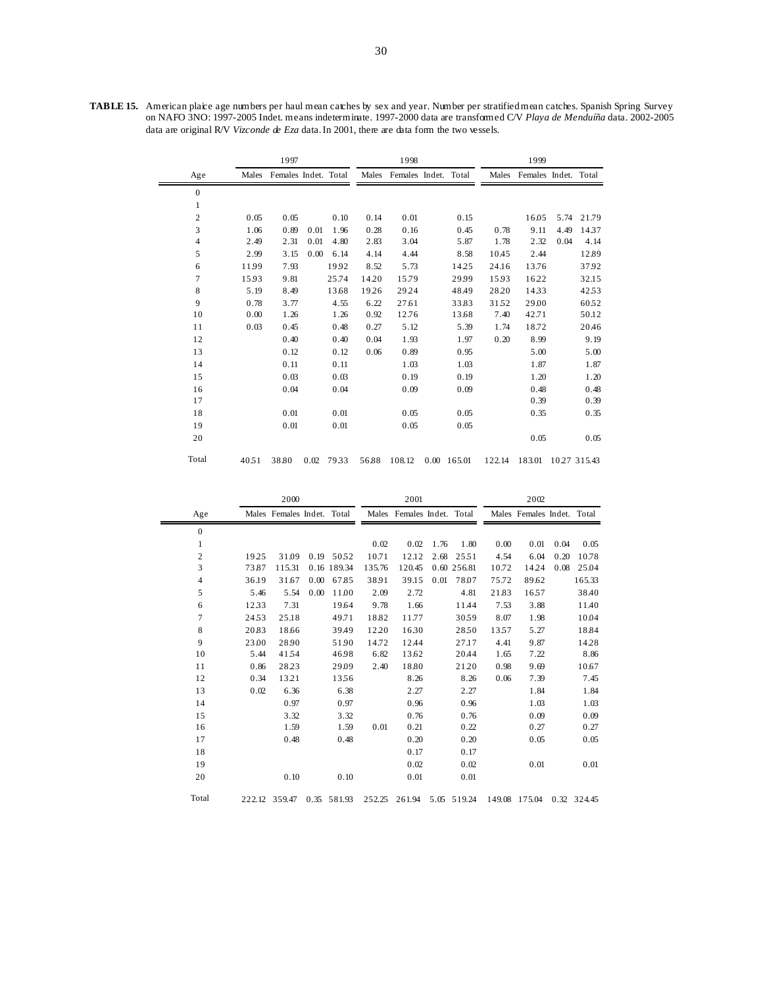**TABLE 15.** American plaice age numbers per haul mean catches by sex and year. Number per stratified mean catches. Spanish Spring Survey on NAFO 3NO: 1997-2005 Indet. means indeterminate. 1997-2000 data are transformed C/V *Playa de Menduíña* data. 2002-2005 data are original R/V *Vizconde de Eza* data. In 2001, there are data form the two vessels.

|                |       | 1997                 |      |       |       | 1998                 |               |        | 1999                 |             |       |
|----------------|-------|----------------------|------|-------|-------|----------------------|---------------|--------|----------------------|-------------|-------|
| Age            | Males | Females Indet. Total |      |       | Males | Females Indet. Total |               | Males  | Females Indet. Total |             |       |
| $\overline{0}$ |       |                      |      |       |       |                      |               |        |                      |             |       |
| 1              |       |                      |      |       |       |                      |               |        |                      |             |       |
| 2              | 0.05  | 0.05                 |      | 0.10  | 0.14  | 0.01                 | 0.15          |        | 16.05                | 5.74        | 21.79 |
| 3              | 1.06  | 0.89                 | 0.01 | 1.96  | 0.28  | 0.16                 | 0.45          | 0.78   | 9.11                 | 4.49        | 1437  |
| $\overline{4}$ | 2.49  | 2.31                 | 0.01 | 4.80  | 2.83  | 3.04                 | 5.87          | 1.78   | 2.32                 | 0.04        | 4.14  |
| 5              | 2.99  | 3.15                 | 0.00 | 6.14  | 4.14  | 4.44                 | 8.58          | 10.45  | 2.44                 |             | 12.89 |
| 6              | 11.99 | 7.93                 |      | 1992  | 8.52  | 5.73                 | 14.25         | 24.16  | 13.76                |             | 37.92 |
| 7              | 15.93 | 9.81                 |      | 25.74 | 14.20 | 15.79                | 29.99         | 1593   | 16.22                |             | 32.15 |
| 8              | 5.19  | 8.49                 |      | 13.68 | 19.26 | 29.24                | 48.49         | 28.20  | 1433                 |             | 4253  |
| 9              | 0.78  | 3.77                 |      | 4.55  | 6.22  | 27.61                | 33.83         | 3152   | 29.00                |             | 6052  |
| 10             | 0.00  | 1.26                 |      | 1.26  | 0.92  | 12.76                | 13.68         | 7.40   | 42.71                |             | 50.12 |
| 11             | 0.03  | 0.45                 |      | 0.48  | 0.27  | 5.12                 | 5.39          | 1.74   | 18.72                |             | 20.46 |
| 12             |       | 0.40                 |      | 0.40  | 0.04  | 1.93                 | 1.97          | 0.20   | 8.99                 |             | 9.19  |
| 13             |       | 0.12                 |      | 0.12  | 0.06  | 0.89                 | 0.95          |        | 5.00                 |             | 5.00  |
| 14             |       | 0.11                 |      | 0.11  |       | 1.03                 | 1.03          |        | 1.87                 |             | 1.87  |
| 15             |       | 0.03                 |      | 0.03  |       | 0.19                 | 0.19          |        | 1.20                 |             | 1.20  |
| 16             |       | 0.04                 |      | 0.04  |       | 0.09                 | 0.09          |        | 0.48                 |             | 0.48  |
| 17             |       |                      |      |       |       |                      |               |        | 0.39                 |             | 0.39  |
| 18             |       | 0.01                 |      | 0.01  |       | 0.05                 | 0.05          |        | 0.35                 |             | 0.35  |
| 19             |       | 0.01                 |      | 0.01  |       | 0.05                 | 0.05          |        |                      |             |       |
| 20             |       |                      |      |       |       |                      |               |        | 0.05                 |             | 0.05  |
| Total          | 4051  | 38.80                | 0.02 | 7933  | 56.88 | 108.12               | $0.00$ 165.01 | 122.14 | 183.01               | 1027 315.43 |       |

|                |       | 2000                       |      |             |        | 2001                       |      |             |       | 2002                       |      |             |
|----------------|-------|----------------------------|------|-------------|--------|----------------------------|------|-------------|-------|----------------------------|------|-------------|
| Age            |       | Males Females Indet. Total |      |             |        | Males Females Indet. Total |      |             |       | Males Females Indet. Total |      |             |
| $\mathbf{0}$   |       |                            |      |             |        |                            |      |             |       |                            |      |             |
| $\mathbf{1}$   |       |                            |      |             | 0.02   | 0.02                       | 1.76 | 1.80        | 0.00  | 0.01                       | 0.04 | 0.05        |
| $\overline{c}$ | 1925  | 31.09                      |      | 0.19 50.52  | 10.71  | 12.12                      | 2.68 | 2551        | 4.54  | 6.04                       | 0.20 | 10.78       |
| 3              | 73.87 | 115.31                     |      | 0.16 189.34 | 135.76 | 120.45                     |      | 0.60 256.81 | 10.72 | 14.24                      | 0.08 | 25.04       |
| 4              | 36.19 | 31.67                      | 0.00 | 67.85       | 38.91  | 39.15                      | 0.01 | 78.07       | 75.72 | 89.62                      |      | 165.33      |
| 5              | 5.46  | 5.54                       | 0.00 | 11.00       | 2.09   | 2.72                       |      | 4.81        | 21.83 | 1657                       |      | 38.40       |
| 6              | 1233  | 7.31                       |      | 19.64       | 9.78   | 1.66                       |      | 11.44       | 7.53  | 3.88                       |      | 11.40       |
| 7              | 2453  | 25.18                      |      | 49.71       | 18.82  | 11.77                      |      | 3059        | 8.07  | 1.98                       |      | 10.04       |
| 8              | 20.83 | 18.66                      |      | 39.49       | 12.20  | 1630                       |      | 2850        | 1357  | 5.27                       |      | 18.84       |
| 9              | 23.00 | 28.90                      |      | 51.90       | 14.72  | 12.44                      |      | 27.17       | 4.41  | 9.87                       |      | 14.28       |
| 10             | 5.44  | 4154                       |      | 46.98       | 6.82   | 13.62                      |      | 20.44       | 1.65  | 7.22                       |      | 8.86        |
| 11             | 0.86  | 28.23                      |      | 29.09       | 2.40   | 18.80                      |      | 21.20       | 0.98  | 9.69                       |      | 10.67       |
| 12             | 0.34  | 13.21                      |      | 1356        |        | 8.26                       |      | 8.26        | 0.06  | 7.39                       |      | 7.45        |
| 13             | 0.02  | 6.36                       |      | 6.38        |        | 2.27                       |      | 2.27        |       | 1.84                       |      | 1.84        |
| 14             |       | 0.97                       |      | 0.97        |        | 0.96                       |      | 0.96        |       | 1.03                       |      | 1.03        |
| 15             |       | 3.32                       |      | 3.32        |        | 0.76                       |      | 0.76        |       | 0.09                       |      | 0.09        |
| 16             |       | 1.59                       |      | 1.59        | 0.01   | 0.21                       |      | 0.22        |       | 0.27                       |      | 0.27        |
| 17             |       | 0.48                       |      | 0.48        |        | 0.20                       |      | 0.20        |       | 0.05                       |      | 0.05        |
| 18             |       |                            |      |             |        | 0.17                       |      | 0.17        |       |                            |      |             |
| 19             |       |                            |      |             |        | 0.02                       |      | 0.02        |       | 0.01                       |      | 0.01        |
| 20             |       | 0.10                       |      | 0.10        |        | 0.01                       |      | 0.01        |       |                            |      |             |
| Total          |       | 222.12 359.47              |      | 0.35 581.93 | 252.25 | 261.94                     |      | 5.05 519.24 |       | 149.08 175.04              |      | 0.32 324.45 |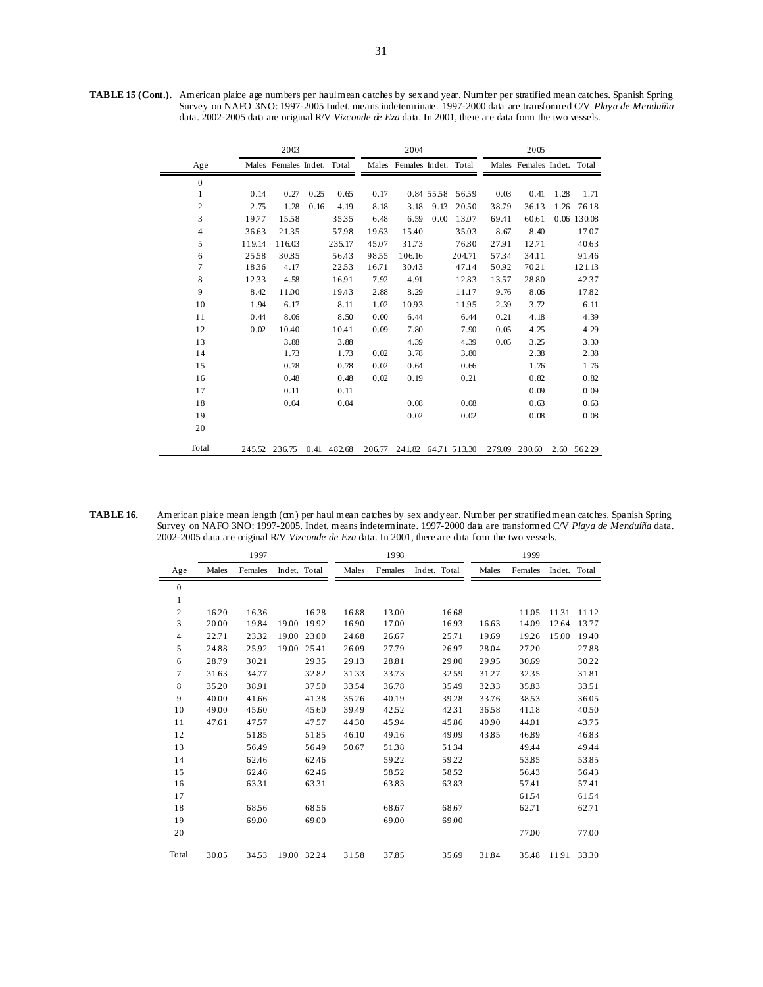**TABLE 15 (Cont.).** American plaice age numbers per haul mean catches by sex and year. Number per stratified mean catches. Spanish Spring Survey on NAFO 3NO: 1997-2005 Indet. means indeterminate. 1997-2000 data are transformed C/V *Playa de Menduíña*  data. 2002-2005 data are original R/V *Vizconde de Eza* data. In 2001, there are data form the two vessels.

|                |        | 2003                       |      |        |        | 2004                       |           |        |        | 2005                       |      |             |
|----------------|--------|----------------------------|------|--------|--------|----------------------------|-----------|--------|--------|----------------------------|------|-------------|
| Age            |        | Males Females Indet. Total |      |        |        | Males Females Indet. Total |           |        |        | Males Females Indet. Total |      |             |
| $\mathbf{0}$   |        |                            |      |        |        |                            |           |        |        |                            |      |             |
| $\mathbf{1}$   | 0.14   | 0.27                       | 0.25 | 0.65   | 0.17   |                            | 0.84 5558 | 5659   | 0.03   | 0.41                       | 1.28 | 1.71        |
| $\overline{c}$ | 2.75   | 1.28                       | 0.16 | 4.19   | 8.18   | 3.18                       | 9.13      | 2050   | 38.79  | 36.13                      | 1.26 | 76.18       |
| 3              | 19.77  | 1558                       |      | 3535   | 6.48   | 6.59                       | 0.00      | 13.07  | 69.41  | 60.61                      |      | 0.06 130.08 |
| $\overline{4}$ | 36.63  | 2135                       |      | 57.98  | 19.63  | 15.40                      |           | 35.03  | 8.67   | 8.40                       |      | 17.07       |
| 5              | 119.14 | 116.03                     |      | 235.17 | 45.07  | 31.73                      |           | 76.80  | 27.91  | 12.71                      |      | 40.63       |
| 6              | 2558   | 30.85                      |      | 56.43  | 9855   | 106.16                     |           | 204.71 | 5734   | 34.11                      |      | 91.46       |
| $\overline{7}$ | 1836   | 4.17                       |      | 2253   | 16.71  | 30.43                      |           | 47.14  | 50.92  | 70.21                      |      | 121.13      |
| $\,8\,$        | 1233   | 4.58                       |      | 16.91  | 7.92   | 4.91                       |           | 12.83  | 1357   | 28.80                      |      | 4237        |
| 9              | 8.42   | 11.00                      |      | 19.43  | 2.88   | 8.29                       |           | 11.17  | 9.76   | 8.06                       |      | 17.82       |
| 10             | 1.94   | 6.17                       |      | 8.11   | 1.02   | 10.93                      |           | 11.95  | 2.39   | 3.72                       |      | 6.11        |
| 11             | 0.44   | 8.06                       |      | 8.50   | 0.00   | 6.44                       |           | 6.44   | 0.21   | 4.18                       |      | 4.39        |
| 12             | 0.02   | 10.40                      |      | 10.41  | 0.09   | 7.80                       |           | 7.90   | 0.05   | 4.25                       |      | 4.29        |
| 13             |        | 3.88                       |      | 3.88   |        | 4.39                       |           | 4.39   | 0.05   | 3.25                       |      | 3.30        |
| 14             |        | 1.73                       |      | 1.73   | 0.02   | 3.78                       |           | 3.80   |        | 2.38                       |      | 2.38        |
| 15             |        | 0.78                       |      | 0.78   | 0.02   | 0.64                       |           | 0.66   |        | 1.76                       |      | 1.76        |
| 16             |        | 0.48                       |      | 0.48   | 0.02   | 0.19                       |           | 0.21   |        | 0.82                       |      | 0.82        |
| 17             |        | 0.11                       |      | 0.11   |        |                            |           |        |        | 0.09                       |      | 0.09        |
| 18             |        | 0.04                       |      | 0.04   |        | 0.08                       |           | 0.08   |        | 0.63                       |      | 0.63        |
| 19             |        |                            |      |        |        | 0.02                       |           | 0.02   |        | 0.08                       |      | 0.08        |
| 20             |        |                            |      |        |        |                            |           |        |        |                            |      |             |
| Total          | 245.52 | 236.75                     | 0.41 | 482.68 | 206.77 | 241.82 64.71 513.30        |           |        | 279.09 | 280.60                     |      | 2.60 562.29 |

**TABLE 16.** American plaice mean length (cm) per haul mean catches by sex and y ear. Number per stratified mean catches. Spanish Spring Survey on NAFO 3NO: 1997-2005. Indet. means indeterminate. 1997-2000 data are transformed C/V *Playa de Menduíña* data. 2002-2005 data are original R/V *Vizconde de Eza* data. In 2001, there are data form the two vessels.

|                  |       | 1997    |              |             |       | 1998    |              |       |       | 1999    |              |       |
|------------------|-------|---------|--------------|-------------|-------|---------|--------------|-------|-------|---------|--------------|-------|
| Age              | Males | Females | Indet. Total |             | Males | Females | Indet. Total |       | Males | Females | Indet. Total |       |
| $\boldsymbol{0}$ |       |         |              |             |       |         |              |       |       |         |              |       |
| 1                |       |         |              |             |       |         |              |       |       |         |              |       |
| 2                | 16.20 | 1636    |              | 16.28       | 16.88 | 13.00   |              | 16.68 |       | 11.05   | 1131         | 11.12 |
| 3                | 20.00 | 19.84   | 19.00        | 1992        | 16.90 | 17.00   |              | 1693  | 16.63 | 14.09   | 12.64        | 13.77 |
| 4                | 22.71 | 2332    | 19.00        | 23.00       | 24.68 | 26.67   |              | 25.71 | 19.69 | 19.26   | 15.00        | 19.40 |
| 5                | 24.88 | 25.92   | 19.00        | 25.41       | 26.09 | 27.79   |              | 26.97 | 28.04 | 27.20   |              | 27.88 |
| 6                | 28.79 | 30.21   |              | 2935        | 29.13 | 28.81   |              | 29.00 | 29.95 | 30.69   |              | 30.22 |
| $\tau$           | 31.63 | 34.77   |              | 32.82       | 3133  | 33.73   |              | 3259  | 3127  | 3235    |              | 31.81 |
| 8                | 35.20 | 38.91   |              | 3750        | 3354  | 36.78   |              | 35.49 | 3233  | 35.83   |              | 3351  |
| 9                | 40.00 | 41.66   |              | 4138        | 35.26 | 40.19   |              | 3928  | 33.76 | 3853    |              | 36.05 |
| 10               | 49.00 | 45.60   |              | 45.60       | 39.49 | 42.52   |              | 4231  | 3658  | 41.18   |              | 4050  |
| 11               | 47.61 | 47.57   |              | 47.57       | 4430  | 45.94   |              | 45.86 | 40.90 | 44.01   |              | 43.75 |
| 12               |       | 51.85   |              | 51.85       | 46.10 | 49.16   |              | 49.09 | 43.85 | 46.89   |              | 46.83 |
| 13               |       | 56.49   |              | 56.49       | 50.67 | 5138    |              | 5134  |       | 49.44   |              | 49.44 |
| 14               |       | 62.46   |              | 62.46       |       | 59.22   |              | 5922  |       | 53.85   |              | 53.85 |
| 15               |       | 62.46   |              | 62.46       |       | 5852    |              | 5852  |       | 56.43   |              | 56.43 |
| 16               |       | 6331    |              | 6331        |       | 63.83   |              | 63.83 |       | 57.41   |              | 57.41 |
| 17               |       |         |              |             |       |         |              |       |       | 6154    |              | 6154  |
| 18               |       | 6856    |              | 6856        |       | 68.67   |              | 68.67 |       | 62.71   |              | 62.71 |
| 19               |       | 69.00   |              | 69.00       |       | 69.00   |              | 69.00 |       |         |              |       |
| 20               |       |         |              |             |       |         |              |       |       | 77.00   |              | 77.00 |
| Total            | 30.05 | 3453    |              | 19.00 32.24 | 3158  | 37.85   |              | 35.69 | 31.84 | 35.48   | 1191         | 3330  |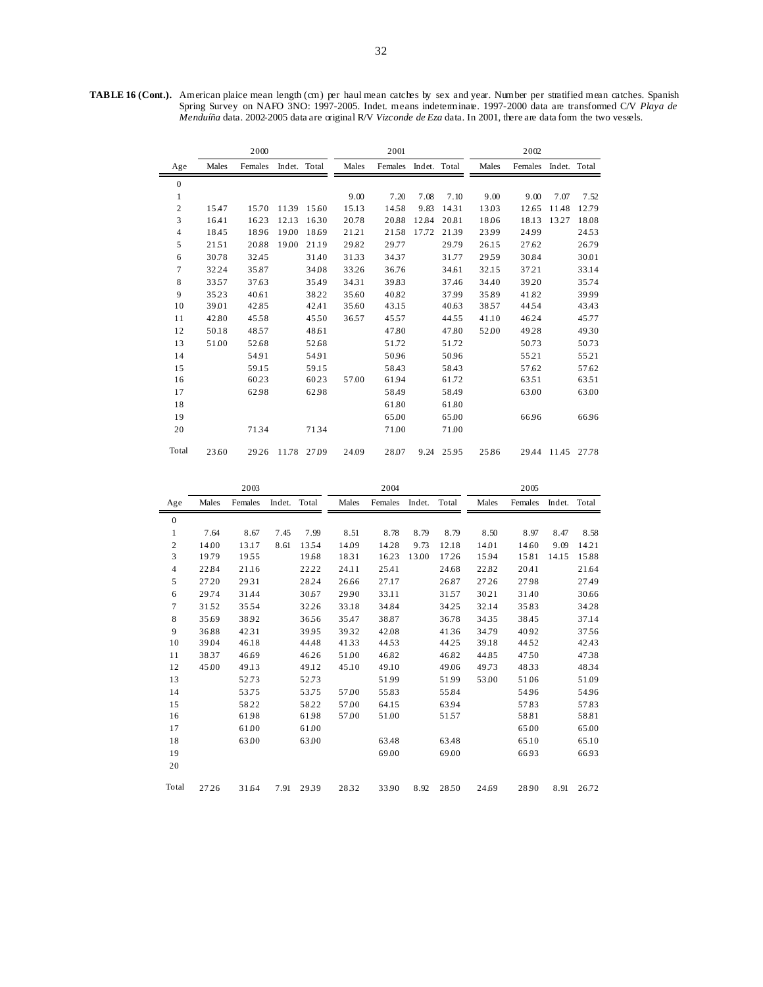**TABLE 16 (Cont.).** American plaice mean length (cm) per haul mean catches by sex and year. Number per stratified mean catches. Spanish Spring Survey on NAFO 3NO: 1997-2005. Indet. means indeterminate. 1997-2000 data are transformed C/V *Playa de Menduíña* data. 2002-2005 data are original R/V *Vizconde de Eza* data. In 2001, there are data form the two vessels.

|                |       | 2000    |              |       |       | 2001    |              |       |       | 2002    |              |       |
|----------------|-------|---------|--------------|-------|-------|---------|--------------|-------|-------|---------|--------------|-------|
| Age            | Males | Females | Indet. Total |       | Males | Females | Indet. Total |       | Males | Females | Indet. Total |       |
| $\mathbf{0}$   |       |         |              |       |       |         |              |       |       |         |              |       |
| 1              |       |         |              |       | 9.00  | 7.20    | 7.08         | 7.10  | 9.00  | 9.00    | 7.07         | 7.52  |
| $\mathbf{2}$   | 15.47 | 15.70   | 1139         | 15.60 | 15.13 | 1458    | 9.83         | 1431  | 13.03 | 12.65   | 11.48        | 12.79 |
| 3              | 16.41 | 1623    | 12.13        | 1630  | 20.78 | 20.88   | 12.84        | 20.81 | 18.06 | 18.13   | 13.27        | 18.08 |
| $\overline{4}$ | 18.45 | 1896    | 19.00        | 18.69 | 21.21 | 2158    | 17.72        | 2139  | 23.99 | 24.99   |              | 2453  |
| 5              | 2151  | 20.88   | 19.00        | 21.19 | 29.82 | 29.77   |              | 29.79 | 26.15 | 27.62   |              | 26.79 |
| 6              | 30.78 | 32.45   |              | 31.40 | 3133  | 3437    |              | 31.77 | 2959  | 30.84   |              | 30.01 |
| 7              | 32.24 | 35.87   |              | 34.08 | 33.26 | 36.76   |              | 34.61 | 32.15 | 3721    |              | 33.14 |
| 8              | 3357  | 37.63   |              | 35.49 | 3431  | 39.83   |              | 37.46 | 34.40 | 39.20   |              | 35.74 |
| 9              | 3523  | 40.61   |              | 38.22 | 35.60 | 40.82   |              | 37.99 | 35.89 | 41.82   |              | 39.99 |
| 10             | 39.01 | 42.85   |              | 42.41 | 35.60 | 43.15   |              | 40.63 | 3857  | 4454    |              | 43.43 |
| 11             | 42.80 | 4558    |              | 4550  | 3657  | 4557    |              | 4455  | 41.10 | 46.24   |              | 45.77 |
| 12             | 50.18 | 4857    |              | 48.61 |       | 47.80   |              | 47.80 | 52.00 | 4928    |              | 4930  |
| 13             | 51.00 | 52.68   |              | 52.68 |       | 51.72   |              | 51.72 |       | 50.73   |              | 50.73 |
| 14             |       | 54.91   |              | 54.91 |       | 50.96   |              | 50.96 |       | 5521    |              | 55.21 |
| 15             |       | 59.15   |              | 59.15 |       | 58.43   |              | 58.43 |       | 57.62   |              | 57.62 |
| 16             |       | 6023    |              | 60.23 | 57.00 | 6194    |              | 61.72 |       | 6351    |              | 6351  |
| 17             |       | 62.98   |              | 62.98 |       | 58.49   |              | 58.49 |       | 63.00   |              | 63.00 |
| 18             |       |         |              |       |       | 61.80   |              | 61.80 |       |         |              |       |
| 19             |       |         |              |       |       | 65.00   |              | 65.00 |       | 66.96   |              | 66.96 |
| 20             |       | 7134    |              | 7134  |       | 71.00   |              | 71.00 |       |         |              |       |
| Total          | 23.60 | 29.26   | 11.78 27.09  |       | 24.09 | 28.07   | 9.24         | 25.95 | 25.86 | 29.44   | 11.45 27.78  |       |

|                  |       | 2003    |              |       |       | 2004    |        |       |       | 2005    |              |       |
|------------------|-------|---------|--------------|-------|-------|---------|--------|-------|-------|---------|--------------|-------|
| Age              | Males | Females | Indet. Total |       | Males | Females | Indet. | Total | Males | Females | Indet. Total |       |
| $\boldsymbol{0}$ |       |         |              |       |       |         |        |       |       |         |              |       |
| $\mathbf{1}$     | 7.64  | 8.67    | 7.45         | 7.99  | 8.51  | 8.78    | 8.79   | 8.79  | 8.50  | 8.97    | 8.47         | 8.58  |
| $\overline{c}$   | 14.00 | 13.17   | 8.61         | 1354  | 14.09 | 14.28   | 9.73   | 12.18 | 14.01 | 14.60   | 9.09         | 14.21 |
| 3                | 19.79 | 1955    |              | 19.68 | 1831  | 16.23   | 13.00  | 17.26 | 15.94 | 15.81   | 14.15        | 15.88 |
| $\overline{4}$   | 22.84 | 21.16   |              | 22.22 | 24.11 | 25.41   |        | 24.68 | 22.82 | 20.41   |              | 21.64 |
| 5                | 27.20 | 2931    |              | 28.24 | 26.66 | 27.17   |        | 26.87 | 27.26 | 27.98   |              | 27.49 |
| 6                | 29.74 | 31.44   |              | 30.67 | 29.90 | 33.11   |        | 3157  | 30.21 | 31.40   |              | 30.66 |
| $\overline{7}$   | 3152  | 3554    |              | 32.26 | 33.18 | 34.84   |        | 34.25 | 32.14 | 35.83   |              | 34.28 |
| 8                | 35.69 | 38.92   |              | 3656  | 35.47 | 38.87   |        | 36.78 | 3435  | 38.45   |              | 37.14 |
| 9                | 36.88 | 42.31   |              | 39.95 | 3932  | 42.08   |        | 4136  | 34.79 | 40.92   |              | 3756  |
| 10               | 39.04 | 46.18   |              | 44.48 | 4133  | 4453    |        | 44.25 | 39.18 | 4452    |              | 42.43 |
| 11               | 3837  | 46.69   |              | 46.26 | 51.00 | 46.82   |        | 46.82 | 44.85 | 4750    |              | 4738  |
| 12               | 45.00 | 49.13   |              | 49.12 | 45.10 | 49.10   |        | 49.06 | 49.73 | 4833    |              | 4834  |
| 13               |       | 52.73   |              | 52.73 |       | 5199    |        | 51.99 | 53.00 | 51.06   |              | 51.09 |
| 14               |       | 53.75   |              | 53.75 | 57.00 | 55.83   |        | 55.84 |       | 5496    |              | 54.96 |
| 15               |       | 58.22   |              | 5822  | 57.00 | 64.15   |        | 63.94 |       | 57.83   |              | 57.83 |
| 16               |       | 61.98   |              | 61.98 | 57.00 | 51.00   |        | 5157  |       | 58.81   |              | 58.81 |
| 17               |       | 61.00   |              | 61.00 |       |         |        |       |       | 65.00   |              | 65.00 |
| 18               |       | 63.00   |              | 63.00 |       | 63.48   |        | 63.48 |       | 65.10   |              | 65.10 |
| 19               |       |         |              |       |       | 69.00   |        | 69.00 |       | 66.93   |              | 66.93 |
| 20               |       |         |              |       |       |         |        |       |       |         |              |       |
| Total            | 27.26 | 31.64   | 7.91         | 2939  | 2832  | 33.90   | 8.92   | 28.50 | 24.69 | 28.90   | 8.91         | 26.72 |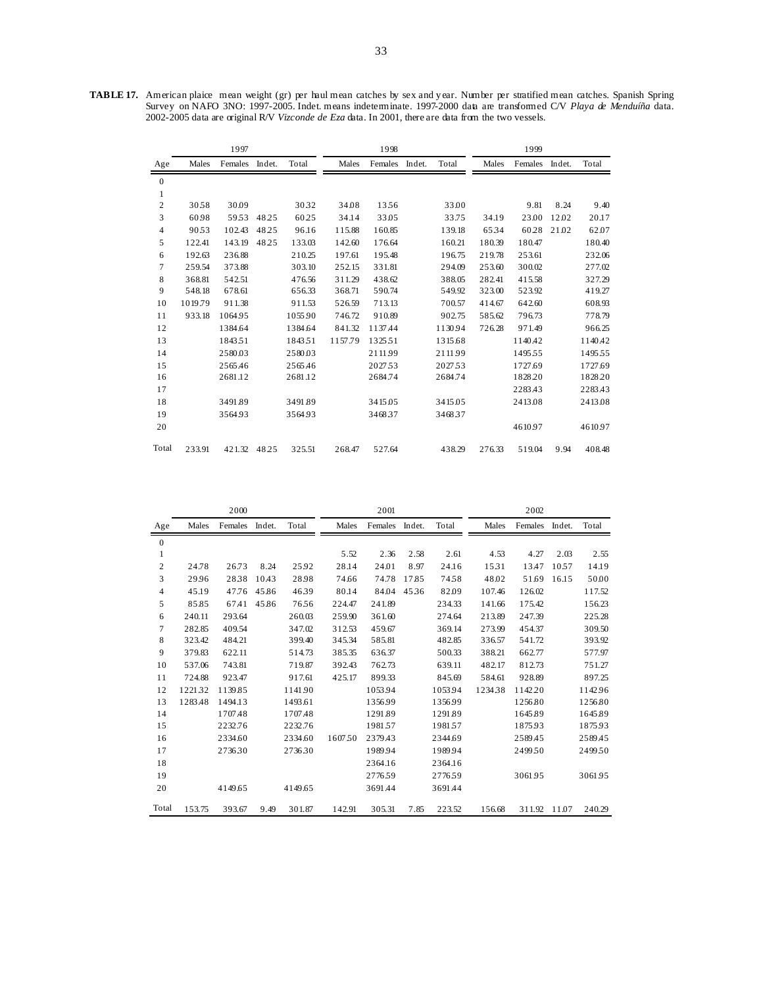**TABLE 17.** American plaice mean weight (gr) per haul mean catches by sex and y ear. Number per stratified mean catches. Spanish Spring Survey on NAFO 3NO: 1997-2005. Indet. means indeterminate. 1997-2000 data are transformed C/V *Playa de Menduíña* data. 2002-2005 data are original R/V *Vizconde de Eza* data. In 2001, there are data from the two vessels.

|                  |         | 1997         |        |         |         | 1998    |        |         |        | 1999    |        |         |
|------------------|---------|--------------|--------|---------|---------|---------|--------|---------|--------|---------|--------|---------|
| Age              | Males   | Females      | Indet. | Total   | Males   | Females | Indet. | Total   | Males  | Females | Indet. | Total   |
| $\boldsymbol{0}$ |         |              |        |         |         |         |        |         |        |         |        |         |
| 1                |         |              |        |         |         |         |        |         |        |         |        |         |
| $\overline{c}$   | 3058    | 30.09        |        | 3032    | 34.08   | 1356    |        | 33.00   |        | 9.81    | 8.24   | 9.40    |
| 3                | 60.98   | 5953         | 48.25  | 60.25   | 34.14   | 33.05   |        | 33.75   | 34.19  | 23.00   | 12.02  | 20.17   |
| 4                | 9053    | 102.43       | 48.25  | 96.16   | 115.88  | 160.85  |        | 139.18  | 6534   | 60.28   | 21.02  | 62.07   |
| 5                | 122.41  | 143.19       | 48.25  | 133.03  | 142.60  | 176.64  |        | 160.21  | 180.39 | 180.47  |        | 180.40  |
| 6                | 192.63  | 236.88       |        | 210.25  | 197.61  | 195.48  |        | 196.75  | 219.78 | 253.61  |        | 232.06  |
| 7                | 259.54  | 373.88       |        | 303.10  | 252.15  | 331.81  |        | 294.09  | 253.60 | 300.02  |        | 277.02  |
| 8                | 368.81  | 542.51       |        | 476.56  | 311.29  | 438.62  |        | 388.05  | 282.41 | 415.58  |        | 327.29  |
| 9                | 548.18  | 678.61       |        | 656.33  | 368.71  | 590.74  |        | 549.92  | 323.00 | 523.92  |        | 419.27  |
| 10               | 1019.79 | 911.38       |        | 911.53  | 526.59  | 713.13  |        | 700.57  | 414.67 | 642.60  |        | 608.93  |
| 11               | 933.18  | 1064.95      |        | 1055.90 | 746.72  | 910.89  |        | 902.75  | 585.62 | 796.73  |        | 778.79  |
| 12               |         | 1384.64      |        | 1384.64 | 841.32  | 1137.44 |        | 1130.94 | 726.28 | 971.49  |        | 966.25  |
| 13               |         | 184351       |        | 1843.51 | 1157.79 | 1325.51 |        | 1315.68 |        | 1140.42 |        | 1140.42 |
| 14               |         | 2580.03      |        | 2580.03 |         | 2111.99 |        | 2111.99 |        | 149555  |        | 149555  |
| 15               |         | 2565.46      |        | 2565.46 |         | 2027.53 |        | 2027.53 |        | 1727.69 |        | 1727.69 |
| 16               |         | 2681.12      |        | 2681.12 |         | 2684.74 |        | 2684.74 |        | 1828.20 |        | 1828.20 |
| 17               |         |              |        |         |         |         |        |         |        | 2283.43 |        | 2283.43 |
| 18               |         | 3491.89      |        | 3491.89 |         | 3415.05 |        | 3415.05 |        | 2413.08 |        | 2413.08 |
| 19               |         | 3564.93      |        | 3564.93 |         | 3468.37 |        | 3468.37 |        |         |        |         |
| 20               |         |              |        |         |         |         |        |         |        | 4610.97 |        | 4610.97 |
| Total            | 233.91  | 421.32 48.25 |        | 325.51  | 268.47  | 527.64  |        | 438.29  | 276.33 | 519.04  | 9.94   | 408.48  |

|              |         | 2000    |        |         |         | 2001    |        |         |        | 2002    |        |         |
|--------------|---------|---------|--------|---------|---------|---------|--------|---------|--------|---------|--------|---------|
| Age          | Males   | Females | Indet. | Total   | Males   | Females | Indet. | Total   | Males  | Females | Indet. | Total   |
| $\mathbf{0}$ |         |         |        |         |         |         |        |         |        |         |        |         |
| $\mathbf{1}$ |         |         |        |         | 5.52    | 2.36    | 2.58   | 2.61    | 4.53   | 4.27    | 2.03   | 2.55    |
| 2            | 24.78   | 26.73   | 8.24   | 25.92   | 28.14   | 24.01   | 8.97   | 24.16   | 1531   | 13.47   | 10.57  | 14.19   |
| 3            | 29.96   | 2838    | 10.43  | 28.98   | 74.66   | 74.78   | 17.85  | 7458    | 48.02  | 51.69   | 16.15  | 50.00   |
| 4            | 45.19   | 47.76   | 45.86  | 4639    | 80.14   | 84.04   | 4536   | 82.09   | 107.46 | 126.02  |        | 117.52  |
| 5            | 85.85   | 67.41   | 45.86  | 7656    | 224.47  | 241.89  |        | 234.33  | 141.66 | 175.42  |        | 156.23  |
| 6            | 240.11  | 293.64  |        | 260.03  | 259.90  | 361.60  |        | 274.64  | 213.89 | 247.39  |        | 225.28  |
| 7            | 282.85  | 409.54  |        | 347.02  | 312.53  | 459.67  |        | 369.14  | 273.99 | 454.37  |        | 309.50  |
| 8            | 323.42  | 484.21  |        | 399.40  | 345.34  | 585.81  |        | 482.85  | 336.57 | 541.72  |        | 393.92  |
| 9            | 379.83  | 622.11  |        | 514.73  | 385.35  | 636.37  |        | 500.33  | 388.21 | 662.77  |        | 577.97  |
| 10           | 537.06  | 743.81  |        | 719.87  | 392.43  | 762.73  |        | 639.11  | 482.17 | 812.73  |        | 751.27  |
| 11           | 724.88  | 923.47  |        | 917.61  | 425.17  | 899.33  |        | 845.69  | 584.61 | 928.89  |        | 897.25  |
| 12           | 122132  | 1139.85 |        | 1141.90 |         | 1053.94 |        | 1053.94 | 123438 | 1142.20 |        | 1142.96 |
| 13           | 1283.48 | 1494.13 |        | 1493.61 |         | 1356.99 |        | 1356.99 |        | 1256.80 |        | 1256.80 |
| 14           |         | 1707.48 |        | 1707.48 |         | 1291.89 |        | 1291.89 |        | 1645.89 |        | 1645.89 |
| 15           |         | 2232.76 |        | 2232.76 |         | 198157  |        | 198157  |        | 1875.93 |        | 1875.93 |
| 16           |         | 2334.60 |        | 2334.60 | 1607.50 | 2379.43 |        | 2344.69 |        | 2589.45 |        | 2589.45 |
| 17           |         | 273630  |        | 273630  |         | 1989.94 |        | 1989.94 |        | 2499.50 |        | 249950  |
| 18           |         |         |        |         |         | 2364.16 |        | 2364.16 |        |         |        |         |
| 19           |         |         |        |         |         | 277659  |        | 2776.59 |        | 3061.95 |        | 3061.95 |
| 20           |         | 4149.65 |        | 4149.65 |         | 3691.44 |        | 3691.44 |        |         |        |         |
| Total        | 153.75  | 393.67  | 9.49   | 301.87  | 142.91  | 305.31  | 7.85   | 223.52  | 156.68 | 311.92  | 11.07  | 240.29  |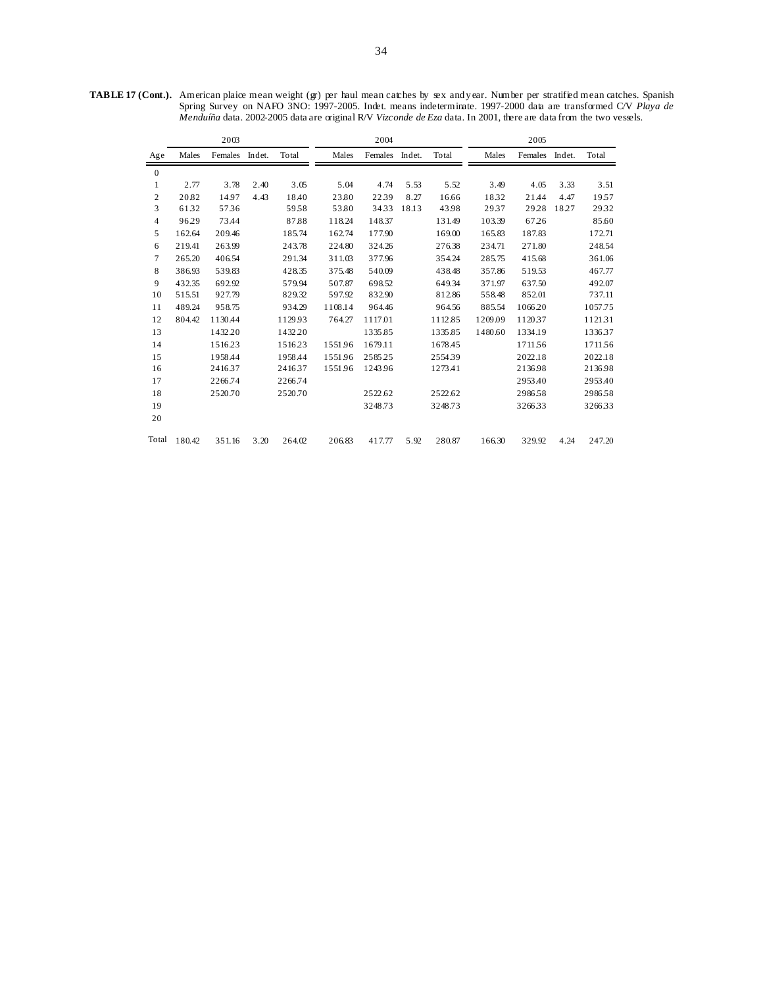**TABLE 17 (Cont.).** American plaice mean weight (gr) per haul mean catches by sex and y ear. Number per stratified mean catches. Spanish Spring Survey on NAFO 3NO: 1997-2005. Indet. means indeterminate. 1997-2000 data are transformed C/V *Playa de Menduíña* data. 2002-2005 data are original R/V *Vizconde de Eza* data. In 2001, there are data from the two vessels.

|                  |        | 2003    |        |         |         | 2004    |        |         |         | 2005    |        |         |
|------------------|--------|---------|--------|---------|---------|---------|--------|---------|---------|---------|--------|---------|
| Age              | Males  | Females | Indet. | Total   | Males   | Females | Indet. | Total   | Males   | Females | Indet. | Total   |
| $\boldsymbol{0}$ |        |         |        |         |         |         |        |         |         |         |        |         |
| 1                | 2.77   | 3.78    | 2.40   | 3.05    | 5.04    | 4.74    | 5.53   | 5.52    | 3.49    | 4.05    | 3.33   | 3.51    |
| $\mathbf{2}$     | 20.82  | 14.97   | 4.43   | 18.40   | 23.80   | 2239    | 8.27   | 16.66   | 1832    | 21.44   | 4.47   | 1957    |
| 3                | 6132   | 5736    |        | 5958    | 53.80   | 3433    | 18.13  | 43.98   | 2937    | 29.28   | 18.27  | 2932    |
| $\overline{4}$   | 96.29  | 73.44   |        | 87.88   | 118.24  | 148.37  |        | 131.49  | 103.39  | 67.26   |        | 85.60   |
| 5                | 162.64 | 209.46  |        | 185.74  | 162.74  | 177.90  |        | 169.00  | 165.83  | 187.83  |        | 172.71  |
| 6                | 219.41 | 263.99  |        | 243.78  | 224.80  | 324.26  |        | 276.38  | 234.71  | 271.80  |        | 248.54  |
| 7                | 265.20 | 406.54  |        | 291.34  | 311.03  | 377.96  |        | 354.24  | 285.75  | 415.68  |        | 361.06  |
| 8                | 386.93 | 539.83  |        | 428.35  | 375.48  | 540.09  |        | 438.48  | 357.86  | 519.53  |        | 467.77  |
| 9                | 432.35 | 692.92  |        | 579.94  | 507.87  | 698.52  |        | 649.34  | 371.97  | 637.50  |        | 492.07  |
| 10               | 515.51 | 927.79  |        | 829.32  | 597.92  | 832.90  |        | 812.86  | 558.48  | 852.01  |        | 737.11  |
| 11               | 489.24 | 958.75  |        | 934.29  | 1108.14 | 964.46  |        | 964.56  | 885.54  | 1066.20 |        | 1057.75 |
| 12               | 804.42 | 1130.44 |        | 1129.93 | 764.27  | 1117.01 |        | 1112.85 | 1209.09 | 112037  |        | 112131  |
| 13               |        | 1432.20 |        | 1432.20 |         | 1335.85 |        | 1335.85 | 1480.60 | 1334.19 |        | 133637  |
| 14               |        | 1516.23 |        | 151623  | 155196  | 1679.11 |        | 1678.45 |         | 171156  |        | 171156  |
| 15               |        | 1958.44 |        | 1958.44 | 155196  | 258525  |        | 255439  |         | 2022.18 |        | 2022.18 |
| 16               |        | 2416.37 |        | 241637  | 1551.96 | 1243.96 |        | 1273.41 |         | 2136.98 |        | 2136.98 |
| 17               |        | 2266.74 |        | 2266.74 |         |         |        |         |         | 2953.40 |        | 2953.40 |
| 18               |        | 2520.70 |        | 2520.70 |         | 2522.62 |        | 2522.62 |         | 298658  |        | 298658  |
| 19               |        |         |        |         |         | 3248.73 |        | 3248.73 |         | 326633  |        | 326633  |
| 20               |        |         |        |         |         |         |        |         |         |         |        |         |
| Total            | 180.42 | 351.16  | 3.20   | 264.02  | 206.83  | 417.77  | 5.92   | 280.87  | 166.30  | 329.92  | 4.24   | 247.20  |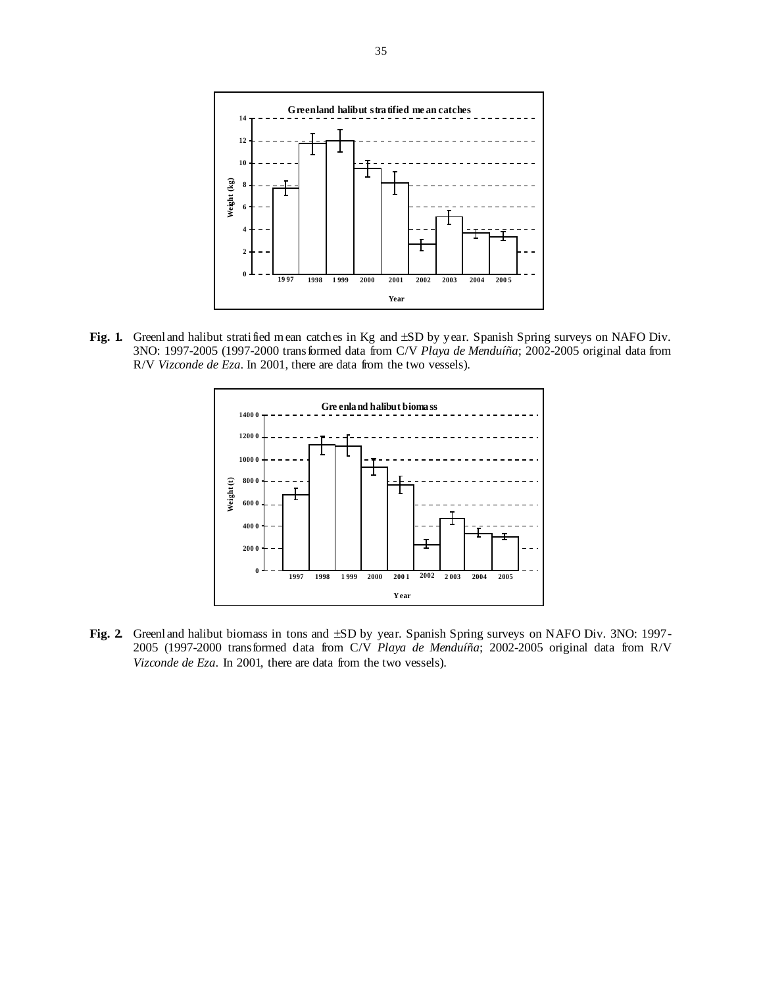

Fig. 1. Greenland halibut stratified mean catches in Kg and  $\pm SD$  by year. Spanish Spring surveys on NAFO Div. 3NO: 1997-2005 (1997-2000 transformed data from C/V *Playa de Menduíña*; 2002-2005 original data from R/V *Vizconde de Eza*. In 2001, there are data from the two vessels).



**Fig. 2.** Greenland halibut biomass in tons and ±SD by year. Spanish Spring surveys on NAFO Div. 3NO: 1997- 2005 (1997-2000 transformed data from C/V *Playa de Menduíña*; 2002-2005 original data from R/V *Vizconde de Eza*. In 2001, there are data from the two vessels).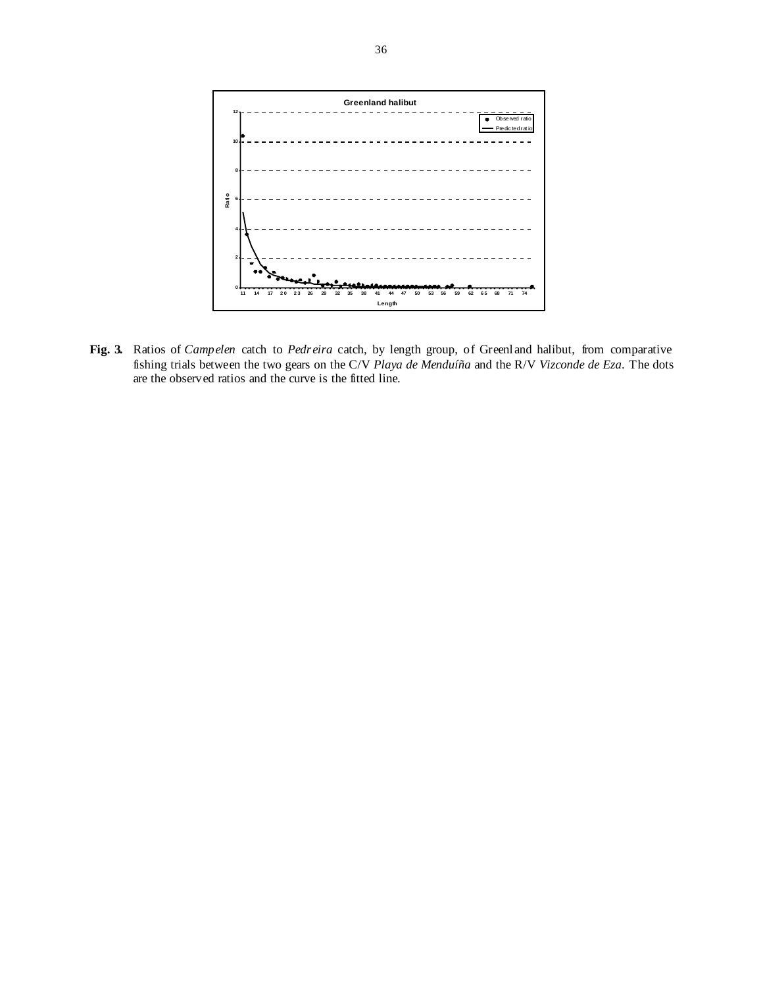

**Fig. 3.** Ratios of *Campelen* catch to *Pedreira* catch, by length group, of Greenland halibut, from comparative fishing trials between the two gears on the C/V *Playa de Menduíña* and the R/V *Vizconde de Eza*. The dots are the observed ratios and the curve is the fitted line.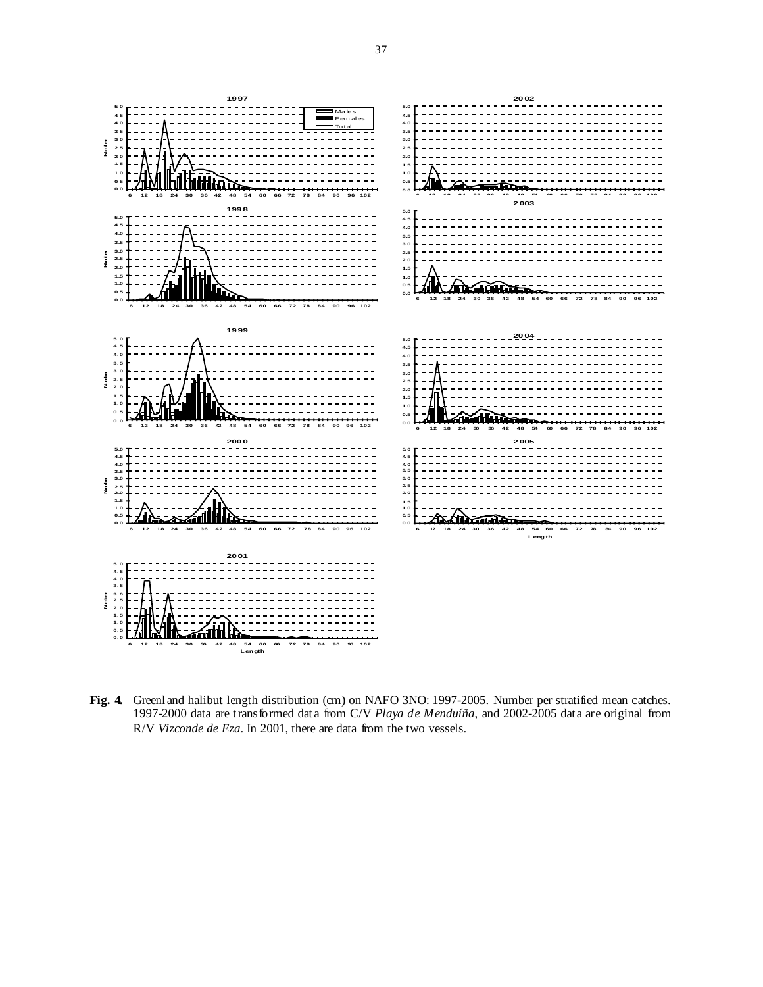

**Fig. 4.** Greenland halibut length distribution (cm) on NAFO 3NO: 1997-2005. Number per stratified mean catches. 1997-2000 data are transformed data from C/V *Playa de Menduíña*, and 2002-2005 data are original from R/V *Vizconde de Eza*. In 2001, there are data from the two vessels.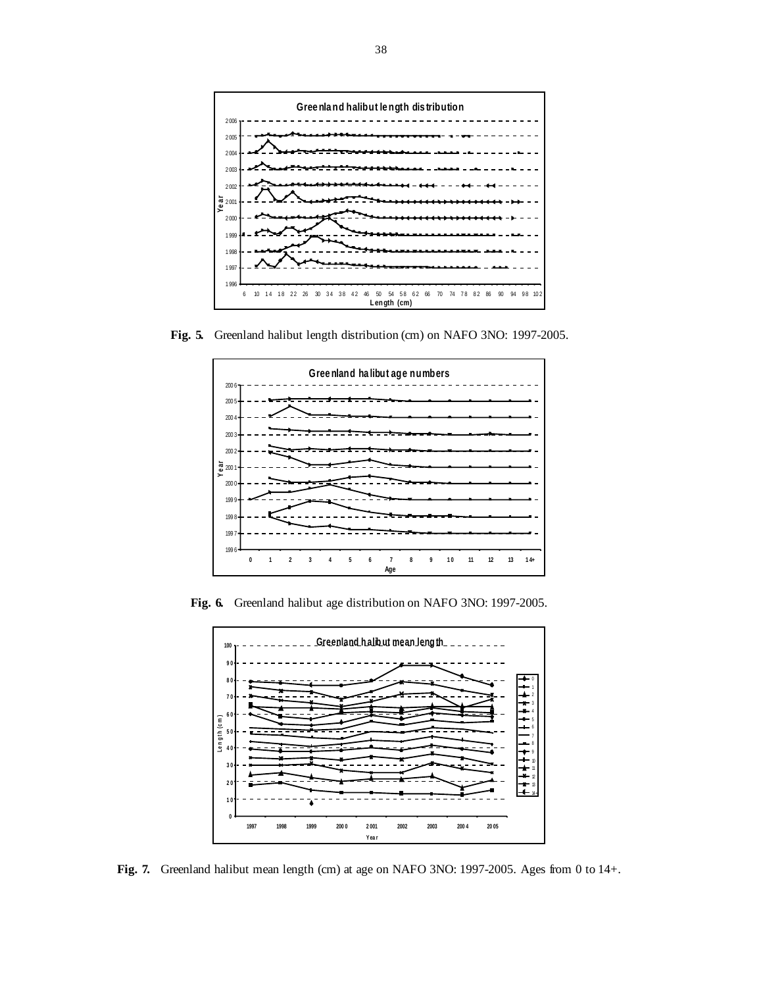![](_page_37_Figure_0.jpeg)

**Fig. 5.** Greenland halibut length distribution (cm) on NAFO 3NO: 1997-2005.

![](_page_37_Figure_2.jpeg)

**Fig. 6.** Greenland halibut age distribution on NAFO 3NO: 1997-2005.

![](_page_37_Figure_4.jpeg)

**Fig. 7.** Greenland halibut mean length (cm) at age on NAFO 3NO: 1997-2005. Ages from 0 to 14+.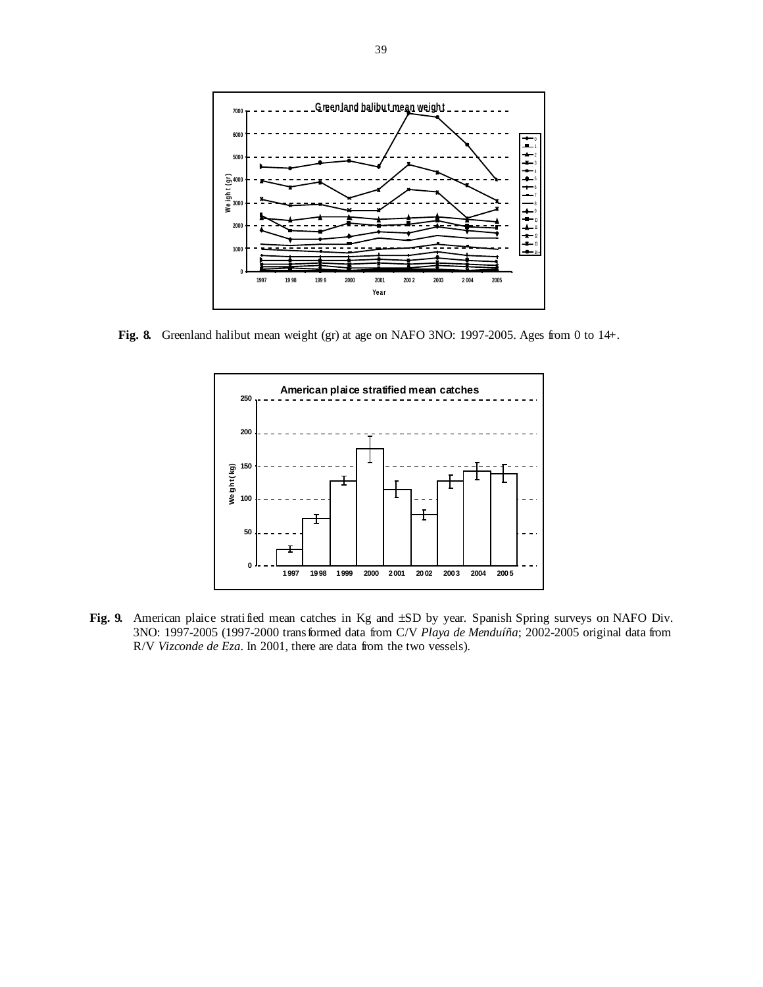![](_page_38_Figure_0.jpeg)

**Fig. 8.** Greenland halibut mean weight (gr) at age on NAFO 3NO: 1997-2005. Ages from 0 to 14+.

![](_page_38_Figure_2.jpeg)

Fig. 9. American plaice stratified mean catches in Kg and  $\pm SD$  by year. Spanish Spring surveys on NAFO Div. 3NO: 1997-2005 (1997-2000 transformed data from C/V *Playa de Menduíña*; 2002-2005 original data from R/V *Vizconde de Eza*. In 2001, there are data from the two vessels).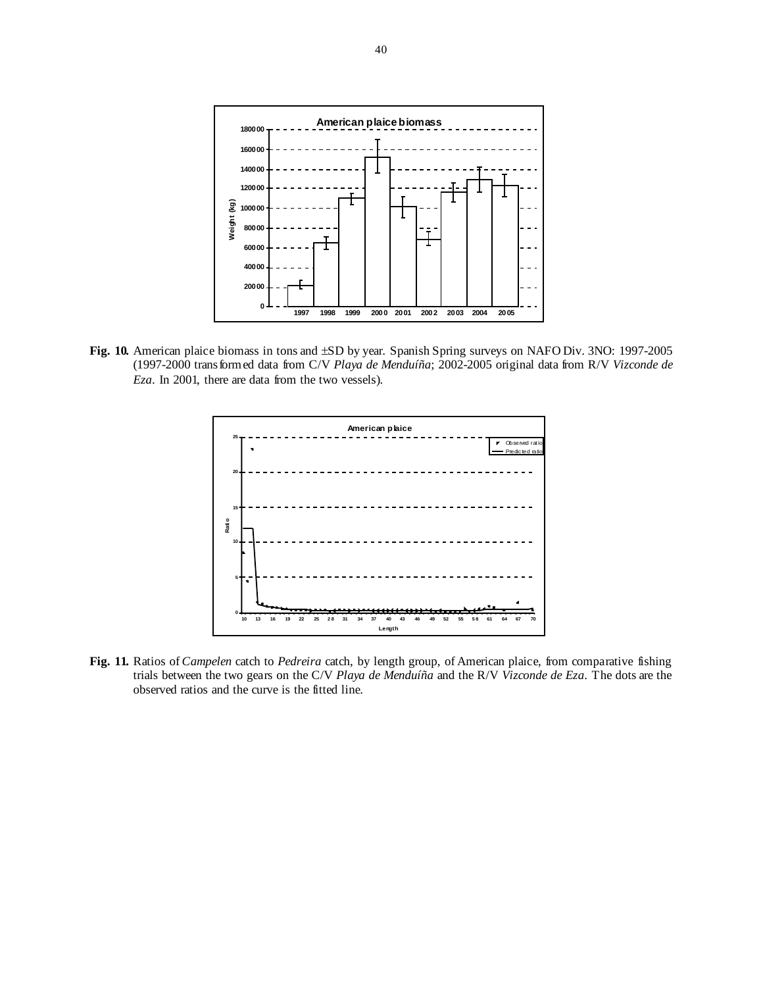![](_page_39_Figure_0.jpeg)

**Fig. 10.** American plaice biomass in tons and ±SD by year. Spanish Spring surveys on NAFO Div. 3NO: 1997-2005 (1997-2000 transformed data from C/V *Playa de Menduíña*; 2002-2005 original data from R/V *Vizconde de Eza*. In 2001, there are data from the two vessels).

![](_page_39_Figure_2.jpeg)

**Fig. 11.** Ratios of *Campelen* catch to *Pedreira* catch, by length group, of American plaice, from comparative fishing trials between the two gears on the C/V *Playa de Menduíña* and the R/V *Vizconde de Eza*. The dots are the observed ratios and the curve is the fitted line.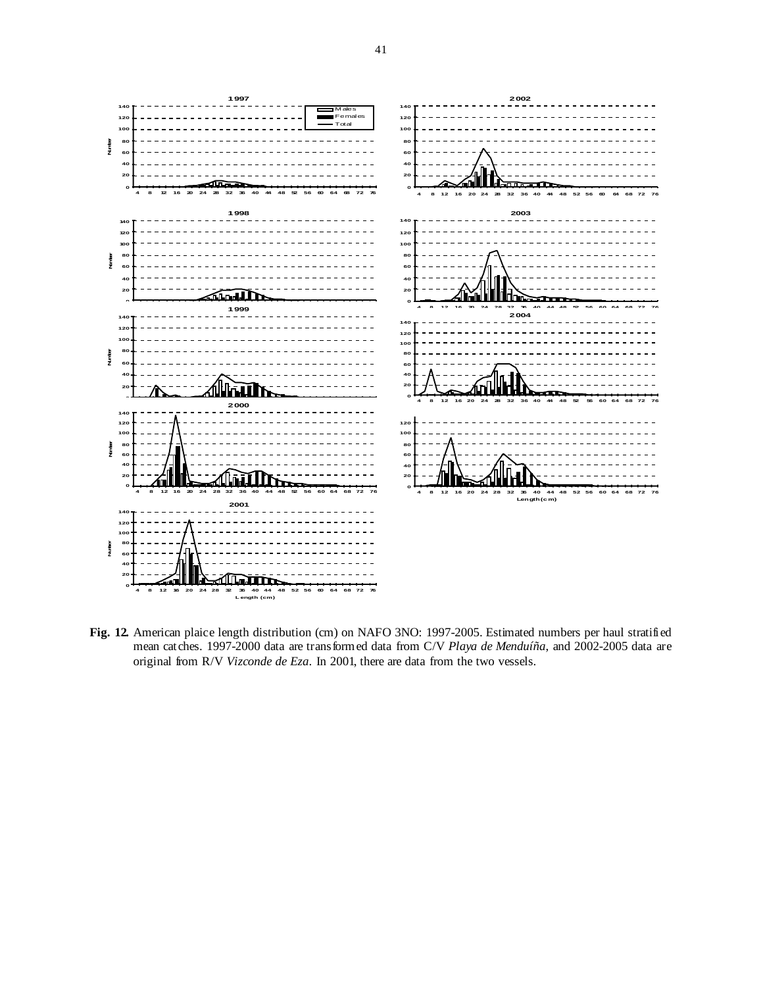![](_page_40_Figure_0.jpeg)

**Fig. 12.** American plaice length distribution (cm) on NAFO 3NO: 1997-2005. Estimated numbers per haul stratified mean catches. 1997-2000 data are transformed data from C/V *Playa de Menduíña*, and 2002-2005 data are original from R/V *Vizconde de Eza*. In 2001, there are data from the two vessels.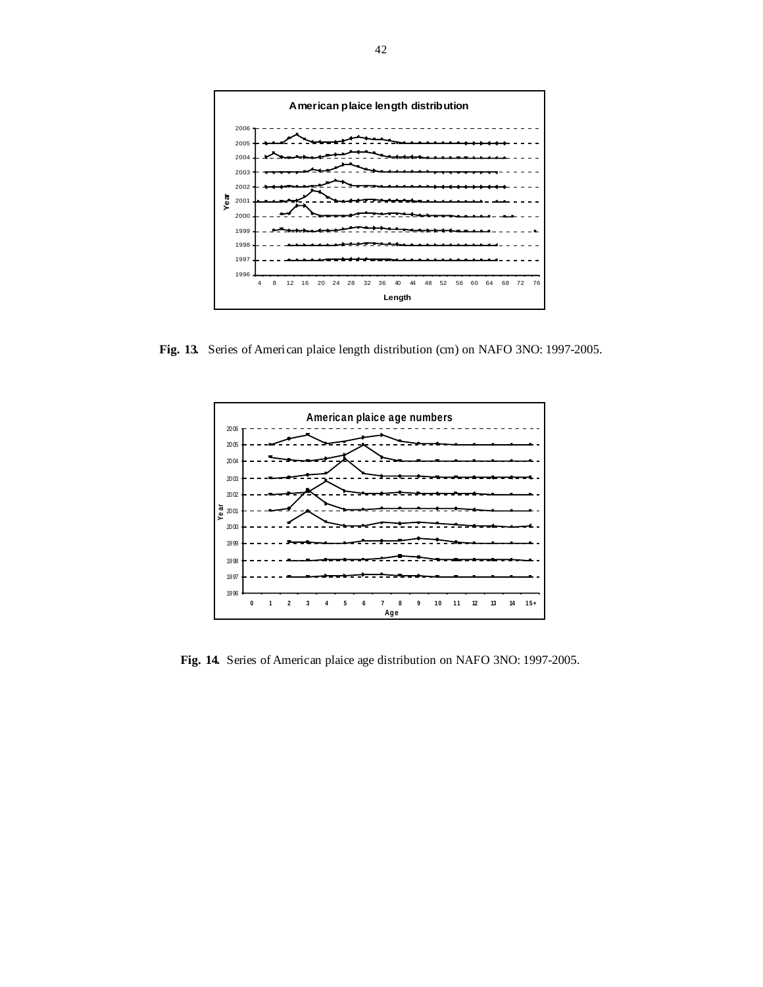![](_page_41_Figure_0.jpeg)

**Fig. 13.** Series of American plaice length distribution (cm) on NAFO 3NO: 1997-2005.

![](_page_41_Figure_2.jpeg)

**Fig. 14.** Series of American plaice age distribution on NAFO 3NO: 1997-2005.